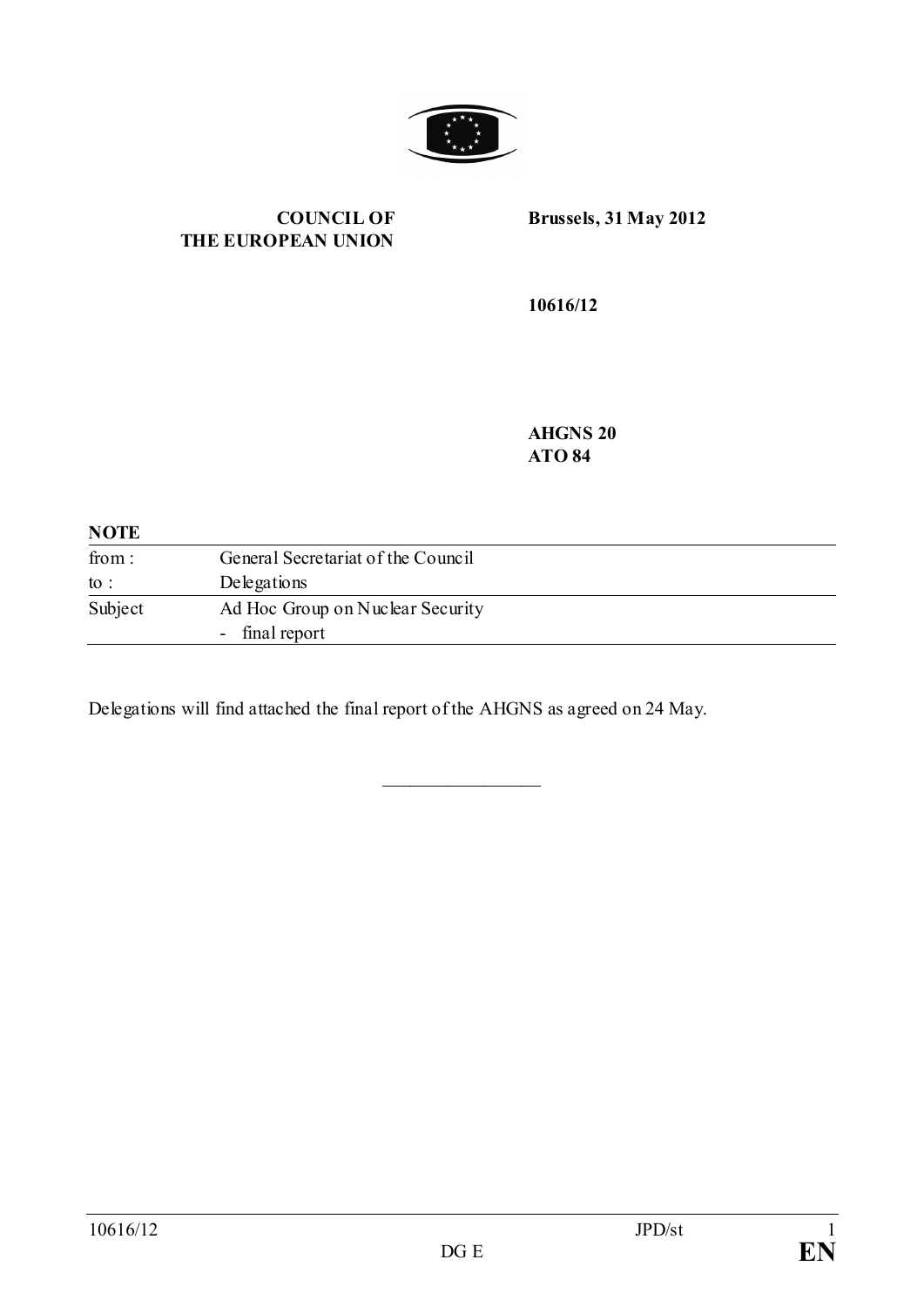

#### **COUNCIL OF THE EUROPEAN UNION**

**Brussels, 31 May 2012**

**10616/12**

**AHGNS 20 ATO 84**

#### **NOTE**

| from:   | General Secretariat of the Council |
|---------|------------------------------------|
| to :    | Delegations                        |
| Subject | Ad Hoc Group on Nuclear Security   |
|         | - final report                     |

 $\overline{\phantom{a}}$  , where  $\overline{\phantom{a}}$ 

Delegations will find attached the final report of the AHGNS as agreed on 24 May.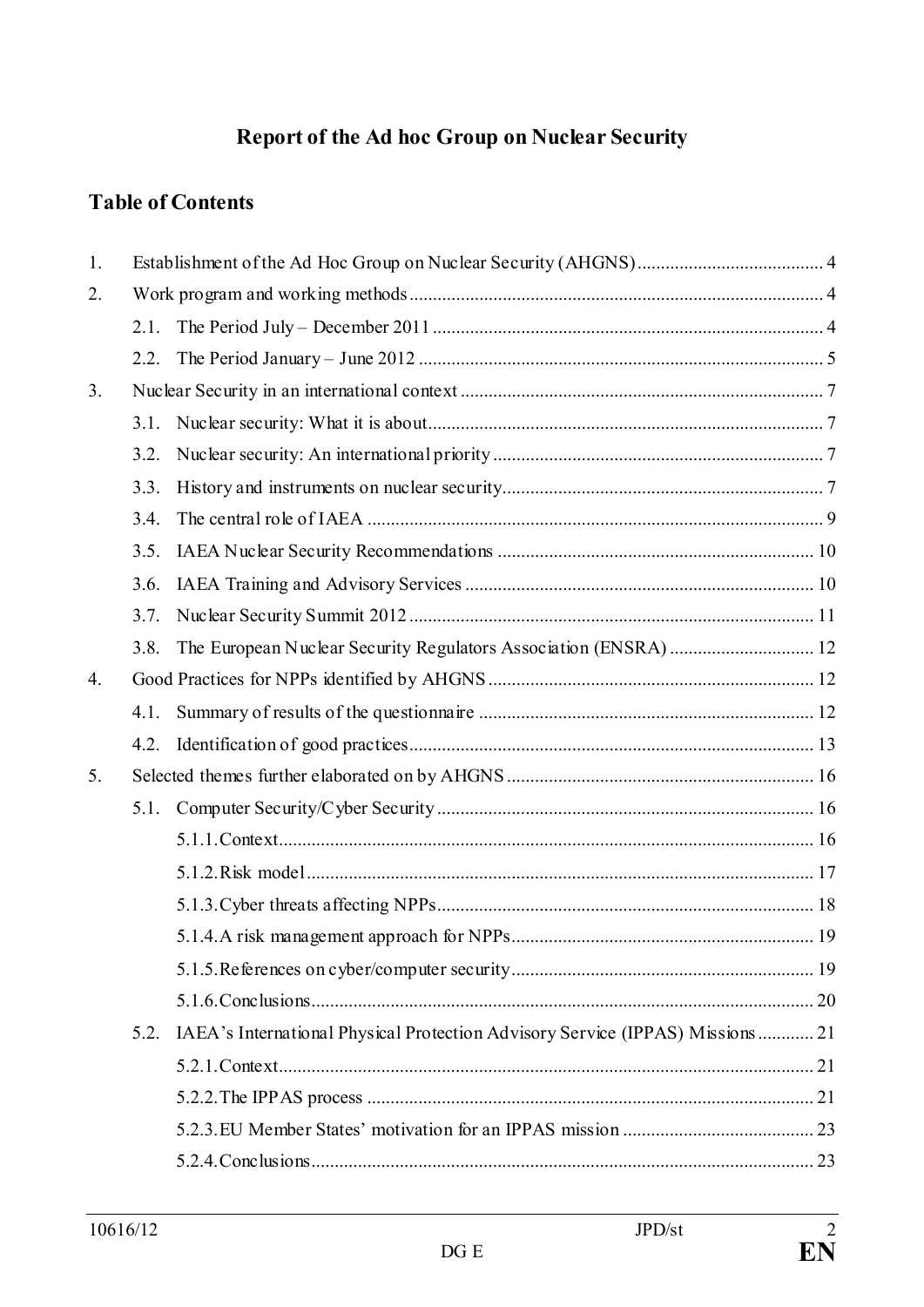# **Report of the Ad hoc Group on Nuclear Security**

# **Table of Contents**

| 1.             |      |                                                                               |  |  |
|----------------|------|-------------------------------------------------------------------------------|--|--|
| 2.             |      |                                                                               |  |  |
|                | 2.1. |                                                                               |  |  |
|                | 2.2. |                                                                               |  |  |
| 3 <sub>1</sub> |      |                                                                               |  |  |
|                | 3.1. |                                                                               |  |  |
|                | 3.2. |                                                                               |  |  |
|                | 3.3. |                                                                               |  |  |
|                | 3.4. |                                                                               |  |  |
|                | 3.5. |                                                                               |  |  |
|                | 3.6. |                                                                               |  |  |
|                | 3.7. |                                                                               |  |  |
|                | 3.8. |                                                                               |  |  |
| 4.             |      |                                                                               |  |  |
|                | 4.1. |                                                                               |  |  |
|                | 4.2. |                                                                               |  |  |
| 5.             |      |                                                                               |  |  |
|                | 5.1. |                                                                               |  |  |
|                |      |                                                                               |  |  |
|                |      |                                                                               |  |  |
|                |      |                                                                               |  |  |
|                |      |                                                                               |  |  |
|                |      |                                                                               |  |  |
|                |      |                                                                               |  |  |
|                | 5.2. | IAEA's International Physical Protection Advisory Service (IPPAS) Missions 21 |  |  |
|                |      |                                                                               |  |  |
|                |      |                                                                               |  |  |
|                |      |                                                                               |  |  |
|                |      |                                                                               |  |  |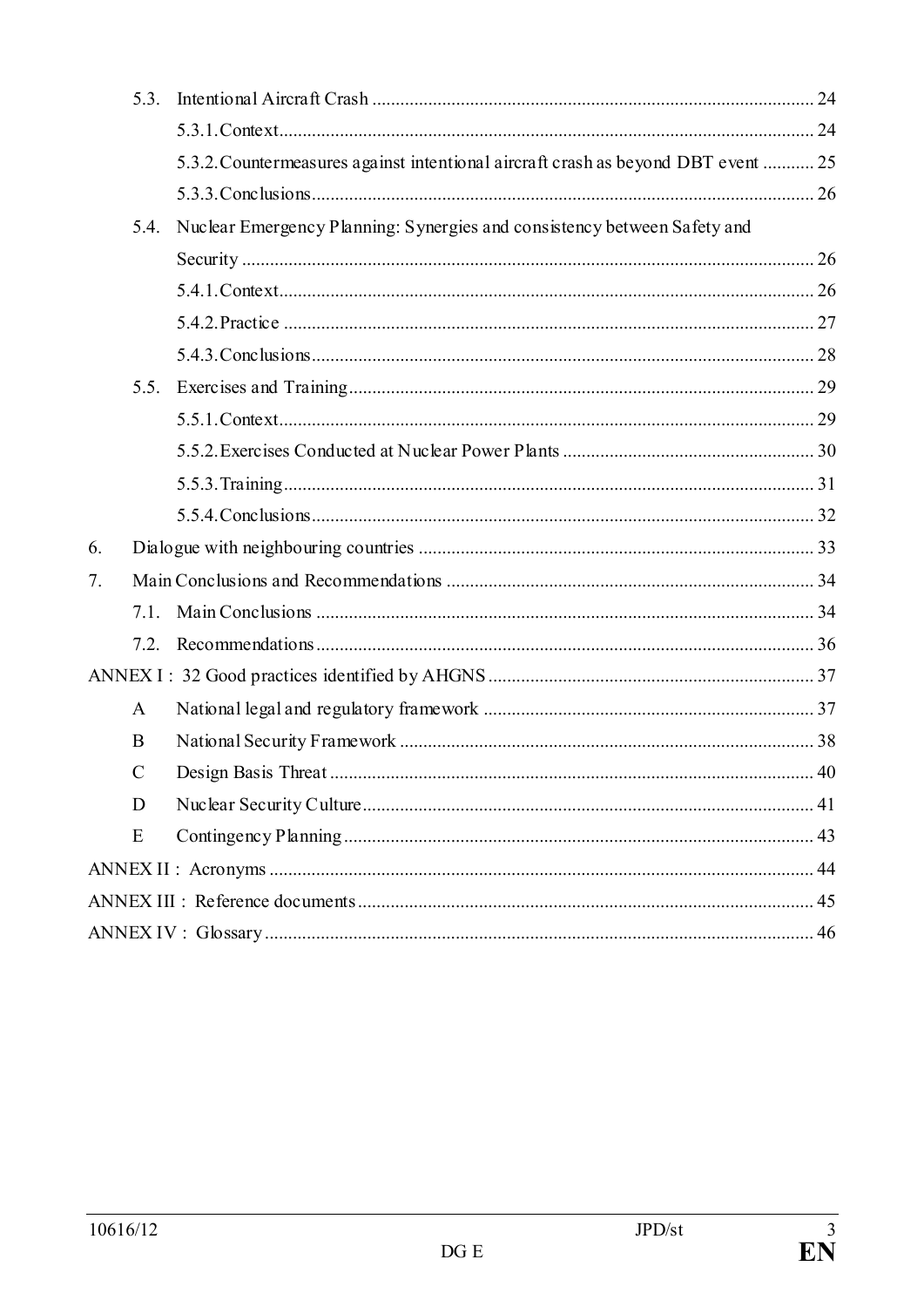|    | 5.3.          |                                                                                   |  |  |  |
|----|---------------|-----------------------------------------------------------------------------------|--|--|--|
|    |               |                                                                                   |  |  |  |
|    |               | 5.3.2. Countermeasures against intentional aircraft crash as beyond DBT event  25 |  |  |  |
|    |               |                                                                                   |  |  |  |
|    | 5.4.          | Nuclear Emergency Planning: Synergies and consistency between Safety and          |  |  |  |
|    |               |                                                                                   |  |  |  |
|    |               |                                                                                   |  |  |  |
|    |               |                                                                                   |  |  |  |
|    |               |                                                                                   |  |  |  |
|    | 5.5.          |                                                                                   |  |  |  |
|    |               |                                                                                   |  |  |  |
|    |               |                                                                                   |  |  |  |
|    |               |                                                                                   |  |  |  |
|    |               |                                                                                   |  |  |  |
| 6. |               |                                                                                   |  |  |  |
| 7. |               |                                                                                   |  |  |  |
|    | 7.1.          |                                                                                   |  |  |  |
|    |               |                                                                                   |  |  |  |
|    |               |                                                                                   |  |  |  |
|    | $\mathbf{A}$  |                                                                                   |  |  |  |
|    | B             |                                                                                   |  |  |  |
|    | $\mathcal{C}$ |                                                                                   |  |  |  |
|    | D             |                                                                                   |  |  |  |
|    | E             |                                                                                   |  |  |  |
|    |               |                                                                                   |  |  |  |
|    |               |                                                                                   |  |  |  |
|    |               |                                                                                   |  |  |  |
|    |               |                                                                                   |  |  |  |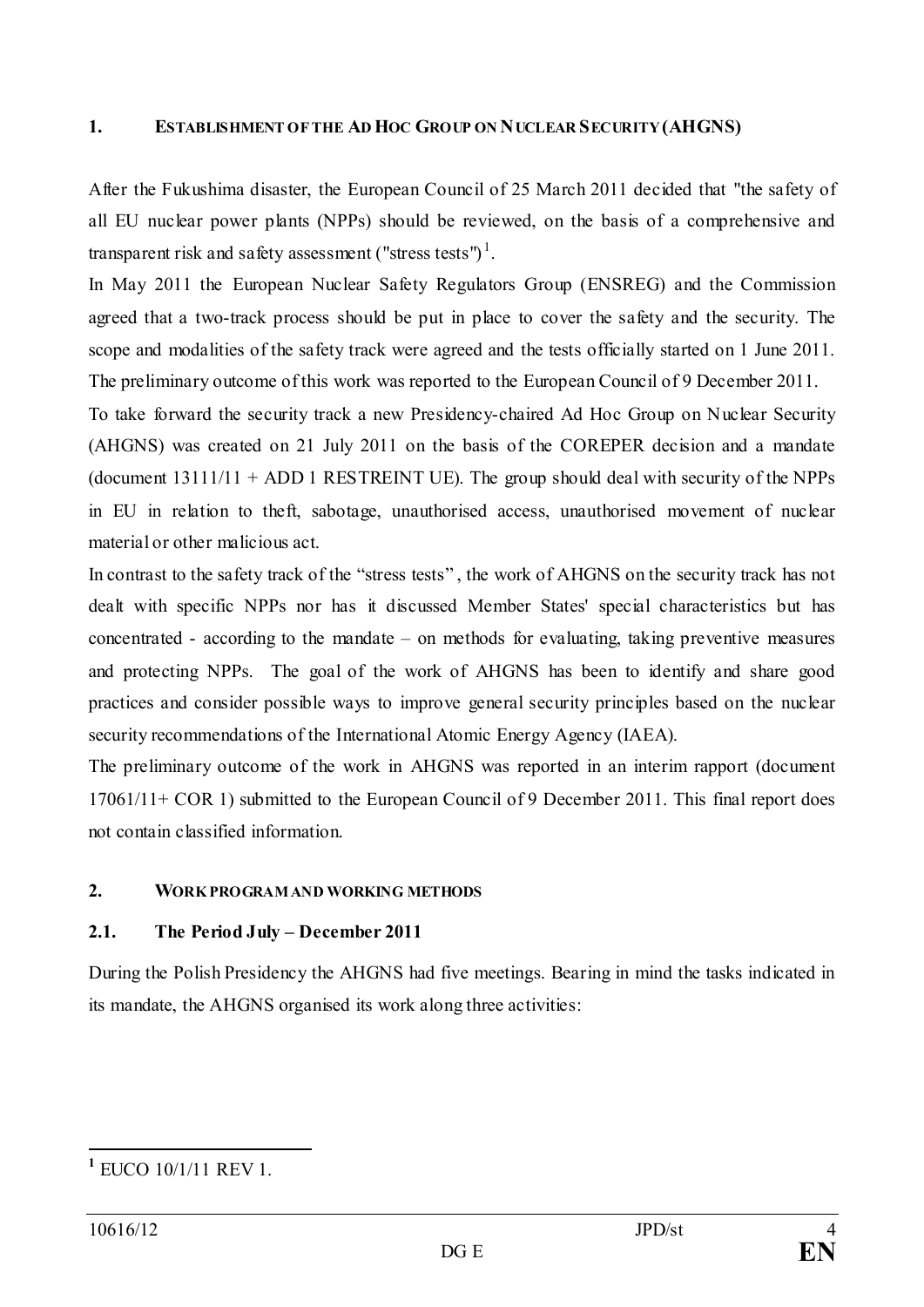#### <span id="page-3-0"></span>**1. ESTABLISHMENT OF THE AD HOC GROUP ON NUCLEAR SECURITY (AHGNS)**

After the Fukushima disaster, the European Council of 25 March 2011 decided that "the safety of all EU nuclear power plants (NPPs) should be reviewed, on the basis of a comprehensive and transparent risk and safety assessment ("stress tests")<sup>[1](#page-3-3)</sup>.

In May 2011 the European Nuclear Safety Regulators Group (ENSREG) and the Commission agreed that a two-track process should be put in place to cover the safety and the security. The scope and modalities of the safety track were agreed and the tests officially started on 1 June 2011. The preliminary outcome of this work was reported to the European Council of 9 December 2011.

To take forward the security track a new Presidency-chaired Ad Hoc Group on Nuclear Security (AHGNS) was created on 21 July 2011 on the basis of the COREPER decision and a mandate (document  $13111/11 + ADD 1 RESTREINT UE$ ). The group should deal with security of the NPPs in EU in relation to theft, sabotage, unauthorised access, unauthorised movement of nuclear material or other malicious act.

In contrast to the safety track of the "stress tests" , the work of AHGNS on the security track has not dealt with specific NPPs nor has it discussed Member States' special characteristics but has concentrated - according to the mandate – on methods for evaluating, taking preventive measures and protecting NPPs. The goal of the work of AHGNS has been to identify and share good practices and consider possible ways to improve general security principles based on the nuclear security recommendations of the International Atomic Energy Agency (IAEA).

The preliminary outcome of the work in AHGNS was reported in an interim rapport (document 17061/11+ COR 1) submitted to the European Council of 9 December 2011. This final report does not contain classified information.

#### <span id="page-3-1"></span>**2. WORK PROGRAM AND WORKING METHODS**

#### <span id="page-3-2"></span>**2.1. The Period July – December 2011**

During the Polish Presidency the AHGNS had five meetings. Bearing in mind the tasks indicated in its mandate, the AHGNS organised its work along three activities:

<span id="page-3-3"></span>**<sup>1</sup>** EUCO 10/1/11 REV 1.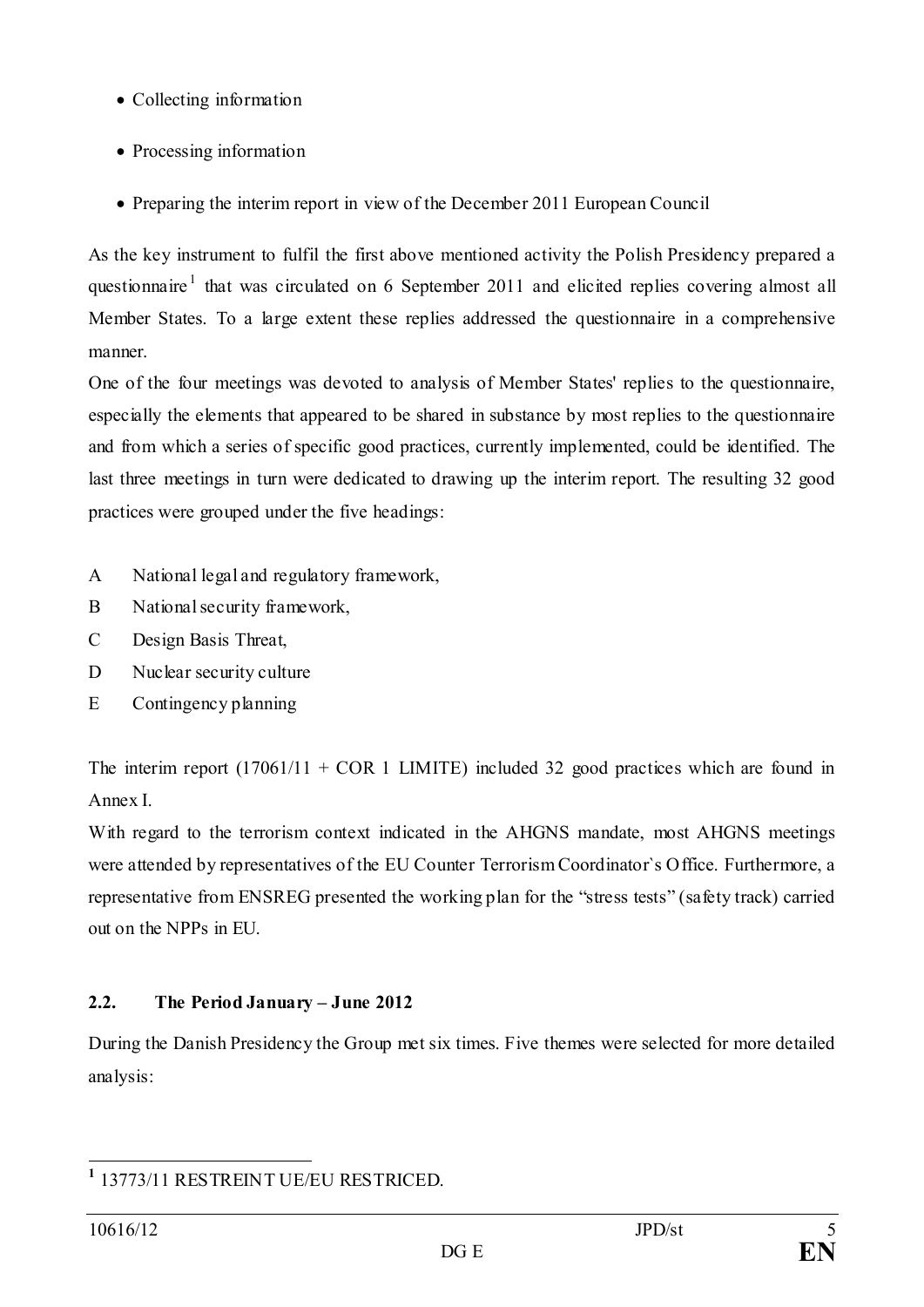- Collecting information
- Processing information
- Preparing the interim report in view of the December 2011 European Council

As the key instrument to fulfil the first above mentioned activity the Polish Presidency prepared a questionnaire<sup>[1](#page-4-1)</sup> that was circulated on 6 September 2011 and elicited replies covering almost all Member States. To a large extent these replies addressed the questionnaire in a comprehensive manner.

One of the four meetings was devoted to analysis of Member States' replies to the questionnaire, especially the elements that appeared to be shared in substance by most replies to the questionnaire and from which a series of specific good practices, currently implemented, could be identified. The last three meetings in turn were dedicated to drawing up the interim report. The resulting 32 good practices were grouped under the five headings:

- A National legal and regulatory framework,
- B National security framework,
- C Design Basis Threat,
- D Nuclear security culture
- E Contingency planning

The interim report  $(17061/11 + COR 1$  LIMITE) included 32 good practices which are found in Annex I.

With regard to the terrorism context indicated in the AHGNS mandate, most AHGNS meetings were attended by representatives of the EU Counter Terrorism Coordinator`s Office. Furthermore, a representative from ENSREG presented the working plan for the "stress tests" (safety track) carried out on the NPPs in EU.

# <span id="page-4-0"></span>**2.2. The Period January – June 2012**

During the Danish Presidency the Group met six times. Five themes were selected for more detailed analysis:

<span id="page-4-1"></span>**<sup>1</sup>** 13773/11 RESTREINT UE/EU RESTRICED.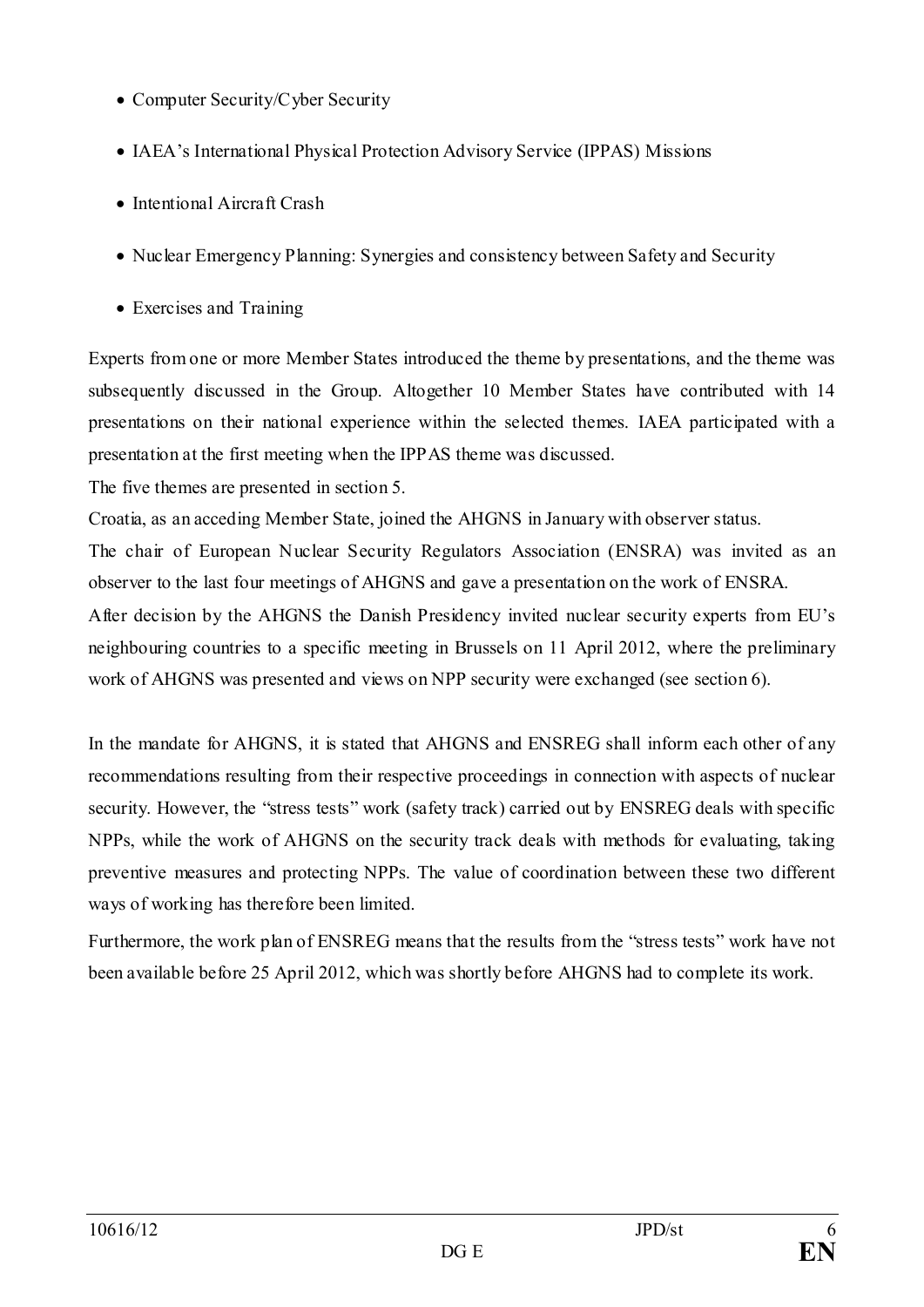- Computer Security/Cyber Security
- IAEA's International Physical Protection Advisory Service (IPPAS) Missions
- Intentional Aircraft Crash
- Nuclear Emergency Planning: Synergies and consistency between Safety and Security
- Exercises and Training

Experts from one or more Member States introduced the theme by presentations, and the theme was subsequently discussed in the Group. Altogether 10 Member States have contributed with 14 presentations on their national experience within the selected themes. IAEA participated with a presentation at the first meeting when the IPPAS theme was discussed.

The five themes are presented in section 5.

Croatia, as an acceding Member State, joined the AHGNS in January with observer status.

The chair of European Nuclear Security Regulators Association (ENSRA) was invited as an observer to the last four meetings of AHGNS and gave a presentation on the work of ENSRA.

After decision by the AHGNS the Danish Presidency invited nuclear security experts from EU's neighbouring countries to a specific meeting in Brussels on 11 April 2012, where the preliminary work of AHGNS was presented and views on NPP security were exchanged (see section 6).

In the mandate for AHGNS, it is stated that AHGNS and ENSREG shall inform each other of any recommendations resulting from their respective proceedings in connection with aspects of nuclear security. However, the "stress tests" work (safety track) carried out by ENSREG deals with specific NPPs, while the work of AHGNS on the security track deals with methods for evaluating, taking preventive measures and protecting NPPs. The value of coordination between these two different ways of working has therefore been limited.

Furthermore, the work plan of ENSREG means that the results from the "stress tests" work have not been available before 25 April 2012, which was shortly before AHGNS had to complete its work.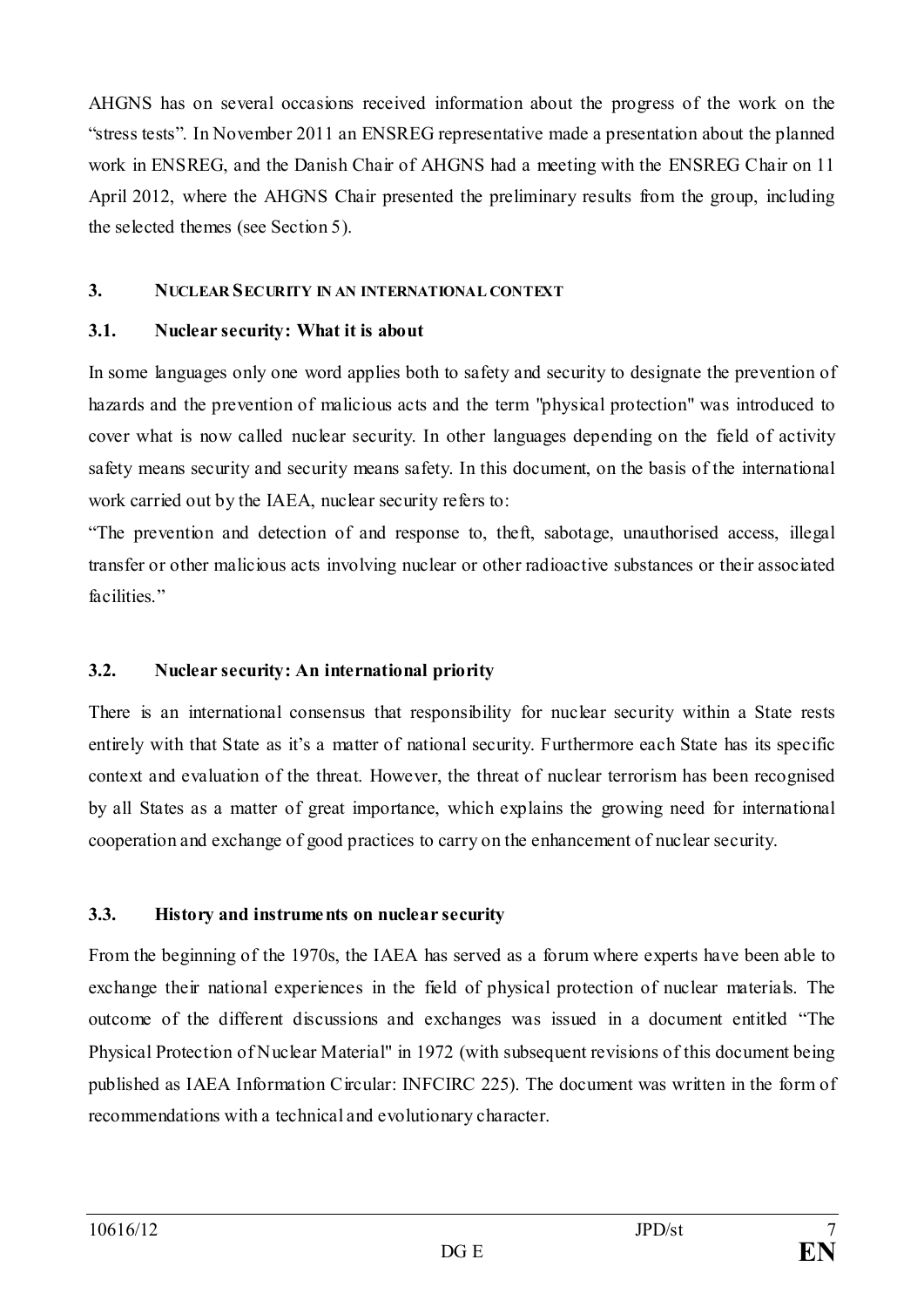AHGNS has on several occasions received information about the progress of the work on the "stress tests". In November 2011 an ENSREG representative made a presentation about the planned work in ENSREG, and the Danish Chair of AHGNS had a meeting with the ENSREG Chair on 11 April 2012, where the AHGNS Chair presented the preliminary results from the group, including the selected themes (see Section 5).

#### <span id="page-6-0"></span>**3. NUCLEAR SECURITY IN AN INTERNATIONAL CONTEXT**

#### <span id="page-6-1"></span>**3.1. Nuclear security: What it is about**

In some languages only one word applies both to safety and security to designate the prevention of hazards and the prevention of malicious acts and the term "physical protection" was introduced to cover what is now called nuclear security. In other languages depending on the field of activity safety means security and security means safety. In this document, on the basis of the international work carried out by the IAEA, nuclear security refers to:

"The prevention and detection of and response to, theft, sabotage, unauthorised access, illegal transfer or other malicious acts involving nuclear or other radioactive substances or their associated facilities."

#### <span id="page-6-2"></span>**3.2. Nuclear security: An international priority**

There is an international consensus that responsibility for nuclear security within a State rests entirely with that State as it's a matter of national security. Furthermore each State has its specific context and evaluation of the threat. However, the threat of nuclear terrorism has been recognised by all States as a matter of great importance, which explains the growing need for international cooperation and exchange of good practices to carry on the enhancement of nuclear security.

#### <span id="page-6-3"></span>**3.3. History and instruments on nuclear security**

From the beginning of the 1970s, the IAEA has served as a forum where experts have been able to exchange their national experiences in the field of physical protection of nuclear materials. The outcome of the different discussions and exchanges was issued in a document entitled "The Physical Protection of Nuclear Material" in 1972 (with subsequent revisions of this document being published as IAEA Information Circular: INFCIRC 225). The document was written in the form of recommendations with a technical and evolutionary character.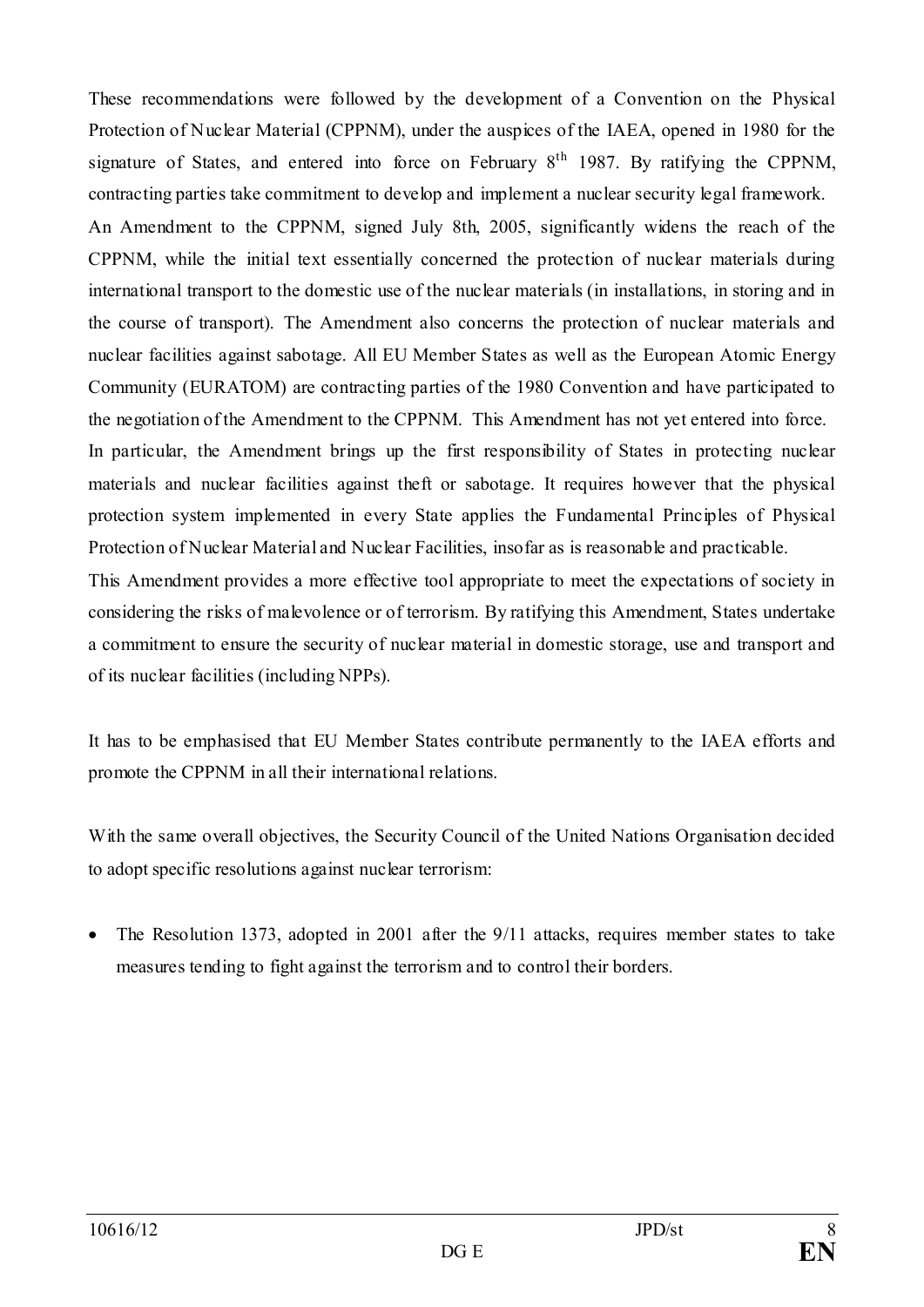These recommendations were followed by the development of a Convention on the Physical Protection of Nuclear Material (CPPNM), under the auspices of the IAEA, opened in 1980 for the signature of States, and entered into force on February  $8<sup>th</sup>$  1987. By ratifying the CPPNM, contracting parties take commitment to develop and implement a nuclear security legal framework. An Amendment to the CPPNM, signed July 8th, 2005, significantly widens the reach of the CPPNM, while the initial text essentially concerned the protection of nuclear materials during international transport to the domestic use of the nuclear materials (in installations, in storing and in the course of transport). The Amendment also concerns the protection of nuclear materials and nuclear facilities against sabotage. All EU Member States as well as the European Atomic Energy Community (EURATOM) are contracting parties of the 1980 Convention and have participated to the negotiation of the Amendment to the CPPNM. This Amendment has not yet entered into force. In particular, the Amendment brings up the first responsibility of States in protecting nuclear materials and nuclear facilities against theft or sabotage. It requires however that the physical protection system implemented in every State applies the Fundamental Principles of Physical Protection of Nuclear Material and Nuclear Facilities, insofar as is reasonable and practicable.

This Amendment provides a more effective tool appropriate to meet the expectations of society in considering the risks of malevolence or of terrorism. By ratifying this Amendment, States undertake a commitment to ensure the security of nuclear material in domestic storage, use and transport and of its nuclear facilities (including NPPs).

It has to be emphasised that EU Member States contribute permanently to the IAEA efforts and promote the CPPNM in all their international relations.

With the same overall objectives, the Security Council of the United Nations Organisation decided to adopt specific resolutions against nuclear terrorism:

• The Resolution 1373, adopted in 2001 after the 9/11 attacks, requires member states to take measures tending to fight against the terrorism and to control their borders.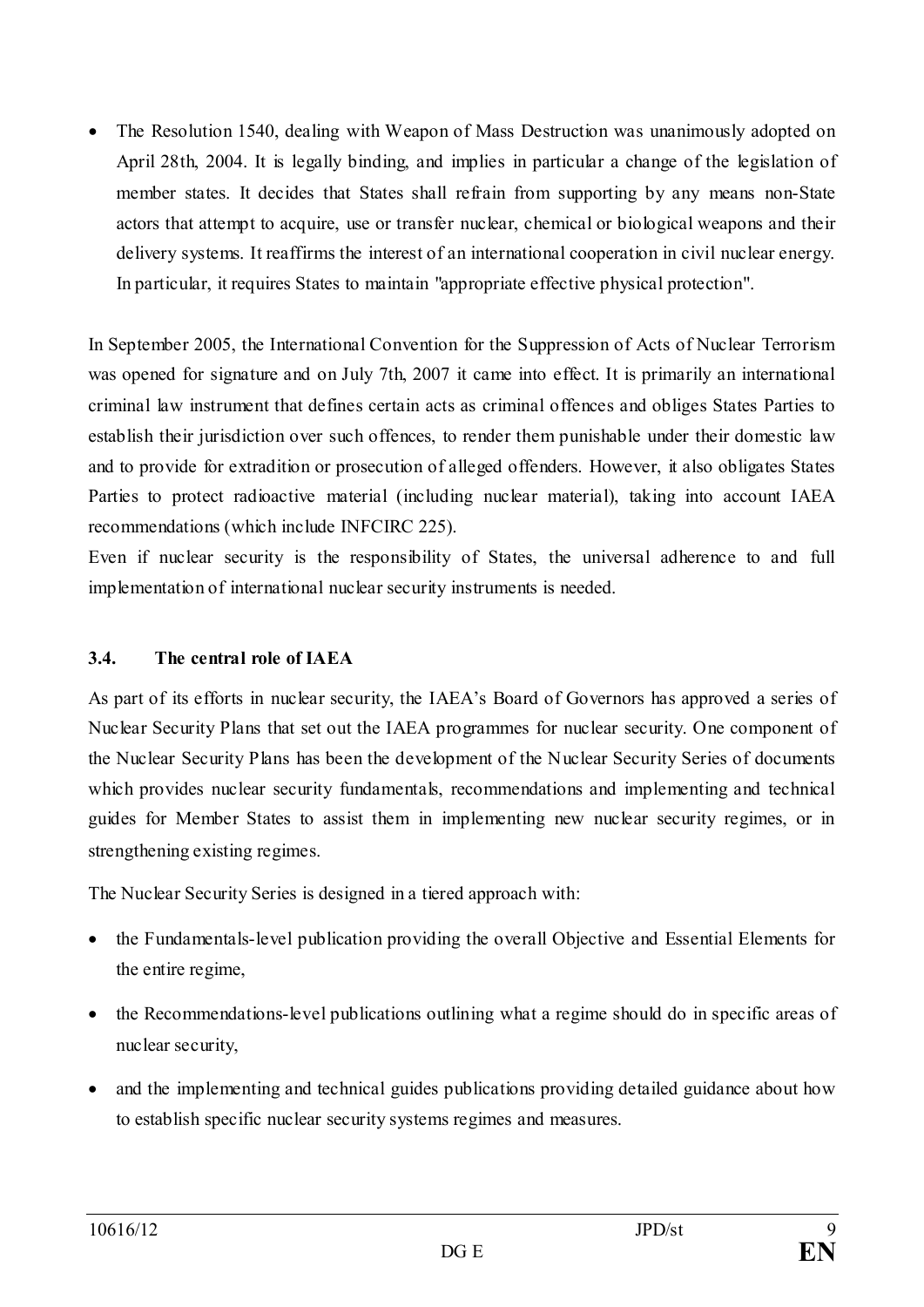• The Resolution 1540, dealing with Weapon of Mass Destruction was unanimously adopted on April 28th, 2004. It is legally binding, and implies in particular a change of the legislation of member states. It decides that States shall refrain from supporting by any means non-State actors that attempt to acquire, use or transfer nuclear, chemical or biological weapons and their delivery systems. It reaffirms the interest of an international cooperation in civil nuclear energy. In particular, it requires States to maintain "appropriate effective physical protection".

In September 2005, the International Convention for the Suppression of Acts of Nuclear Terrorism was opened for signature and on July 7th, 2007 it came into effect. It is primarily an international criminal law instrument that defines certain acts as criminal offences and obliges States Parties to establish their jurisdiction over such offences, to render them punishable under their domestic law and to provide for extradition or prosecution of alleged offenders. However, it also obligates States Parties to protect radioactive material (including nuclear material), taking into account IAEA recommendations (which include INFCIRC 225).

Even if nuclear security is the responsibility of States, the universal adherence to and full implementation of international nuclear security instruments is needed.

# <span id="page-8-0"></span>**3.4. The central role of IAEA**

As part of its efforts in nuclear security, the IAEA's Board of Governors has approved a series of Nuclear Security Plans that set out the IAEA programmes for nuclear security. One component of the Nuclear Security Plans has been the development of the Nuclear Security Series of documents which provides nuclear security fundamentals, recommendations and implementing and technical guides for Member States to assist them in implementing new nuclear security regimes, or in strengthening existing regimes.

The Nuclear Security Series is designed in a tiered approach with:

- the Fundamentals-level publication providing the overall Objective and Essential Elements for the entire regime,
- the Recommendations-level publications outlining what a regime should do in specific areas of nuclear security,
- and the implementing and technical guides publications providing detailed guidance about how to establish specific nuclear security systems regimes and measures.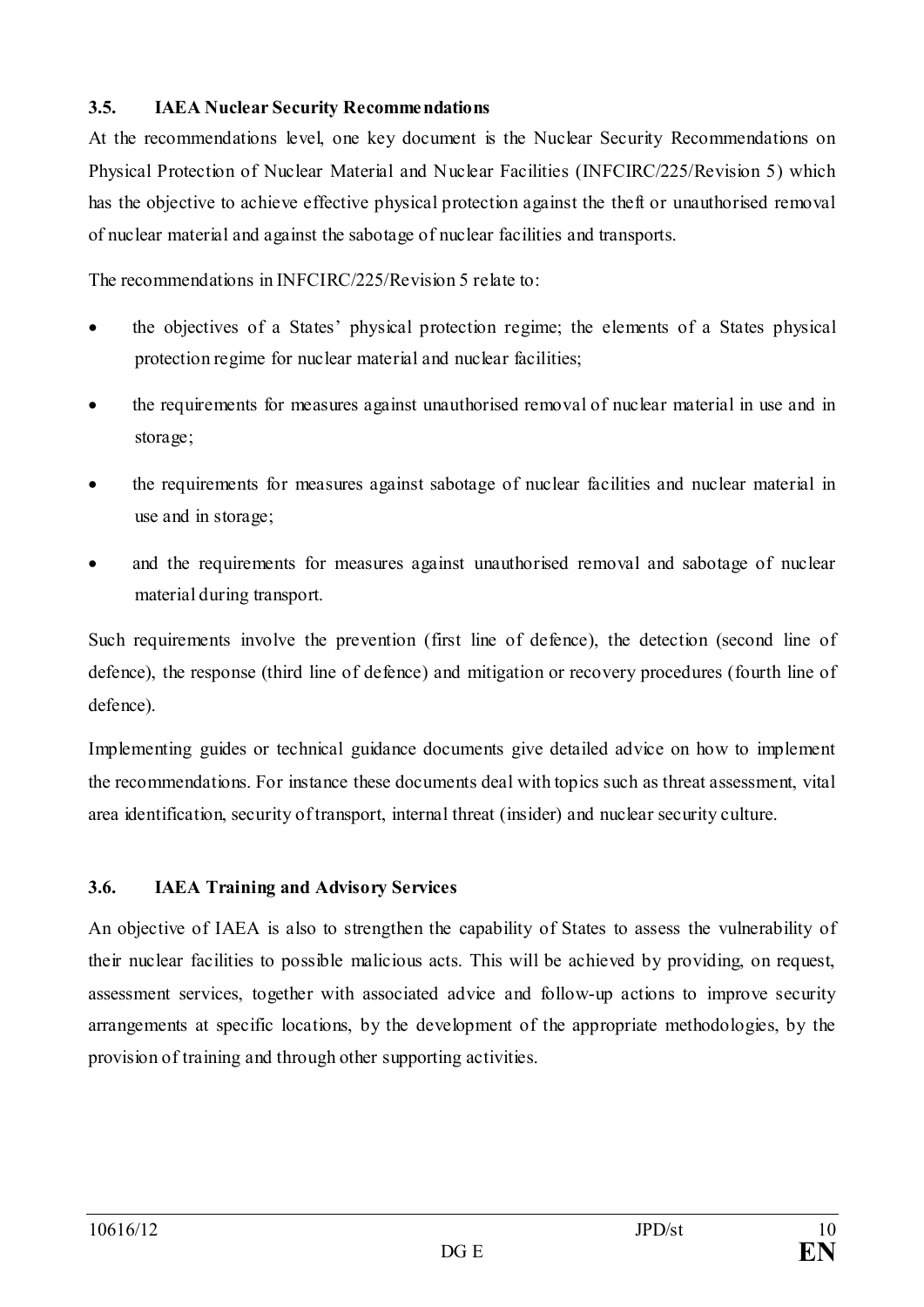## <span id="page-9-0"></span>**3.5. IAEA Nuclear Security Recommendations**

At the recommendations level, one key document is the Nuclear Security Recommendations on Physical Protection of Nuclear Material and Nuclear Facilities (INFCIRC/225/Revision 5) which has the objective to achieve effective physical protection against the theft or unauthorised removal of nuclear material and against the sabotage of nuclear facilities and transports.

The recommendations in INFCIRC/225/Revision 5 relate to:

- the objectives of a States' physical protection regime; the elements of a States physical protection regime for nuclear material and nuclear facilities;
- the requirements for measures against unauthorised removal of nuclear material in use and in storage;
- the requirements for measures against sabotage of nuclear facilities and nuclear material in use and in storage;
- and the requirements for measures against unauthorised removal and sabotage of nuclear material during transport.

Such requirements involve the prevention (first line of defence), the detection (second line of defence), the response (third line of defence) and mitigation or recovery procedures (fourth line of defence).

Implementing guides or technical guidance documents give detailed advice on how to implement the recommendations. For instance these documents deal with topics such as threat assessment, vital area identification, security of transport, internal threat (insider) and nuclear security culture.

# <span id="page-9-1"></span>**3.6. IAEA Training and Advisory Services**

An objective of IAEA is also to strengthen the capability of States to assess the vulnerability of their nuclear facilities to possible malicious acts. This will be achieved by providing, on request, assessment services, together with associated advice and follow-up actions to improve security arrangements at specific locations, by the development of the appropriate methodologies, by the provision of training and through other supporting activities.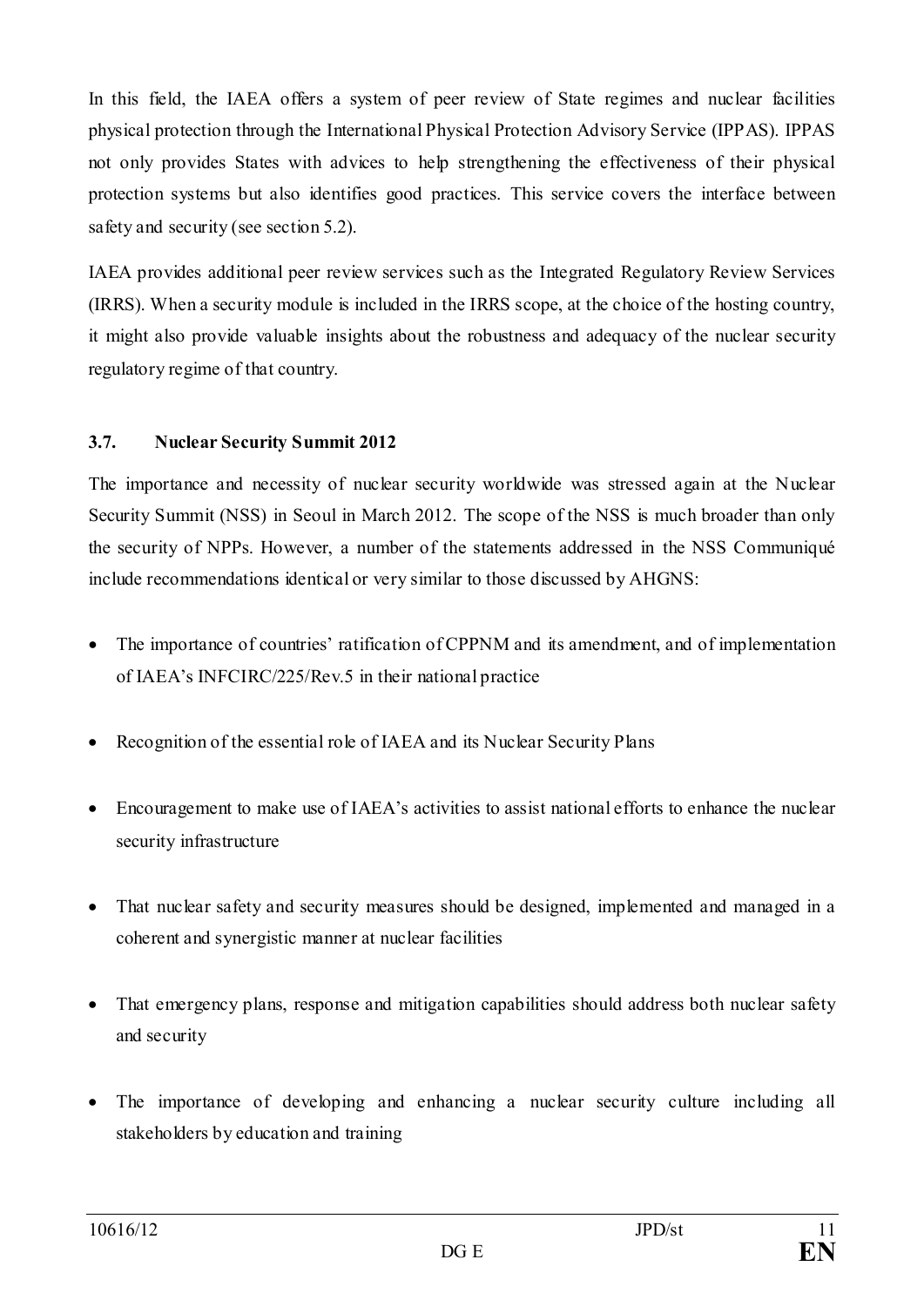In this field, the IAEA offers a system of peer review of State regimes and nuclear facilities physical protection through the International Physical Protection Advisory Service (IPPAS). IPPAS not only provides States with advices to help strengthening the effectiveness of their physical protection systems but also identifies good practices. This service covers the interface between safety and security (see section 5.2).

IAEA provides additional peer review services such as the Integrated Regulatory Review Services (IRRS). When a security module is included in the IRRS scope, at the choice of the hosting country, it might also provide valuable insights about the robustness and adequacy of the nuclear security regulatory regime of that country.

## <span id="page-10-0"></span>**3.7. Nuclear Security Summit 2012**

The importance and necessity of nuclear security worldwide was stressed again at the Nuclear Security Summit (NSS) in Seoul in March 2012. The scope of the NSS is much broader than only the security of NPPs. However, a number of the statements addressed in the NSS Communiqué include recommendations identical or very similar to those discussed by AHGNS:

- The importance of countries' ratification of CPPNM and its amendment, and of implementation of IAEA's INFCIRC/225/Rev.5 in their national practice
- Recognition of the essential role of IAEA and its Nuclear Security Plans
- Encouragement to make use of IAEA's activities to assist national efforts to enhance the nuclear security infrastructure
- That nuclear safety and security measures should be designed, implemented and managed in a coherent and synergistic manner at nuclear facilities
- That emergency plans, response and mitigation capabilities should address both nuclear safety and security
- The importance of developing and enhancing a nuclear security culture including all stakeholders by education and training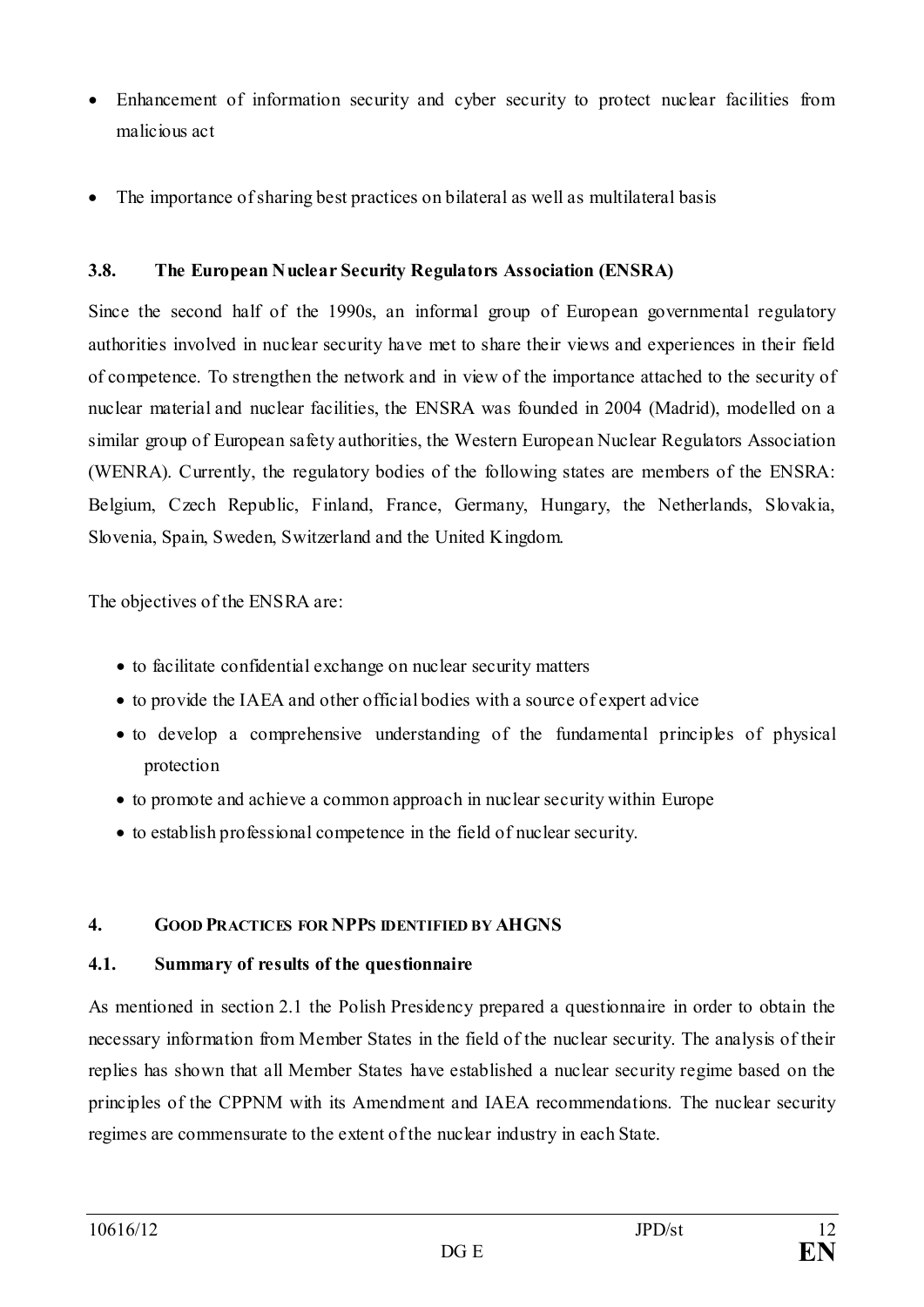- Enhancement of information security and cyber security to protect nuclear facilities from malicious act
- The importance of sharing best practices on bilateral as well as multilateral basis

## <span id="page-11-0"></span>**3.8. The European Nuclear Security Regulators Association (ENSRA)**

Since the second half of the 1990s, an informal group of European governmental regulatory authorities involved in nuclear security have met to share their views and experiences in their field of competence. To strengthen the network and in view of the importance attached to the security of nuclear material and nuclear facilities, the ENSRA was founded in 2004 (Madrid), modelled on a similar group of European safety authorities, the Western European Nuclear Regulators Association (WENRA). Currently, the regulatory bodies of the following states are members of the ENSRA: Belgium, Czech Republic, Finland, France, Germany, Hungary, the Netherlands, Slovakia, Slovenia, Spain, Sweden, Switzerland and the United Kingdom.

The objectives of the ENSRA are:

- to facilitate confidential exchange on nuclear security matters
- to provide the IAEA and other official bodies with a source of expert advice
- to develop a comprehensive understanding of the fundamental principles of physical protection
- to promote and achieve a common approach in nuclear security within Europe
- to establish professional competence in the field of nuclear security.

# <span id="page-11-1"></span>**4. GOOD PRACTICES FOR NPPS IDENTIFIED BY AHGNS**

#### <span id="page-11-2"></span>**4.1. Summary of results of the questionnaire**

As mentioned in section 2.1 the Polish Presidency prepared a questionnaire in order to obtain the necessary information from Member States in the field of the nuclear security. The analysis of their replies has shown that all Member States have established a nuclear security regime based on the principles of the CPPNM with its Amendment and IAEA recommendations. The nuclear security regimes are commensurate to the extent of the nuclear industry in each State.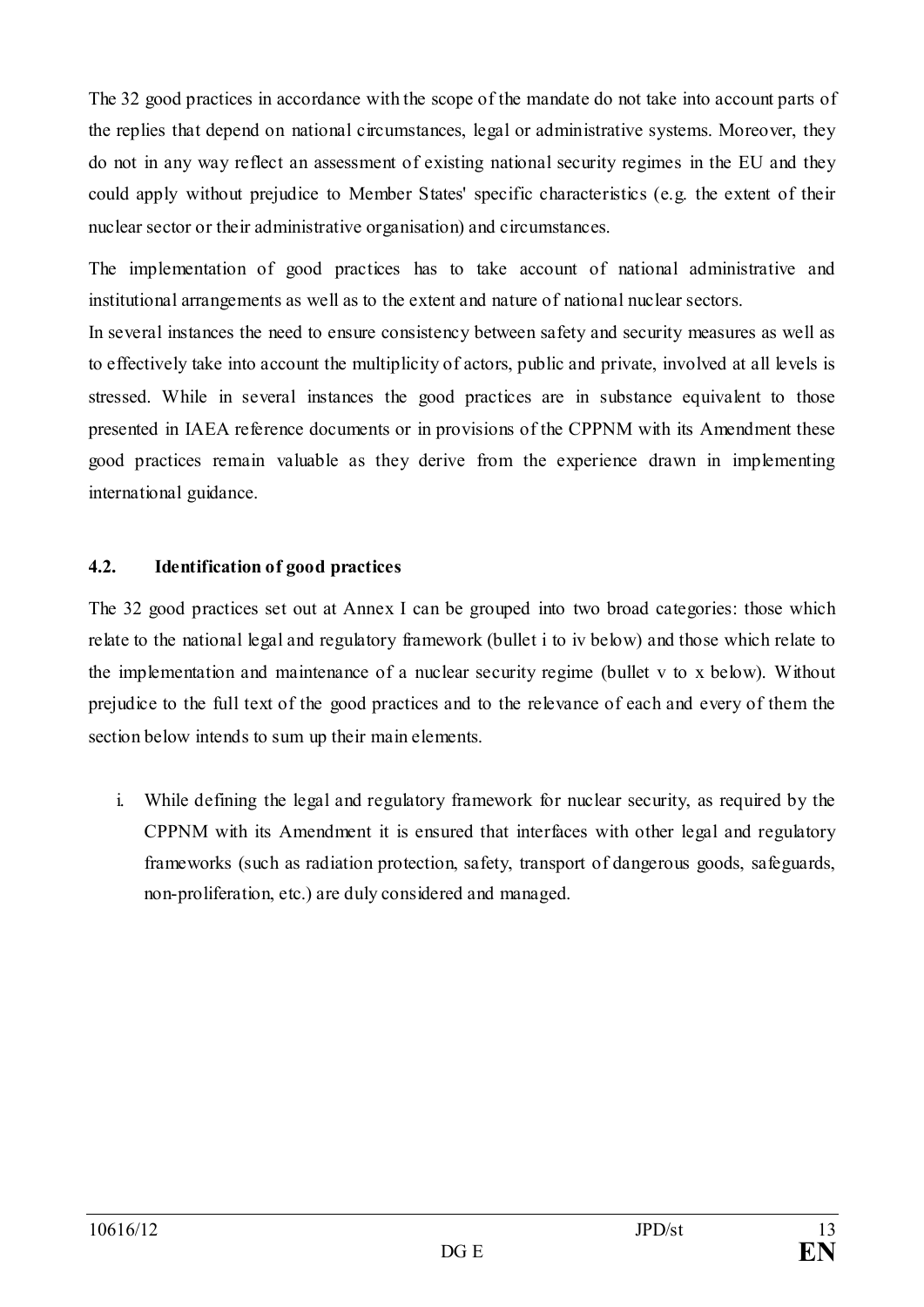The 32 good practices in accordance with the scope of the mandate do not take into account parts of the replies that depend on national circumstances, legal or administrative systems. Moreover, they do not in any way reflect an assessment of existing national security regimes in the EU and they could apply without prejudice to Member States' specific characteristics (e.g. the extent of their nuclear sector or their administrative organisation) and circumstances.

The implementation of good practices has to take account of national administrative and institutional arrangements as well as to the extent and nature of national nuclear sectors.

In several instances the need to ensure consistency between safety and security measures as well as to effectively take into account the multiplicity of actors, public and private, involved at all levels is stressed. While in several instances the good practices are in substance equivalent to those presented in IAEA reference documents or in provisions of the CPPNM with its Amendment these good practices remain valuable as they derive from the experience drawn in implementing international guidance.

## <span id="page-12-0"></span>**4.2. Identification of good practices**

The 32 good practices set out at Annex I can be grouped into two broad categories: those which relate to the national legal and regulatory framework (bullet i to iv below) and those which relate to the implementation and maintenance of a nuclear security regime (bullet v to x below). Without prejudice to the full text of the good practices and to the relevance of each and every of them the section below intends to sum up their main elements.

i. While defining the legal and regulatory framework for nuclear security, as required by the CPPNM with its Amendment it is ensured that interfaces with other legal and regulatory frameworks (such as radiation protection, safety, transport of dangerous goods, safeguards, non-proliferation, etc.) are duly considered and managed.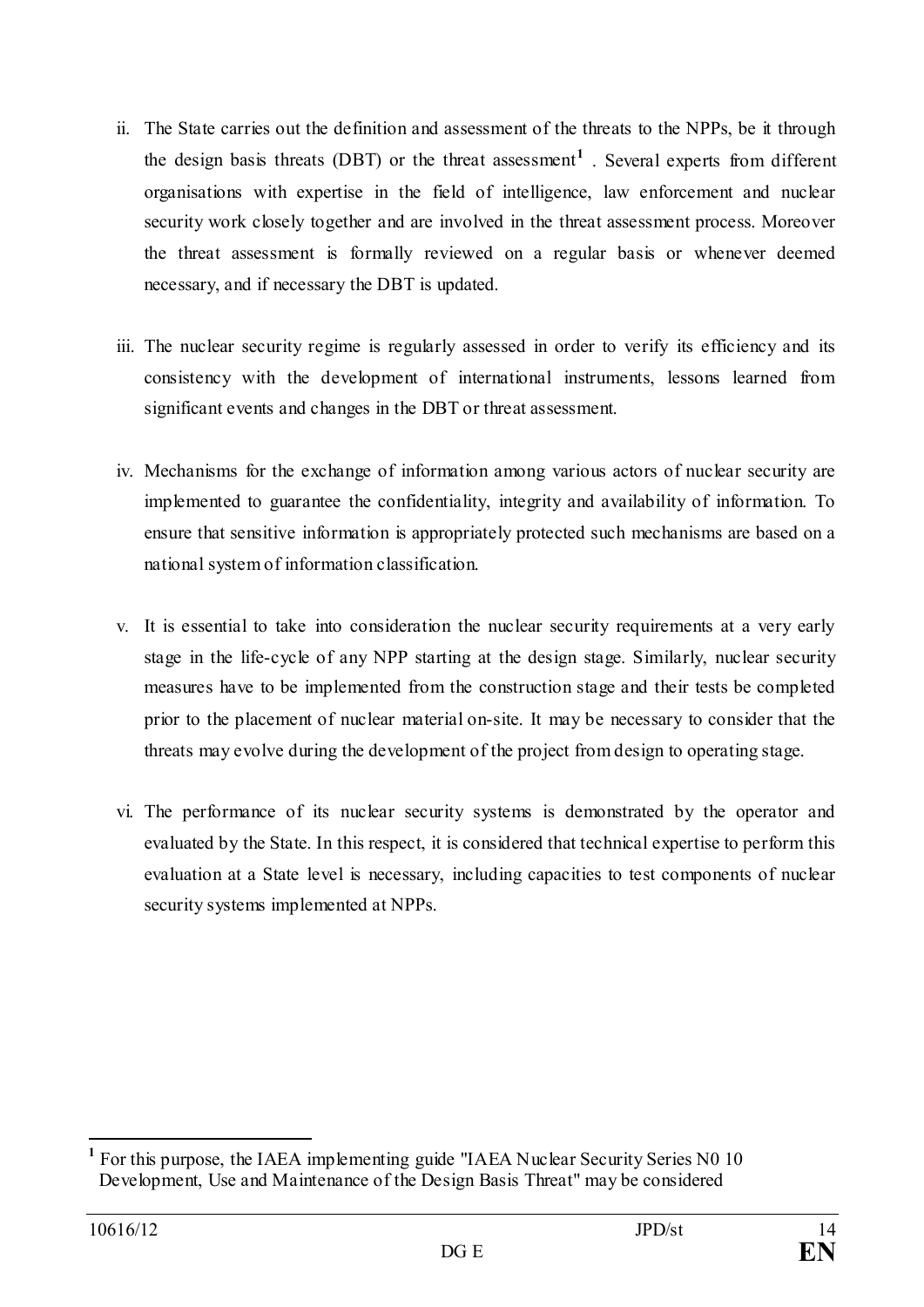- ii. The State carries out the definition and assessment of the threats to the NPPs, be it through the design basis threats (DBT) or the threat assessment**[1](#page-13-0)** . Several experts from different organisations with expertise in the field of intelligence, law enforcement and nuclear security work closely together and are involved in the threat assessment process. Moreover the threat assessment is formally reviewed on a regular basis or whenever deemed necessary, and if necessary the DBT is updated.
- iii. The nuclear security regime is regularly assessed in order to verify its efficiency and its consistency with the development of international instruments, lessons learned from significant events and changes in the DBT or threat assessment.
- iv. Mechanisms for the exchange of information among various actors of nuclear security are implemented to guarantee the confidentiality, integrity and availability of information. To ensure that sensitive information is appropriately protected such mechanisms are based on a national system of information classification.
- v. It is essential to take into consideration the nuclear security requirements at a very early stage in the life-cycle of any NPP starting at the design stage. Similarly, nuclear security measures have to be implemented from the construction stage and their tests be completed prior to the placement of nuclear material on-site. It may be necessary to consider that the threats may evolve during the development of the project from design to operating stage.
- vi. The performance of its nuclear security systems is demonstrated by the operator and evaluated by the State. In this respect, it is considered that technical expertise to perform this evaluation at a State level is necessary, including capacities to test components of nuclear security systems implemented at NPPs.

<span id="page-13-0"></span>**<sup>1</sup>** For this purpose, the IAEA implementing guide "IAEA Nuclear Security Series N0 10 Development, Use and Maintenance of the Design Basis Threat" may be considered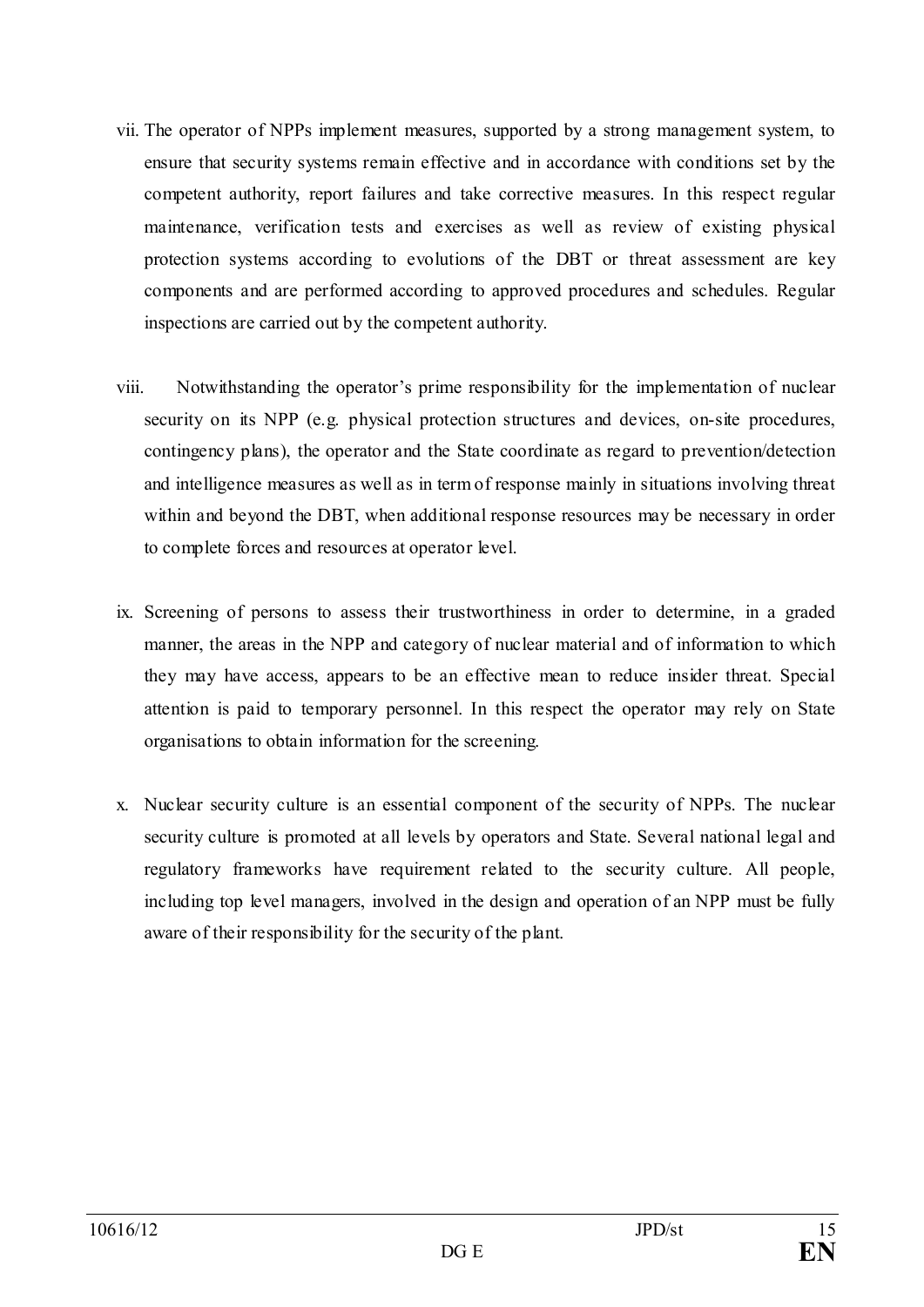- vii. The operator of NPPs implement measures, supported by a strong management system, to ensure that security systems remain effective and in accordance with conditions set by the competent authority, report failures and take corrective measures. In this respect regular maintenance, verification tests and exercises as well as review of existing physical protection systems according to evolutions of the DBT or threat assessment are key components and are performed according to approved procedures and schedules. Regular inspections are carried out by the competent authority.
- viii. Notwithstanding the operator's prime responsibility for the implementation of nuclear security on its NPP (e.g. physical protection structures and devices, on-site procedures, contingency plans), the operator and the State coordinate as regard to prevention/detection and intelligence measures as well as in term of response mainly in situations involving threat within and beyond the DBT, when additional response resources may be necessary in order to complete forces and resources at operator level.
- ix. Screening of persons to assess their trustworthiness in order to determine, in a graded manner, the areas in the NPP and category of nuclear material and of information to which they may have access, appears to be an effective mean to reduce insider threat. Special attention is paid to temporary personnel. In this respect the operator may rely on State organisations to obtain information for the screening.
- x. Nuclear security culture is an essential component of the security of NPPs. The nuclear security culture is promoted at all levels by operators and State. Several national legal and regulatory frameworks have requirement related to the security culture. All people, including top level managers, involved in the design and operation of an NPP must be fully aware of their responsibility for the security of the plant.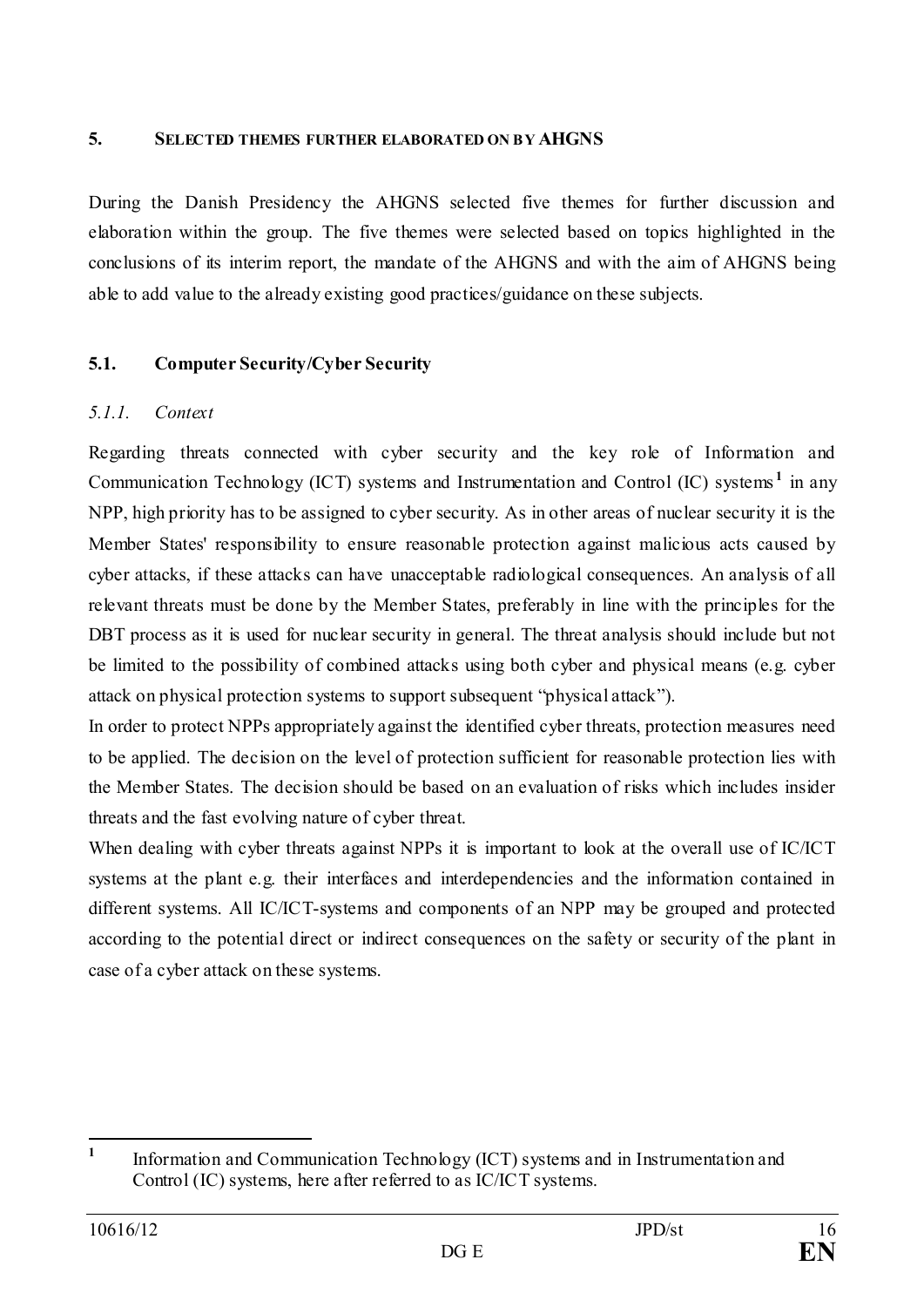#### <span id="page-15-0"></span>**5. SELECTED THEMES FURTHER ELABORATED ON BY AHGNS**

During the Danish Presidency the AHGNS selected five themes for further discussion and elaboration within the group. The five themes were selected based on topics highlighted in the conclusions of its interim report, the mandate of the AHGNS and with the aim of AHGNS being able to add value to the already existing good practices/guidance on these subjects.

# <span id="page-15-1"></span>**5.1. Computer Security/Cyber Security**

## <span id="page-15-2"></span>*5.1.1. Context*

Regarding threats connected with cyber security and the key role of Information and Communication Technology (ICT) systems and Instrumentation and Control (IC) systems **[1](#page-15-3)** in any NPP, high priority has to be assigned to cyber security. As in other areas of nuclear security it is the Member States' responsibility to ensure reasonable protection against malicious acts caused by cyber attacks, if these attacks can have unacceptable radiological consequences. An analysis of all relevant threats must be done by the Member States, preferably in line with the principles for the DBT process as it is used for nuclear security in general. The threat analysis should include but not be limited to the possibility of combined attacks using both cyber and physical means (e.g. cyber attack on physical protection systems to support subsequent "physical attack").

In order to protect NPPs appropriately against the identified cyber threats, protection measures need to be applied. The decision on the level of protection sufficient for reasonable protection lies with the Member States. The decision should be based on an evaluation of risks which includes insider threats and the fast evolving nature of cyber threat.

When dealing with cyber threats against NPPs it is important to look at the overall use of IC/ICT systems at the plant e.g. their interfaces and interdependencies and the information contained in different systems. All IC/ICT-systems and components of an NPP may be grouped and protected according to the potential direct or indirect consequences on the safety or security of the plant in case of a cyber attack on these systems.

<span id="page-15-3"></span>**<sup>1</sup>** Information and Communication Technology (ICT) systems and in Instrumentation and Control (IC) systems, here after referred to as IC/ICT systems.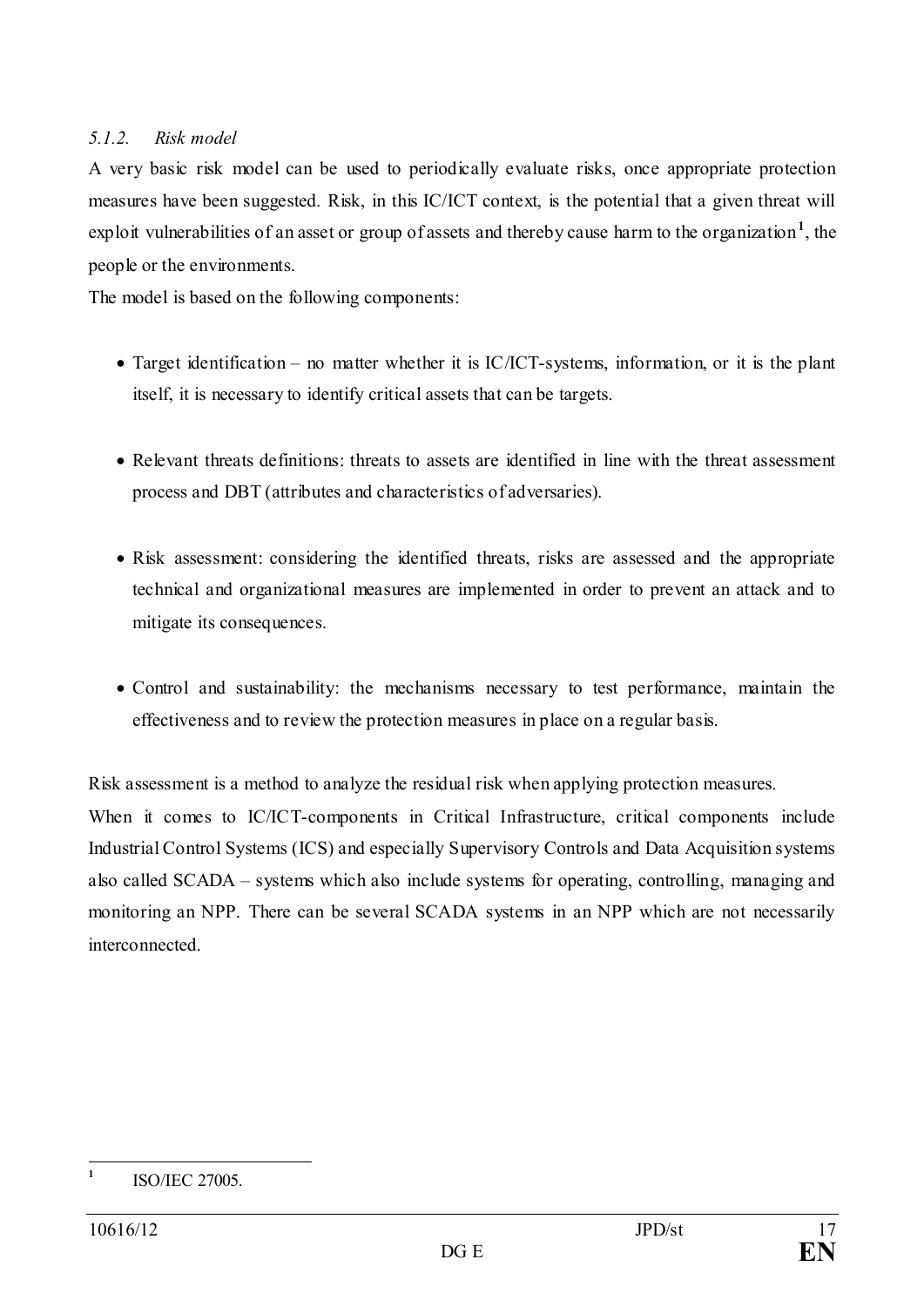## <span id="page-16-0"></span>*5.1.2. Risk model*

A very basic risk model can be used to periodically evaluate risks, once appropriate protection measures have been suggested. Risk, in this IC/ICT context, is the potential that a given threat will exploit vulnerabilities of an asset or group of assets and thereby cause harm to the organization<sup>[1](#page-16-1)</sup>, the people or the environments.

The model is based on the following components:

- Target identification no matter whether it is IC/ICT-systems, information, or it is the plant itself, it is necessary to identify critical assets that can be targets.
- Relevant threats definitions: threats to assets are identified in line with the threat assessment process and DBT (attributes and characteristics of adversaries).
- Risk assessment: considering the identified threats, risks are assessed and the appropriate technical and organizational measures are implemented in order to prevent an attack and to mitigate its consequences.
- Control and sustainability: the mechanisms necessary to test performance, maintain the effectiveness and to review the protection measures in place on a regular basis.

Risk assessment is a method to analyze the residual risk when applying protection measures.

When it comes to IC/ICT-components in Critical Infrastructure, critical components include Industrial Control Systems (ICS) and especially Supervisory Controls and Data Acquisition systems also called SCADA – systems which also include systems for operating, controlling, managing and monitoring an NPP. There can be several SCADA systems in an NPP which are not necessarily interconnected.

<span id="page-16-1"></span>**<sup>1</sup>** ISO/IEC 27005.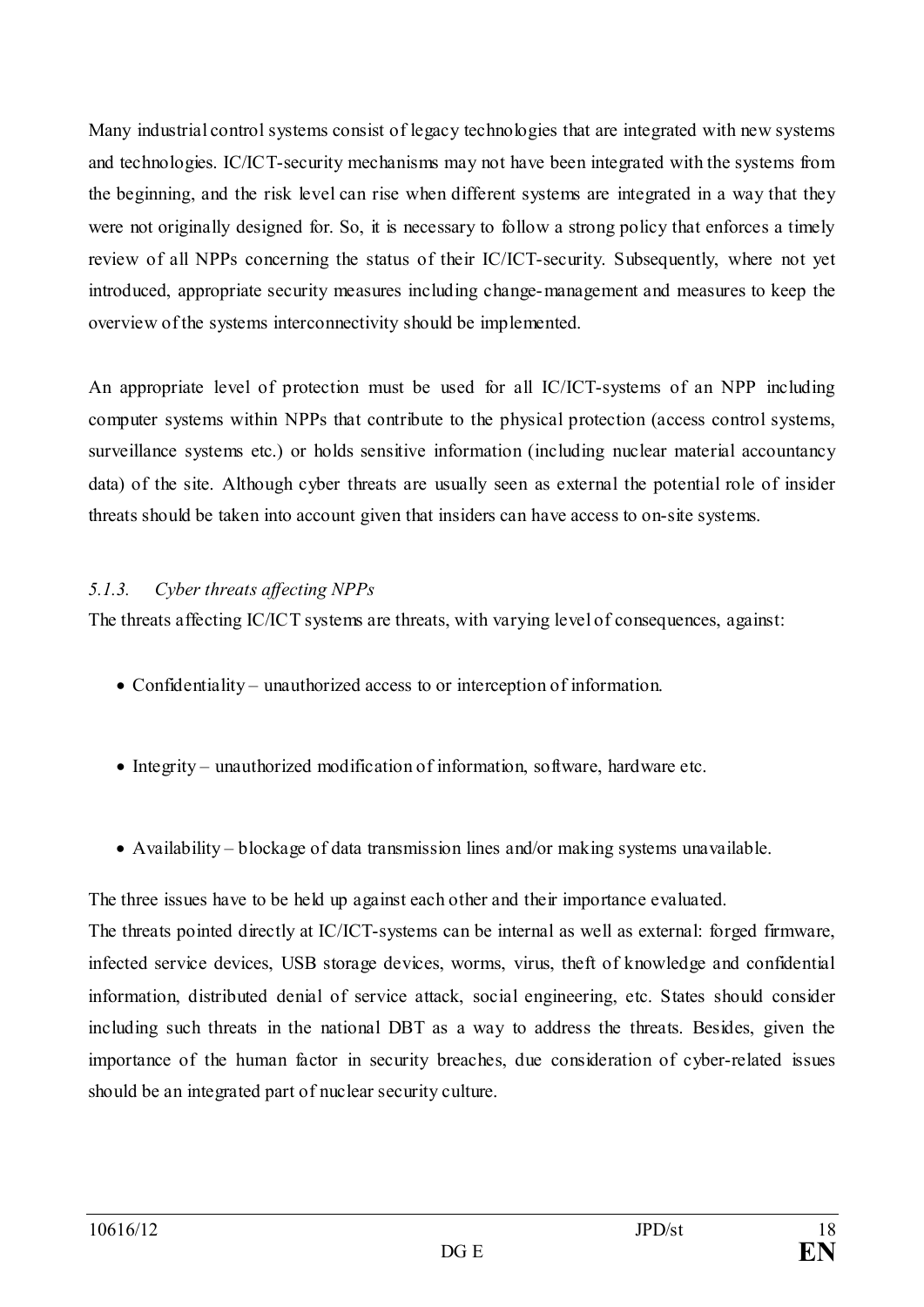Many industrial control systems consist of legacy technologies that are integrated with new systems and technologies. IC/ICT-security mechanisms may not have been integrated with the systems from the beginning, and the risk level can rise when different systems are integrated in a way that they were not originally designed for. So, it is necessary to follow a strong policy that enforces a timely review of all NPPs concerning the status of their IC/ICT-security. Subsequently, where not yet introduced, appropriate security measures including change-management and measures to keep the overview of the systems interconnectivity should be implemented.

An appropriate level of protection must be used for all IC/ICT-systems of an NPP including computer systems within NPPs that contribute to the physical protection (access control systems, surveillance systems etc.) or holds sensitive information (including nuclear material accountancy data) of the site. Although cyber threats are usually seen as external the potential role of insider threats should be taken into account given that insiders can have access to on-site systems.

# <span id="page-17-0"></span>*5.1.3. Cyber threats affecting NPPs*

The threats affecting IC/ICT systems are threats, with varying level of consequences, against:

- Confidentiality unauthorized access to or interception of information.
- Integrity unauthorized modification of information, software, hardware etc.
- Availability blockage of data transmission lines and/or making systems unavailable.

The three issues have to be held up against each other and their importance evaluated.

The threats pointed directly at IC/ICT-systems can be internal as well as external: forged firmware, infected service devices, USB storage devices, worms, virus, theft of knowledge and confidential information, distributed denial of service attack, social engineering, etc. States should consider including such threats in the national DBT as a way to address the threats. Besides, given the importance of the human factor in security breaches, due consideration of cyber-related issues should be an integrated part of nuclear security culture.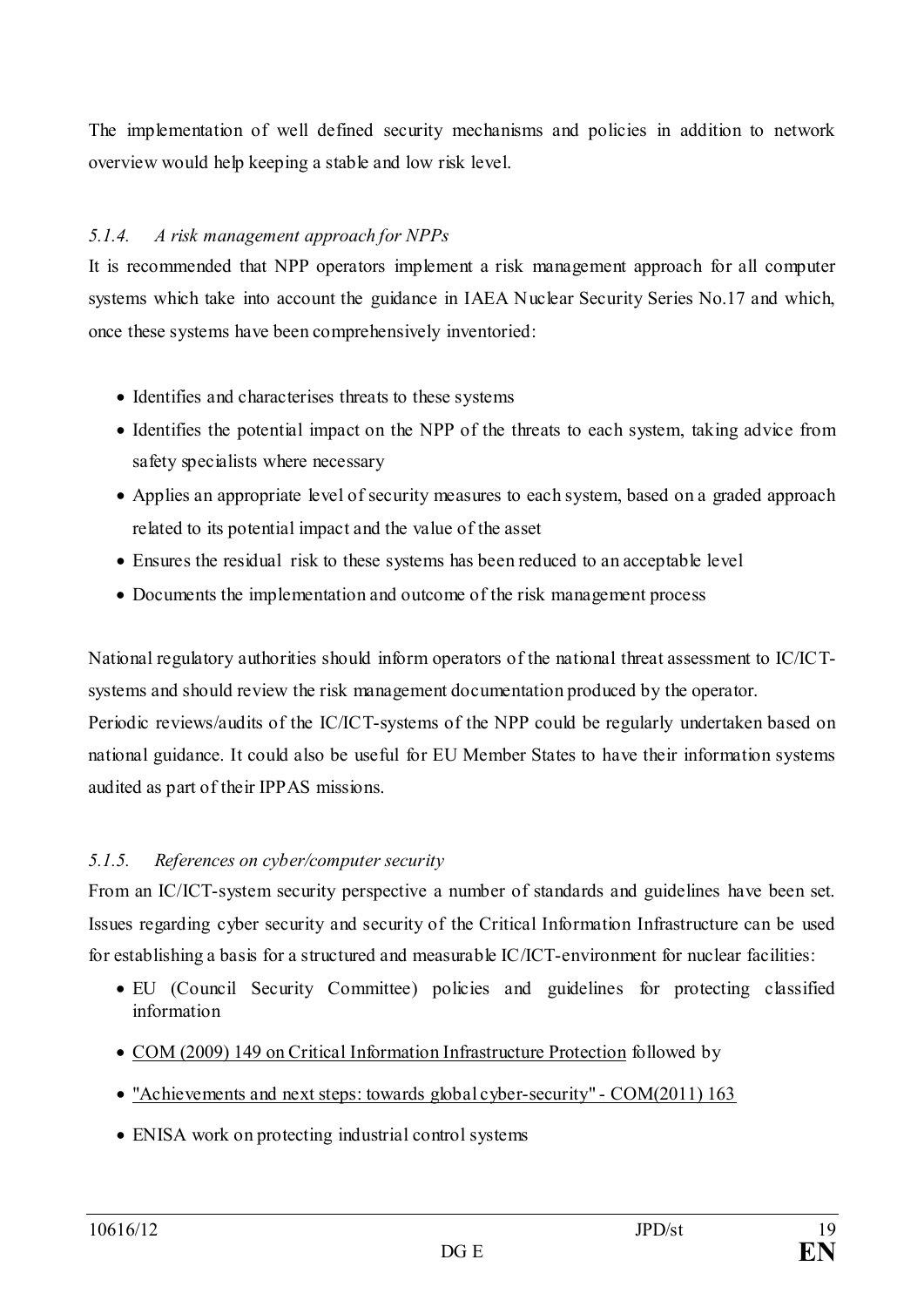The implementation of well defined security mechanisms and policies in addition to network overview would help keeping a stable and low risk level.

## <span id="page-18-0"></span>*5.1.4. A risk management approach for NPPs*

It is recommended that NPP operators implement a risk management approach for all computer systems which take into account the guidance in IAEA Nuclear Security Series No.17 and which, once these systems have been comprehensively inventoried:

- Identifies and characterises threats to these systems
- Identifies the potential impact on the NPP of the threats to each system, taking advice from safety specialists where necessary
- Applies an appropriate level of security measures to each system, based on a graded approach related to its potential impact and the value of the asset
- Ensures the residual risk to these systems has been reduced to an acceptable level
- Documents the implementation and outcome of the risk management process

National regulatory authorities should inform operators of the national threat assessment to IC/ICTsystems and should review the risk management documentation produced by the operator. Periodic reviews/audits of the IC/ICT-systems of the NPP could be regularly undertaken based on national guidance. It could also be useful for EU Member States to have their information systems audited as part of their IPPAS missions.

#### <span id="page-18-1"></span>*5.1.5. References on cyber/computer security*

From an IC/ICT-system security perspective a number of standards and guidelines have been set. Issues regarding cyber security and security of the Critical Information Infrastructure can be used for establishing a basis for a structured and measurable IC/ICT-environment for nuclear facilities:

- EU (Council Security Committee) policies and guidelines for protecting classified information
- [COM \(2009\) 149 on Critical Information Infrastructure Protection](http://eur-lex.europa.eu/LexUriServ/LexUriServ.do?uri=COM:2009:0149:FIN:EN:PDF) followed by
- ["Achievements and next steps: towards global cyber-security" -](http://eur-lex.europa.eu/LexUriServ/LexUriServ.do?uri=COM:2011:0163:FIN:EN:PDF) COM(2011) 163
- ENISA work on protecting industrial control systems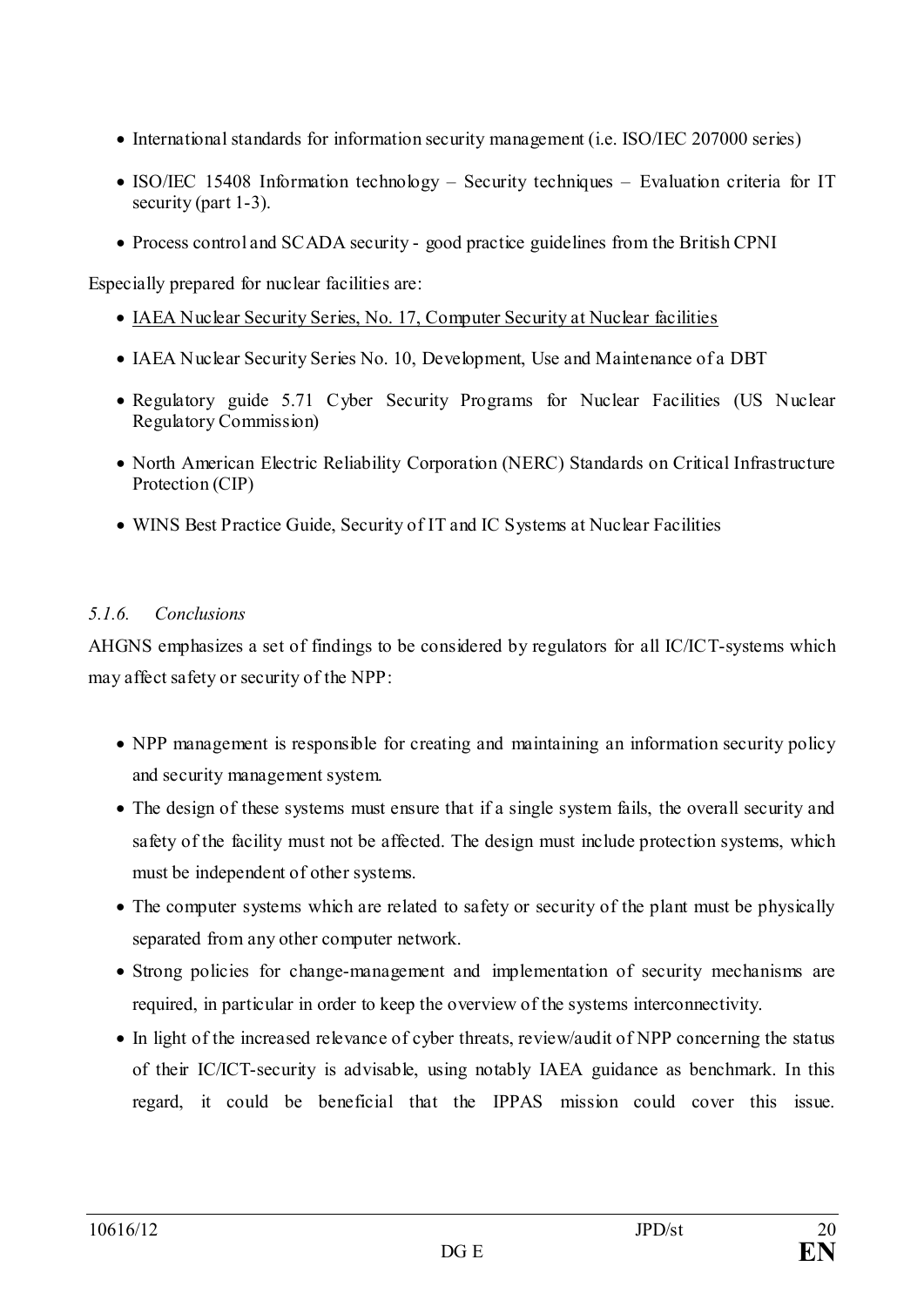- International standards for information security management (i.e. ISO/IEC 207000 series)
- ISO/IEC 15408 Information technology Security techniques Evaluation criteria for IT security (part 1-3).
- Process control and SCADA security good practice guidelines from the British CPNI

Especially prepared for nuclear facilities are:

- [IAEA Nuclear Security Series, No. 17, Computer Security at Nuclear facilities](http://www-pub.iaea.org/MTCD/Publications/PDF/Pub1527_web.pdf)
- IAEA Nuclear Security Series No. 10, Development, Use and Maintenance of a DBT
- Regulatory guide 5.71 Cyber Security Programs for Nuclear Facilities (US Nuclear Regulatory Commission)
- North American Electric Reliability Corporation (NERC) Standards on Critical Infrastructure Protection (CIP)
- WINS Best Practice Guide, Security of IT and IC Systems at Nuclear Facilities

# <span id="page-19-0"></span>*5.1.6. Conclusions*

AHGNS emphasizes a set of findings to be considered by regulators for all IC/ICT-systems which may affect safety or security of the NPP:

- NPP management is responsible for creating and maintaining an information security policy and security management system.
- The design of these systems must ensure that if a single system fails, the overall security and safety of the facility must not be affected. The design must include protection systems, which must be independent of other systems.
- The computer systems which are related to safety or security of the plant must be physically separated from any other computer network.
- Strong policies for change-management and implementation of security mechanisms are required, in particular in order to keep the overview of the systems interconnectivity.
- In light of the increased relevance of cyber threats, review/audit of NPP concerning the status of their IC/ICT-security is advisable, using notably IAEA guidance as benchmark. In this regard, it could be beneficial that the IPPAS mission could cover this issue.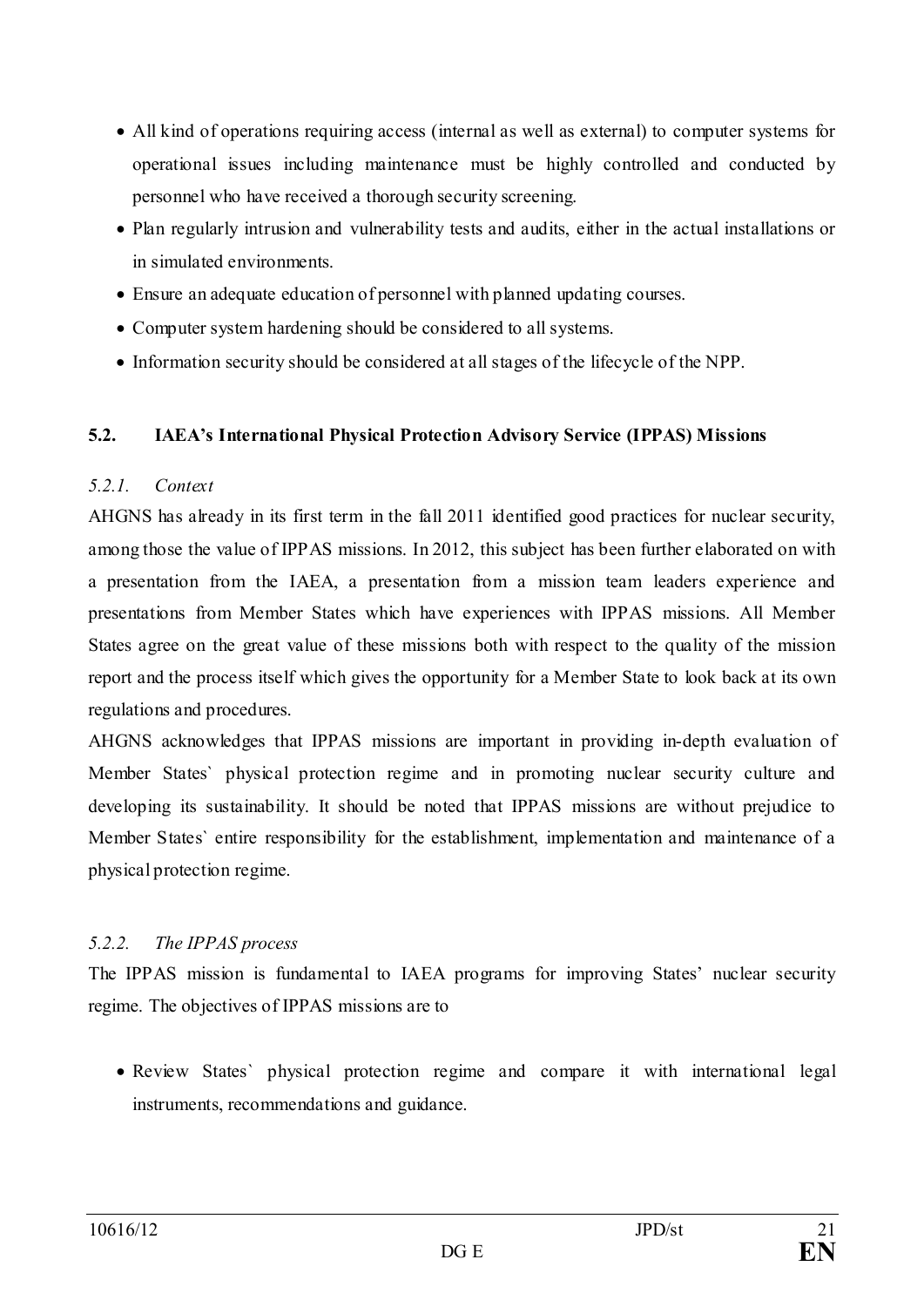- All kind of operations requiring access (internal as well as external) to computer systems for operational issues including maintenance must be highly controlled and conducted by personnel who have received a thorough security screening.
- Plan regularly intrusion and vulnerability tests and audits, either in the actual installations or in simulated environments.
- Ensure an adequate education of personnel with planned updating courses.
- Computer system hardening should be considered to all systems.
- Information security should be considered at all stages of the lifecycle of the NPP.

#### <span id="page-20-0"></span>**5.2. IAEA's International Physical Protection Advisory Service (IPPAS) Missions**

#### <span id="page-20-1"></span>*5.2.1. Context*

AHGNS has already in its first term in the fall 2011 identified good practices for nuclear security, among those the value of IPPAS missions. In 2012, this subject has been further elaborated on with a presentation from the IAEA, a presentation from a mission team leaders experience and presentations from Member States which have experiences with IPPAS missions. All Member States agree on the great value of these missions both with respect to the quality of the mission report and the process itself which gives the opportunity for a Member State to look back at its own regulations and procedures.

AHGNS acknowledges that IPPAS missions are important in providing in-depth evaluation of Member States` physical protection regime and in promoting nuclear security culture and developing its sustainability. It should be noted that IPPAS missions are without prejudice to Member States` entire responsibility for the establishment, implementation and maintenance of a physical protection regime.

#### <span id="page-20-2"></span>*5.2.2. The IPPAS process*

The IPPAS mission is fundamental to IAEA programs for improving States' nuclear security regime. The objectives of IPPAS missions are to

• Review States' physical protection regime and compare it with international legal instruments, recommendations and guidance.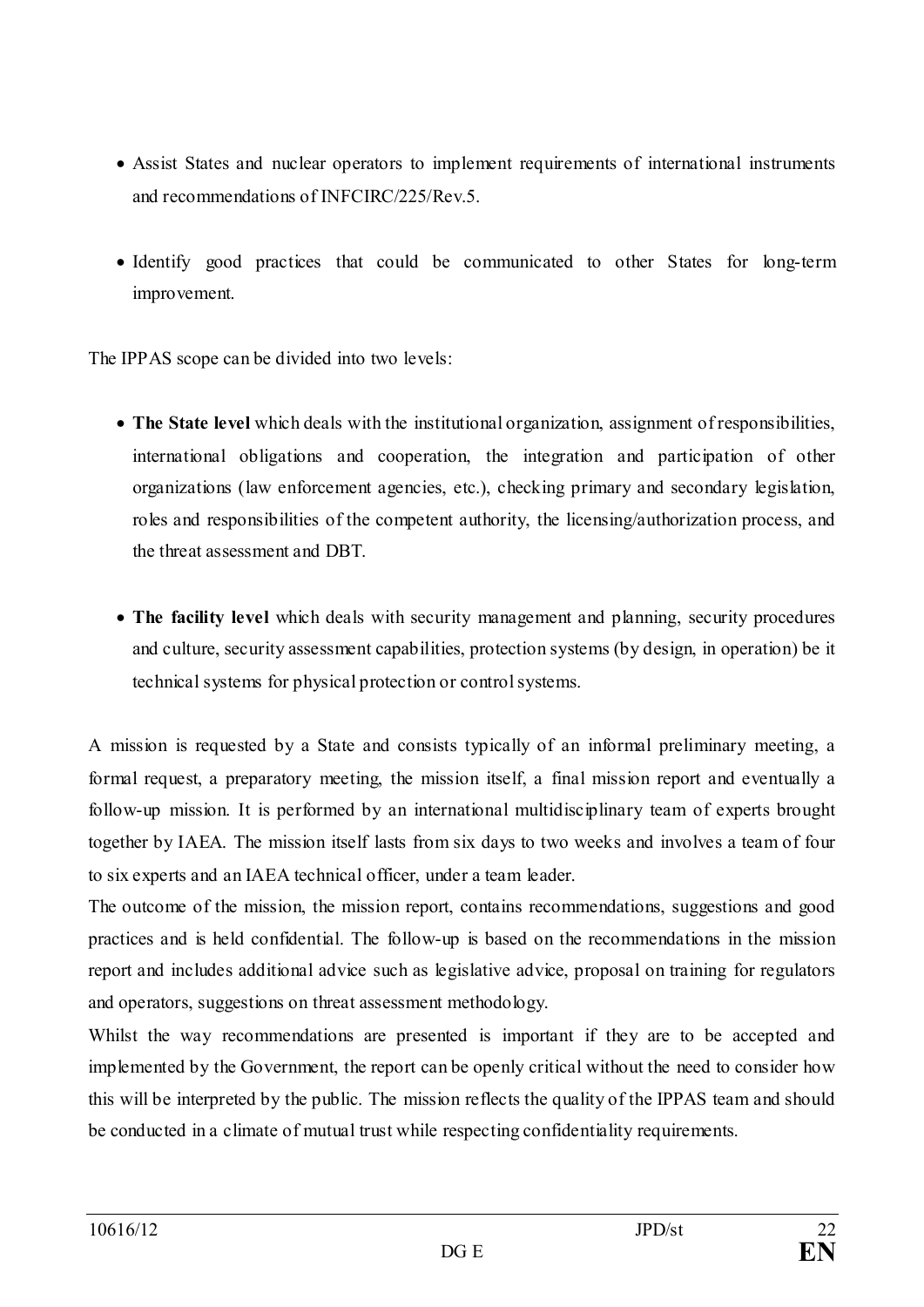- Assist States and nuclear operators to implement requirements of international instruments and recommendations of INFCIRC/225/Rev.5.
- Identify good practices that could be communicated to other States for long-term improvement.

The IPPAS scope can be divided into two levels:

- **The State level** which deals with the institutional organization, assignment of responsibilities, international obligations and cooperation, the integration and participation of other organizations (law enforcement agencies, etc.), checking primary and secondary legislation, roles and responsibilities of the competent authority, the licensing/authorization process, and the threat assessment and DBT.
- **The facility level** which deals with security management and planning, security procedures and culture, security assessment capabilities, protection systems (by design, in operation) be it technical systems for physical protection or control systems.

A mission is requested by a State and consists typically of an informal preliminary meeting, a formal request, a preparatory meeting, the mission itself, a final mission report and eventually a follow-up mission. It is performed by an international multidisciplinary team of experts brought together by IAEA. The mission itself lasts from six days to two weeks and involves a team of four to six experts and an IAEA technical officer, under a team leader.

The outcome of the mission, the mission report, contains recommendations, suggestions and good practices and is held confidential. The follow-up is based on the recommendations in the mission report and includes additional advice such as legislative advice, proposal on training for regulators and operators, suggestions on threat assessment methodology.

Whilst the way recommendations are presented is important if they are to be accepted and implemented by the Government, the report can be openly critical without the need to consider how this will be interpreted by the public. The mission reflects the quality of the IPPAS team and should be conducted in a climate of mutual trust while respecting confidentiality requirements.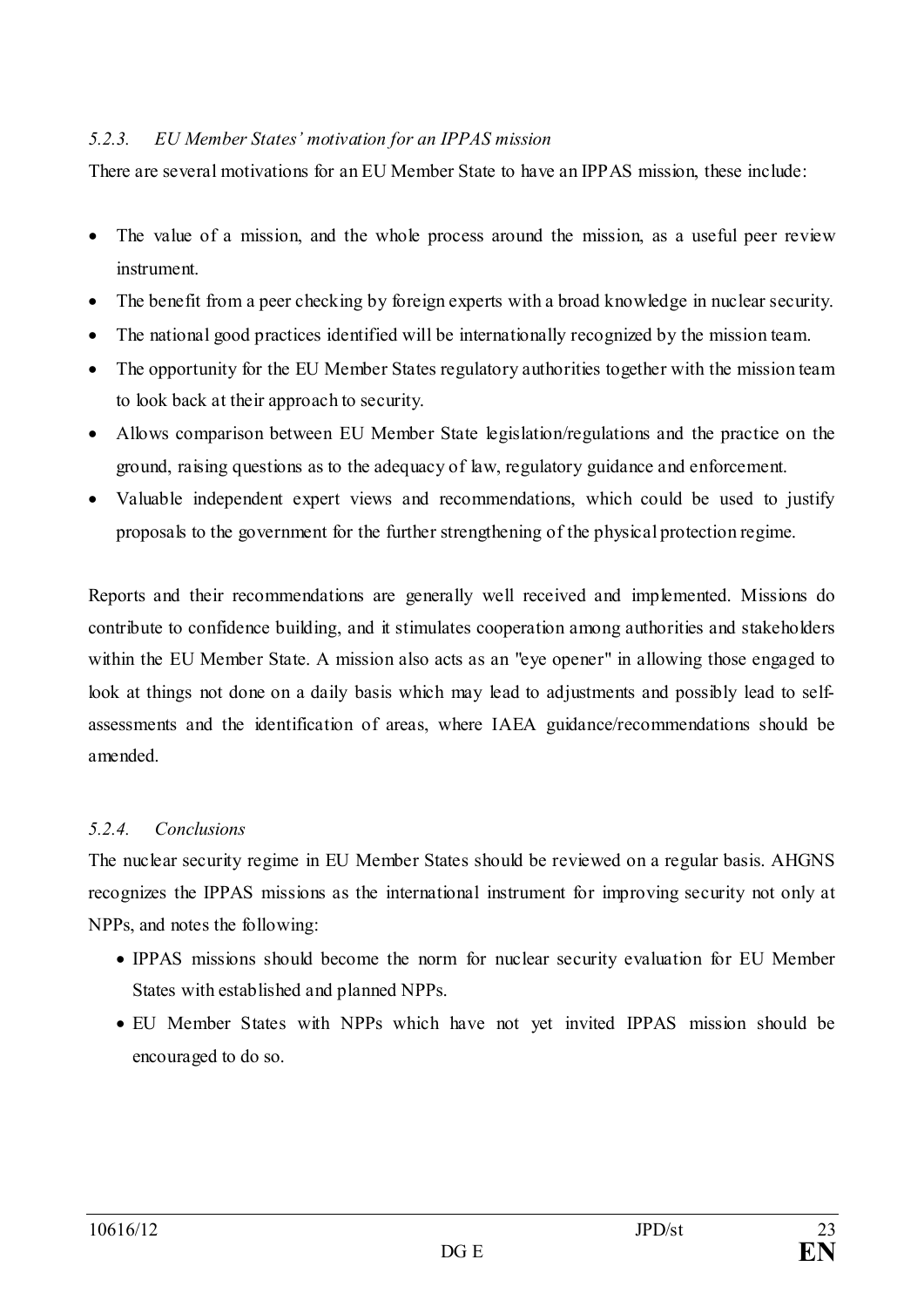#### <span id="page-22-0"></span>*5.2.3. EU Member States' motivation for an IPPAS mission*

There are several motivations for an EU Member State to have an IPPAS mission, these include:

- The value of a mission, and the whole process around the mission, as a useful peer review instrument.
- The benefit from a peer checking by foreign experts with a broad knowledge in nuclear security.
- The national good practices identified will be internationally recognized by the mission team.
- The opportunity for the EU Member States regulatory authorities together with the mission team to look back at their approach to security.
- Allows comparison between EU Member State legislation/regulations and the practice on the ground, raising questions as to the adequacy of law, regulatory guidance and enforcement.
- Valuable independent expert views and recommendations, which could be used to justify proposals to the government for the further strengthening of the physical protection regime.

Reports and their recommendations are generally well received and implemented. Missions do contribute to confidence building, and it stimulates cooperation among authorities and stakeholders within the EU Member State. A mission also acts as an "eye opener" in allowing those engaged to look at things not done on a daily basis which may lead to adjustments and possibly lead to selfassessments and the identification of areas, where IAEA guidance/recommendations should be amended.

#### <span id="page-22-1"></span>*5.2.4. Conclusions*

The nuclear security regime in EU Member States should be reviewed on a regular basis. AHGNS recognizes the IPPAS missions as the international instrument for improving security not only at NPPs, and notes the following:

- IPPAS missions should become the norm for nuclear security evaluation for EU Member States with established and planned NPPs.
- EU Member States with NPPs which have not yet invited IPPAS mission should be encouraged to do so.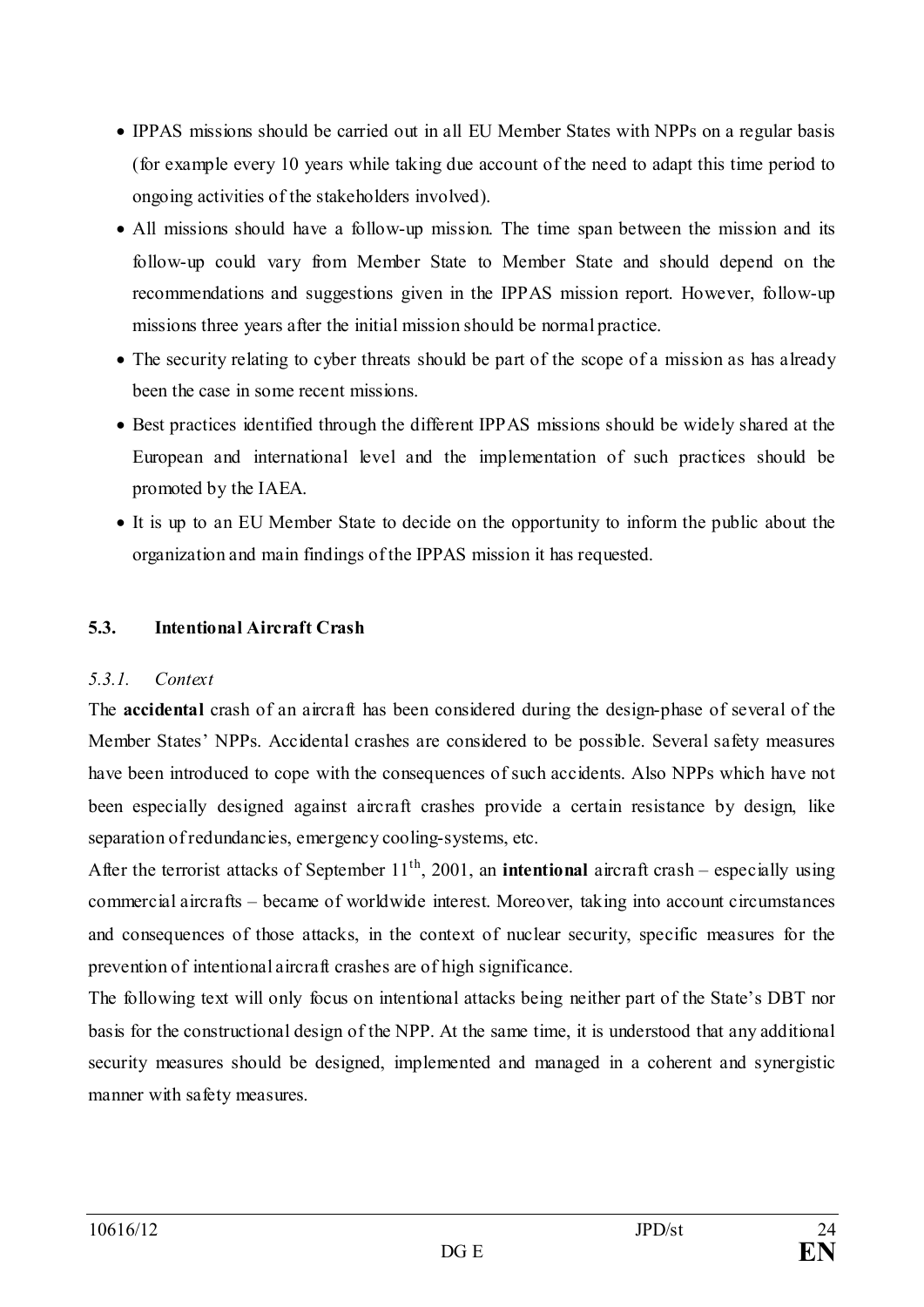- IPPAS missions should be carried out in all EU Member States with NPPs on a regular basis (for example every 10 years while taking due account of the need to adapt this time period to ongoing activities of the stakeholders involved).
- All missions should have a follow-up mission. The time span between the mission and its follow-up could vary from Member State to Member State and should depend on the recommendations and suggestions given in the IPPAS mission report. However, follow-up missions three years after the initial mission should be normal practice.
- The security relating to cyber threats should be part of the scope of a mission as has already been the case in some recent missions.
- Best practices identified through the different IPPAS missions should be widely shared at the European and international level and the implementation of such practices should be promoted by the IAEA.
- It is up to an EU Member State to decide on the opportunity to inform the public about the organization and main findings of the IPPAS mission it has requested.

# <span id="page-23-0"></span>**5.3. Intentional Aircraft Crash**

#### <span id="page-23-1"></span>*5.3.1. Context*

The **accidental** crash of an aircraft has been considered during the design-phase of several of the Member States' NPPs. Accidental crashes are considered to be possible. Several safety measures have been introduced to cope with the consequences of such accidents. Also NPPs which have not been especially designed against aircraft crashes provide a certain resistance by design, like separation of redundancies, emergency cooling-systems, etc.

After the terrorist attacks of September  $11<sup>th</sup>$ , 2001, an **intentional** aircraft crash – especially using commercial aircrafts – became of worldwide interest. Moreover, taking into account circumstances and consequences of those attacks, in the context of nuclear security, specific measures for the prevention of intentional aircraft crashes are of high significance.

The following text will only focus on intentional attacks being neither part of the State's DBT nor basis for the constructional design of the NPP. At the same time, it is understood that any additional security measures should be designed, implemented and managed in a coherent and synergistic manner with safety measures.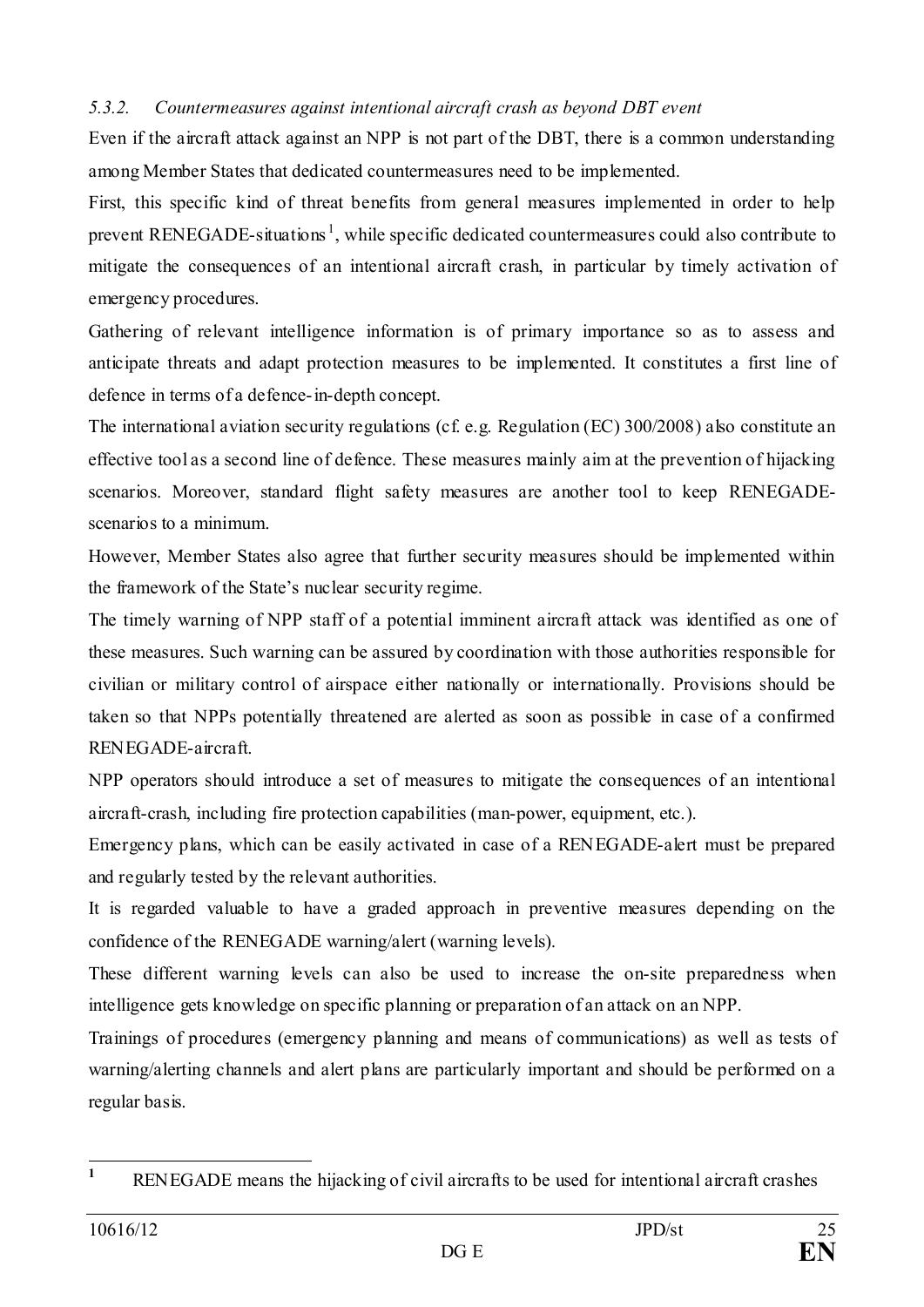#### <span id="page-24-0"></span>*5.3.2. Countermeasures against intentional aircraft crash as beyond DBT event*

Even if the aircraft attack against an NPP is not part of the DBT, there is a common understanding among Member States that dedicated countermeasures need to be implemented.

First, this specific kind of threat benefits from general measures implemented in order to help prevent RENEGADE-situations<sup>[1](#page-24-1)</sup>, while specific dedicated countermeasures could also contribute to mitigate the consequences of an intentional aircraft crash, in particular by timely activation of emergency procedures.

Gathering of relevant intelligence information is of primary importance so as to assess and anticipate threats and adapt protection measures to be implemented. It constitutes a first line of defence in terms of a defence-in-depth concept.

The international aviation security regulations (cf. e.g. Regulation (EC) 300/2008) also constitute an effective tool as a second line of defence. These measures mainly aim at the prevention of hijacking scenarios. Moreover, standard flight safety measures are another tool to keep RENEGADEscenarios to a minimum.

However, Member States also agree that further security measures should be implemented within the framework of the State's nuclear security regime.

The timely warning of NPP staff of a potential imminent aircraft attack was identified as one of these measures. Such warning can be assured by coordination with those authorities responsible for civilian or military control of airspace either nationally or internationally. Provisions should be taken so that NPPs potentially threatened are alerted as soon as possible in case of a confirmed RENEGADE-aircraft.

NPP operators should introduce a set of measures to mitigate the consequences of an intentional aircraft-crash, including fire protection capabilities (man-power, equipment, etc.).

Emergency plans, which can be easily activated in case of a RENEGADE-alert must be prepared and regularly tested by the relevant authorities.

It is regarded valuable to have a graded approach in preventive measures depending on the confidence of the RENEGADE warning/alert (warning levels).

These different warning levels can also be used to increase the on-site preparedness when intelligence gets knowledge on specific planning or preparation of an attack on an NPP.

Trainings of procedures (emergency planning and means of communications) as well as tests of warning/alerting channels and alert plans are particularly important and should be performed on a regular basis.

<span id="page-24-1"></span>**<sup>1</sup>** RENEGADE means the hijacking of civil aircrafts to be used for intentional aircraft crashes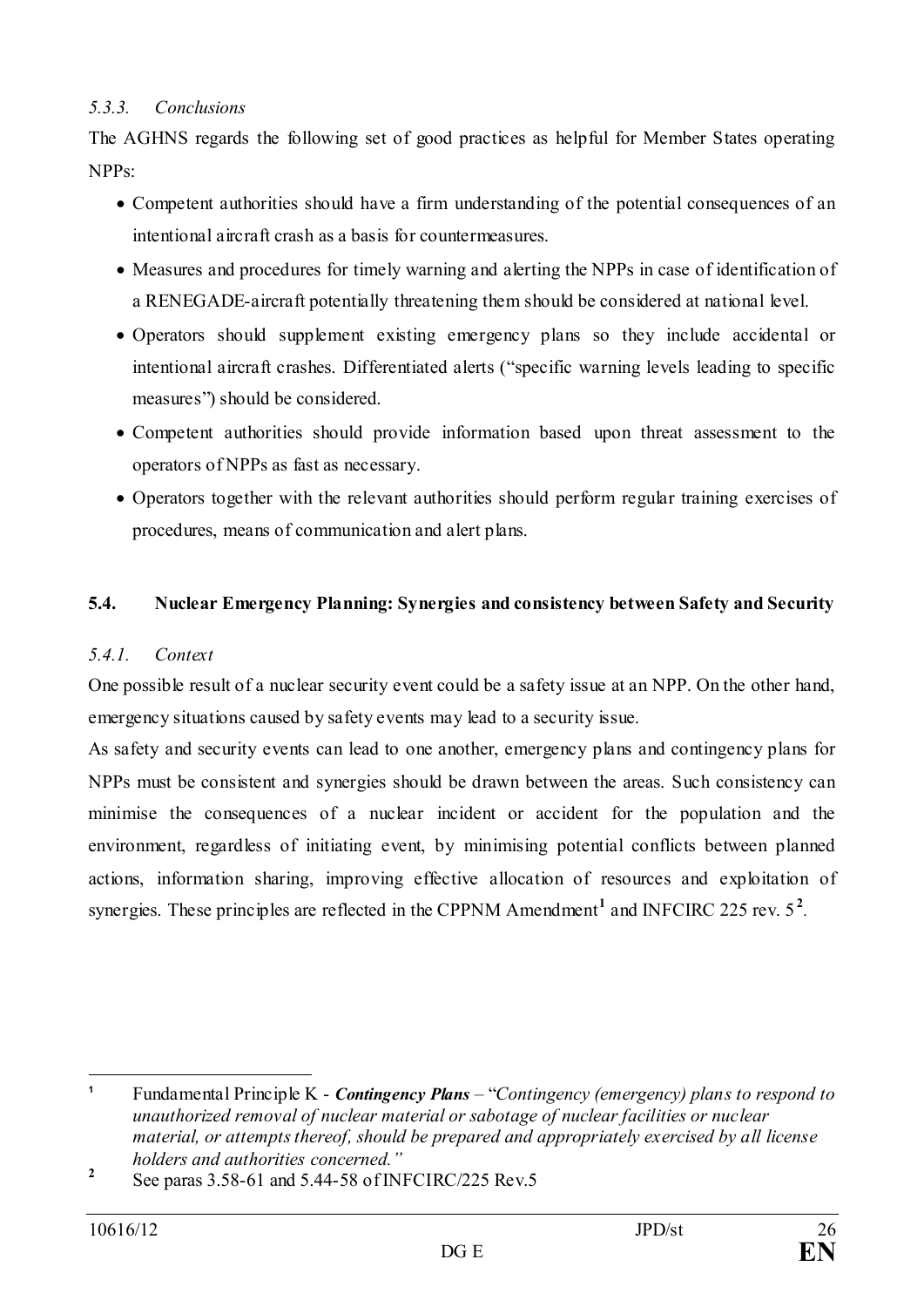#### <span id="page-25-0"></span>*5.3.3. Conclusions*

The AGHNS regards the following set of good practices as helpful for Member States operating NPPs:

- Competent authorities should have a firm understanding of the potential consequences of an intentional aircraft crash as a basis for countermeasures.
- Measures and procedures for timely warning and alerting the NPPs in case of identification of a RENEGADE-aircraft potentially threatening them should be considered at national level.
- Operators should supplement existing emergency plans so they include accidental or intentional aircraft crashes. Differentiated alerts ("specific warning levels leading to specific measures") should be considered.
- Competent authorities should provide information based upon threat assessment to the operators of NPPs as fast as necessary.
- Operators together with the relevant authorities should perform regular training exercises of procedures, means of communication and alert plans.

#### <span id="page-25-1"></span>**5.4. Nuclear Emergency Planning: Synergies and consistency between Safety and Security**

#### <span id="page-25-2"></span>*5.4.1. Context*

One possible result of a nuclear security event could be a safety issue at an NPP. On the other hand, emergency situations caused by safety events may lead to a security issue.

As safety and security events can lead to one another, emergency plans and contingency plans for NPPs must be consistent and synergies should be drawn between the areas. Such consistency can minimise the consequences of a nuclear incident or accident for the population and the environment, regardless of initiating event, by minimising potential conflicts between planned actions, information sharing, improving effective allocation of resources and exploitation of synergies. These principles are reflected in the CPPNM Amendment<sup>[1](#page-25-3)</sup> and INFCIRC [2](#page-25-4)25 rev. 5<sup>2</sup>.

<span id="page-25-3"></span><sup>&</sup>lt;u>.</u> **<sup>1</sup>** Fundamental Principle K - *Contingency Plans* – "*Contingency (emergency) plans to respond to unauthorized removal of nuclear material or sabotage of nuclear facilities or nuclear material, or attempts thereof, should be prepared and appropriately exercised by all license holders and authorities concerned."*

<span id="page-25-4"></span><sup>&</sup>lt;sup>2</sup> See paras 3.58-61 and 5.44-58 of INFCIRC/225 Rev.5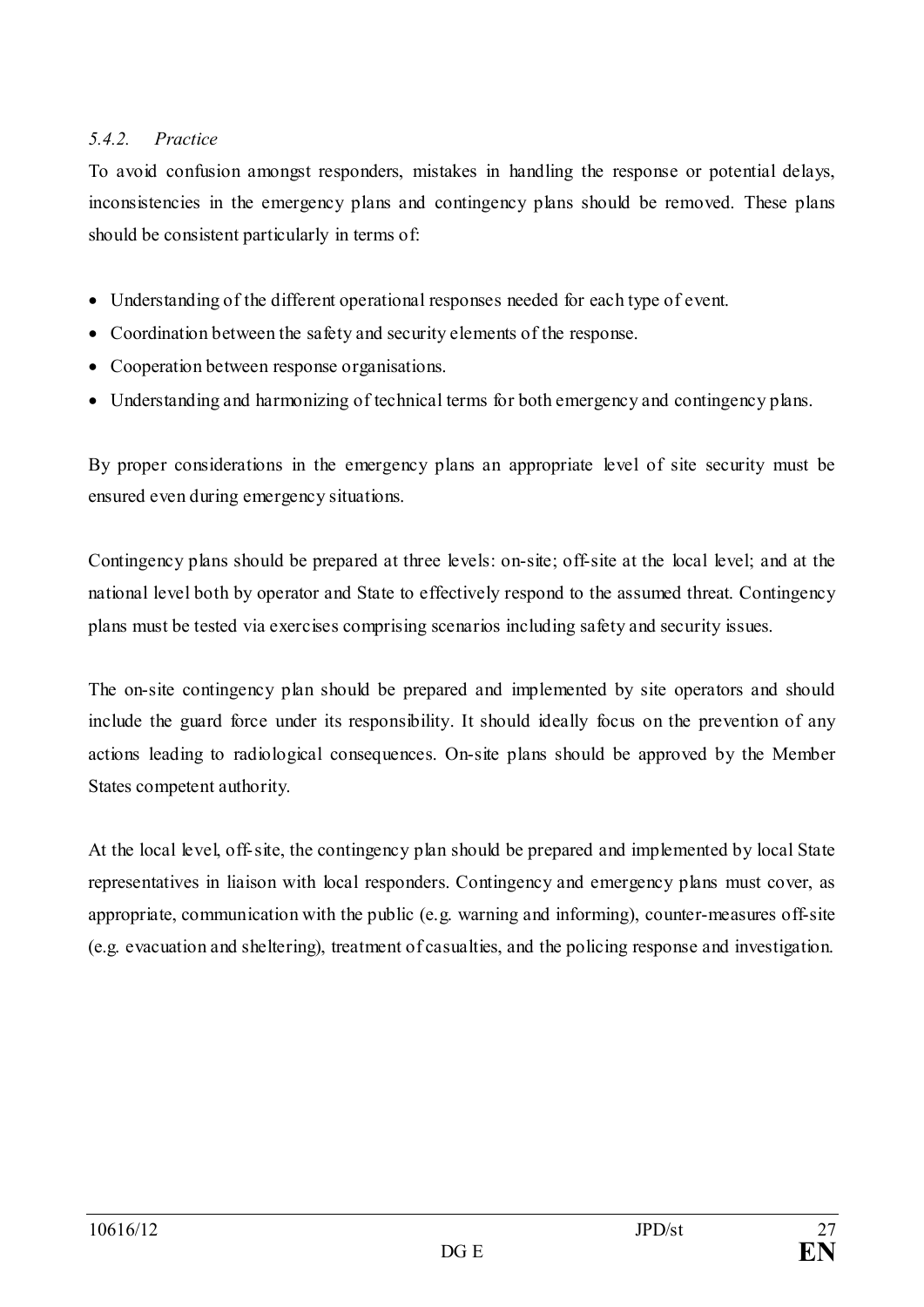# <span id="page-26-0"></span>*5.4.2. Practice*

To avoid confusion amongst responders, mistakes in handling the response or potential delays, inconsistencies in the emergency plans and contingency plans should be removed. These plans should be consistent particularly in terms of:

- Understanding of the different operational responses needed for each type of event.
- Coordination between the safety and security elements of the response.
- Cooperation between response organisations.
- Understanding and harmonizing of technical terms for both emergency and contingency plans.

By proper considerations in the emergency plans an appropriate level of site security must be ensured even during emergency situations.

Contingency plans should be prepared at three levels: on-site; off-site at the local level; and at the national level both by operator and State to effectively respond to the assumed threat. Contingency plans must be tested via exercises comprising scenarios including safety and security issues.

The on-site contingency plan should be prepared and implemented by site operators and should include the guard force under its responsibility. It should ideally focus on the prevention of any actions leading to radiological consequences. On-site plans should be approved by the Member States competent authority.

At the local level, off-site, the contingency plan should be prepared and implemented by local State representatives in liaison with local responders. Contingency and emergency plans must cover, as appropriate, communication with the public (e.g. warning and informing), counter-measures off-site (e.g. evacuation and sheltering), treatment of casualties, and the policing response and investigation.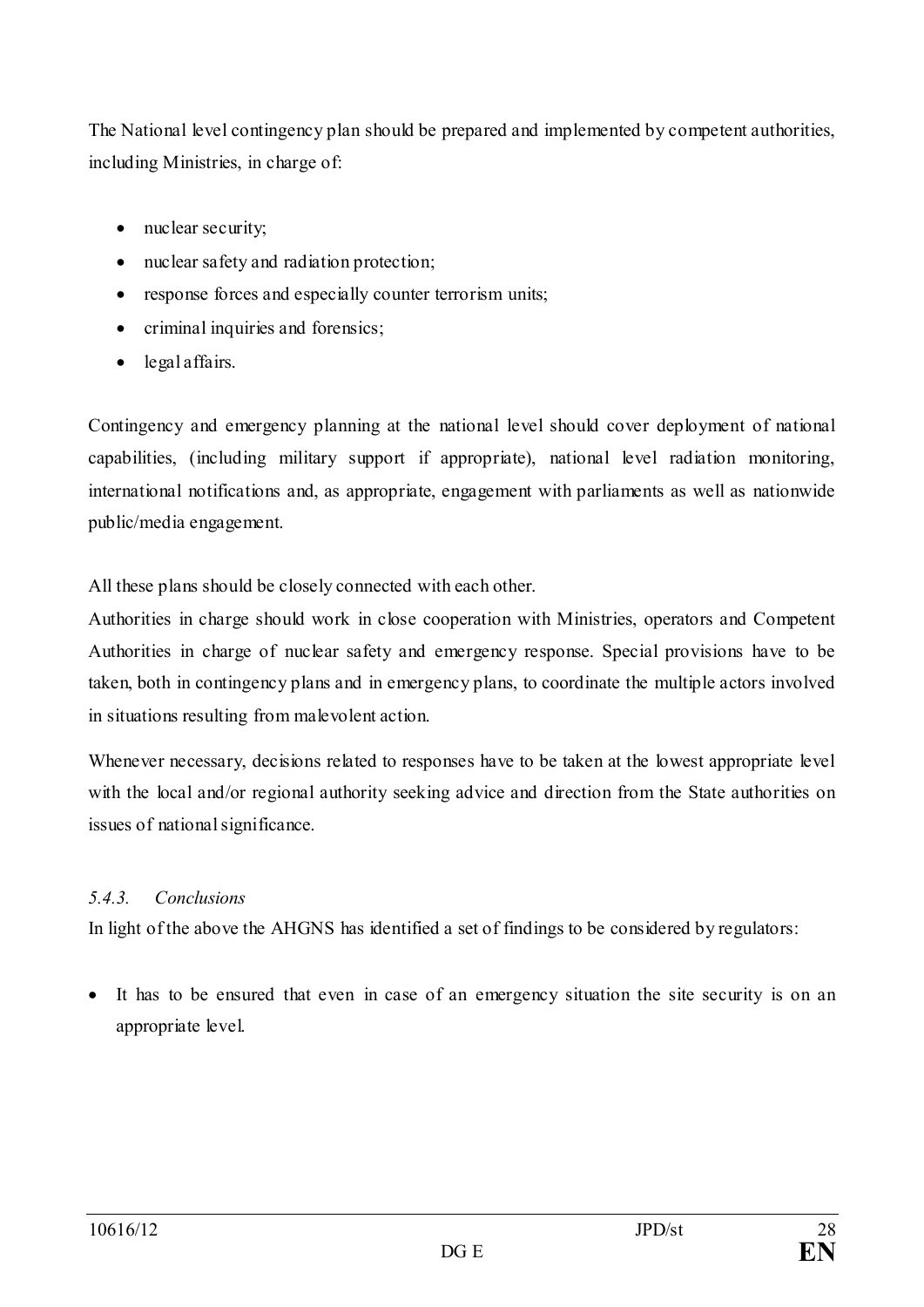The National level contingency plan should be prepared and implemented by competent authorities, including Ministries, in charge of:

- nuclear security;
- nuclear safety and radiation protection;
- response forces and especially counter terrorism units;
- criminal inquiries and forensics;
- legal affairs.

Contingency and emergency planning at the national level should cover deployment of national capabilities, (including military support if appropriate), national level radiation monitoring, international notifications and, as appropriate, engagement with parliaments as well as nationwide public/media engagement.

All these plans should be closely connected with each other.

Authorities in charge should work in close cooperation with Ministries, operators and Competent Authorities in charge of nuclear safety and emergency response. Special provisions have to be taken, both in contingency plans and in emergency plans, to coordinate the multiple actors involved in situations resulting from malevolent action.

Whenever necessary, decisions related to responses have to be taken at the lowest appropriate level with the local and/or regional authority seeking advice and direction from the State authorities on issues of national significance.

# <span id="page-27-0"></span>*5.4.3. Conclusions*

In light of the above the AHGNS has identified a set of findings to be considered by regulators:

• It has to be ensured that even in case of an emergency situation the site security is on an appropriate level.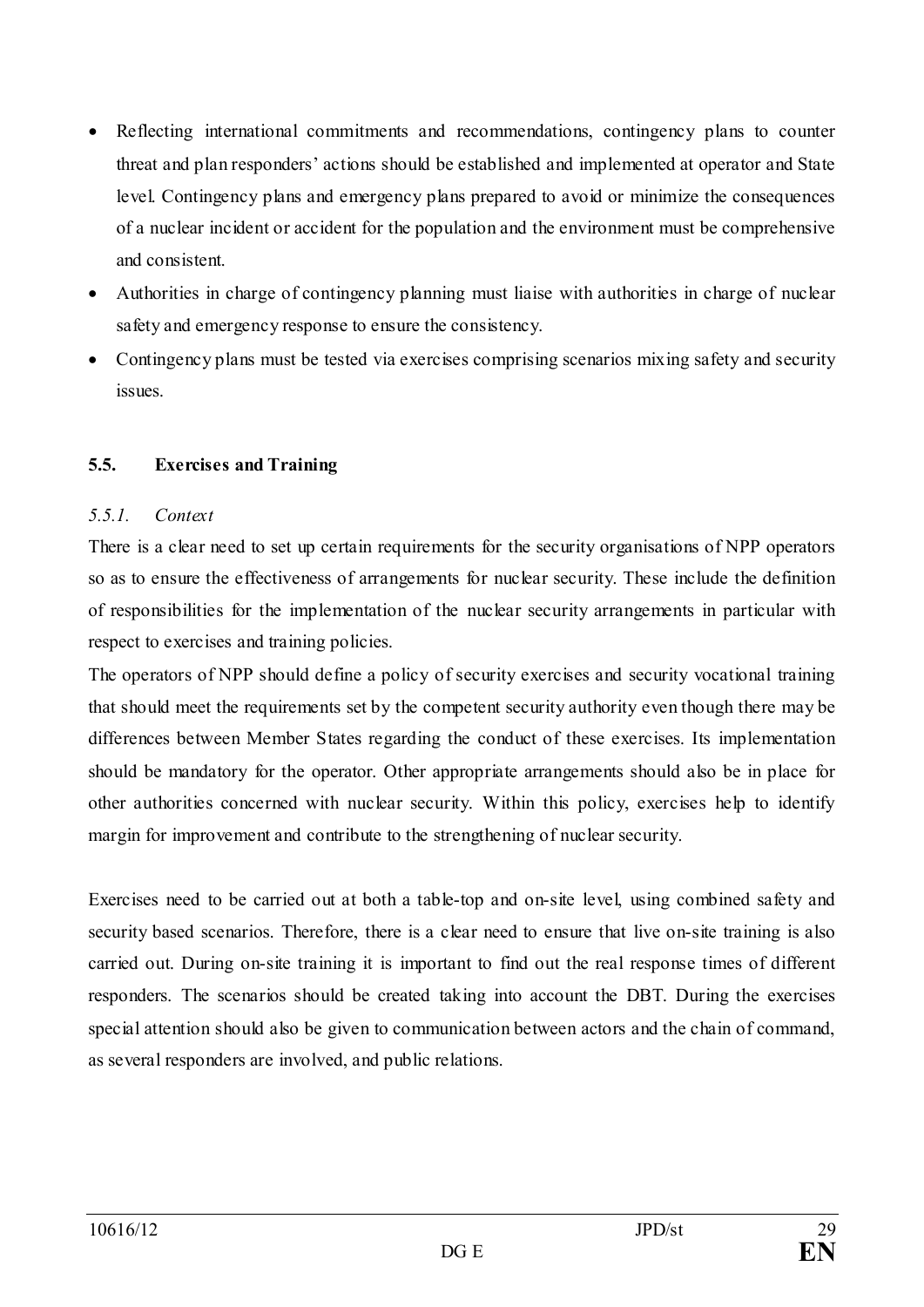- Reflecting international commitments and recommendations, contingency plans to counter threat and plan responders' actions should be established and implemented at operator and State level. Contingency plans and emergency plans prepared to avoid or minimize the consequences of a nuclear incident or accident for the population and the environment must be comprehensive and consistent.
- Authorities in charge of contingency planning must liaise with authorities in charge of nuclear safety and emergency response to ensure the consistency.
- Contingency plans must be tested via exercises comprising scenarios mixing safety and security issues.

## <span id="page-28-0"></span>**5.5. Exercises and Training**

#### <span id="page-28-1"></span>*5.5.1. Context*

There is a clear need to set up certain requirements for the security organisations of NPP operators so as to ensure the effectiveness of arrangements for nuclear security. These include the definition of responsibilities for the implementation of the nuclear security arrangements in particular with respect to exercises and training policies.

The operators of NPP should define a policy of security exercises and security vocational training that should meet the requirements set by the competent security authority even though there may be differences between Member States regarding the conduct of these exercises. Its implementation should be mandatory for the operator. Other appropriate arrangements should also be in place for other authorities concerned with nuclear security. Within this policy, exercises help to identify margin for improvement and contribute to the strengthening of nuclear security.

Exercises need to be carried out at both a table-top and on-site level, using combined safety and security based scenarios. Therefore, there is a clear need to ensure that live on-site training is also carried out. During on-site training it is important to find out the real response times of different responders. The scenarios should be created taking into account the DBT. During the exercises special attention should also be given to communication between actors and the chain of command, as several responders are involved, and public relations.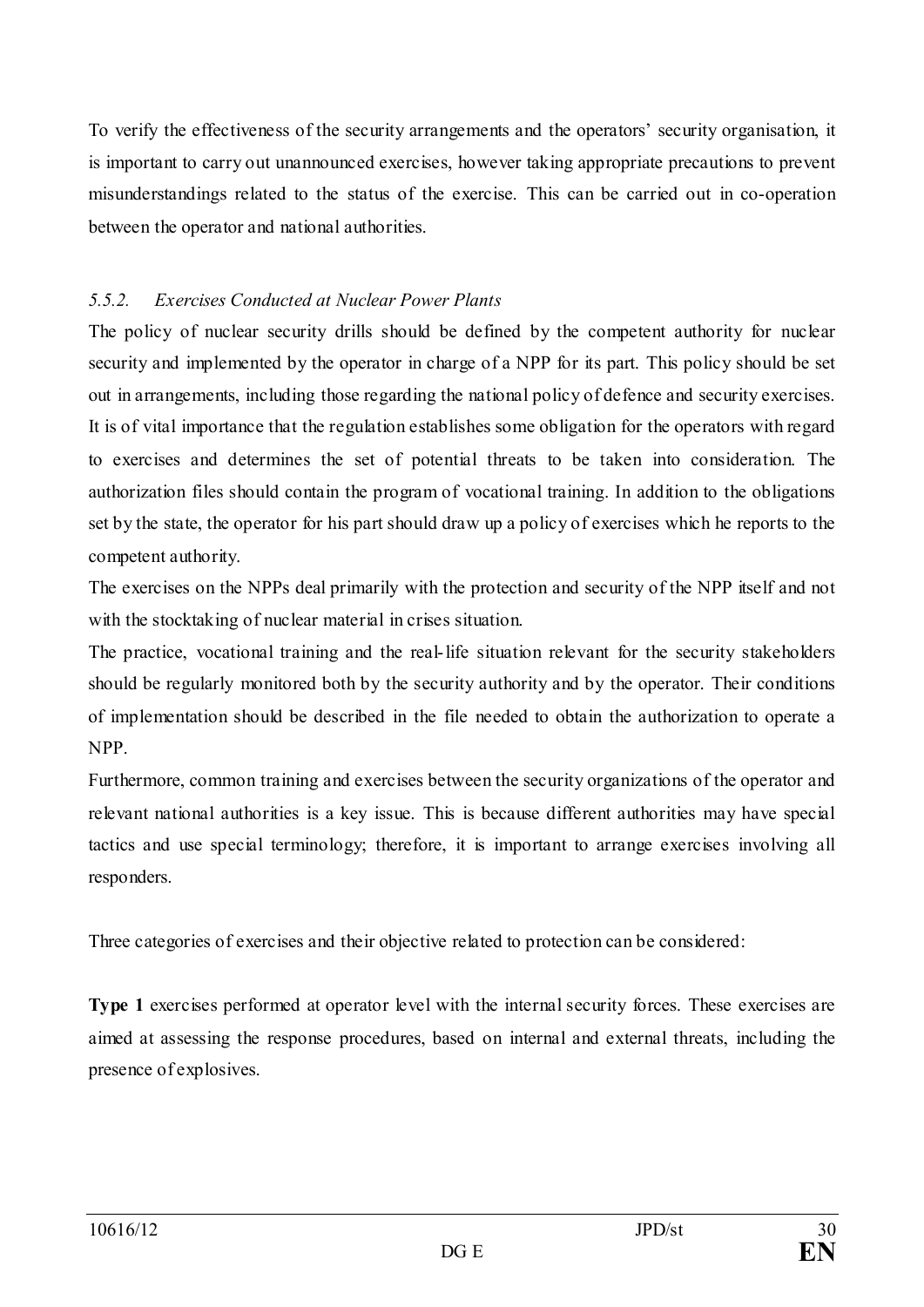To verify the effectiveness of the security arrangements and the operators' security organisation, it is important to carry out unannounced exercises, however taking appropriate precautions to prevent misunderstandings related to the status of the exercise. This can be carried out in co-operation between the operator and national authorities.

# <span id="page-29-0"></span>*5.5.2. Exercises Conducted at Nuclear Power Plants*

The policy of nuclear security drills should be defined by the competent authority for nuclear security and implemented by the operator in charge of a NPP for its part. This policy should be set out in arrangements, including those regarding the national policy of defence and security exercises. It is of vital importance that the regulation establishes some obligation for the operators with regard to exercises and determines the set of potential threats to be taken into consideration. The authorization files should contain the program of vocational training. In addition to the obligations set by the state, the operator for his part should draw up a policy of exercises which he reports to the competent authority.

The exercises on the NPPs deal primarily with the protection and security of the NPP itself and not with the stocktaking of nuclear material in crises situation.

The practice, vocational training and the real-life situation relevant for the security stakeholders should be regularly monitored both by the security authority and by the operator. Their conditions of implementation should be described in the file needed to obtain the authorization to operate a NPP.

Furthermore, common training and exercises between the security organizations of the operator and relevant national authorities is a key issue. This is because different authorities may have special tactics and use special terminology; therefore, it is important to arrange exercises involving all responders.

Three categories of exercises and their objective related to protection can be considered:

**Type 1** exercises performed at operator level with the internal security forces. These exercises are aimed at assessing the response procedures, based on internal and external threats, including the presence of explosives.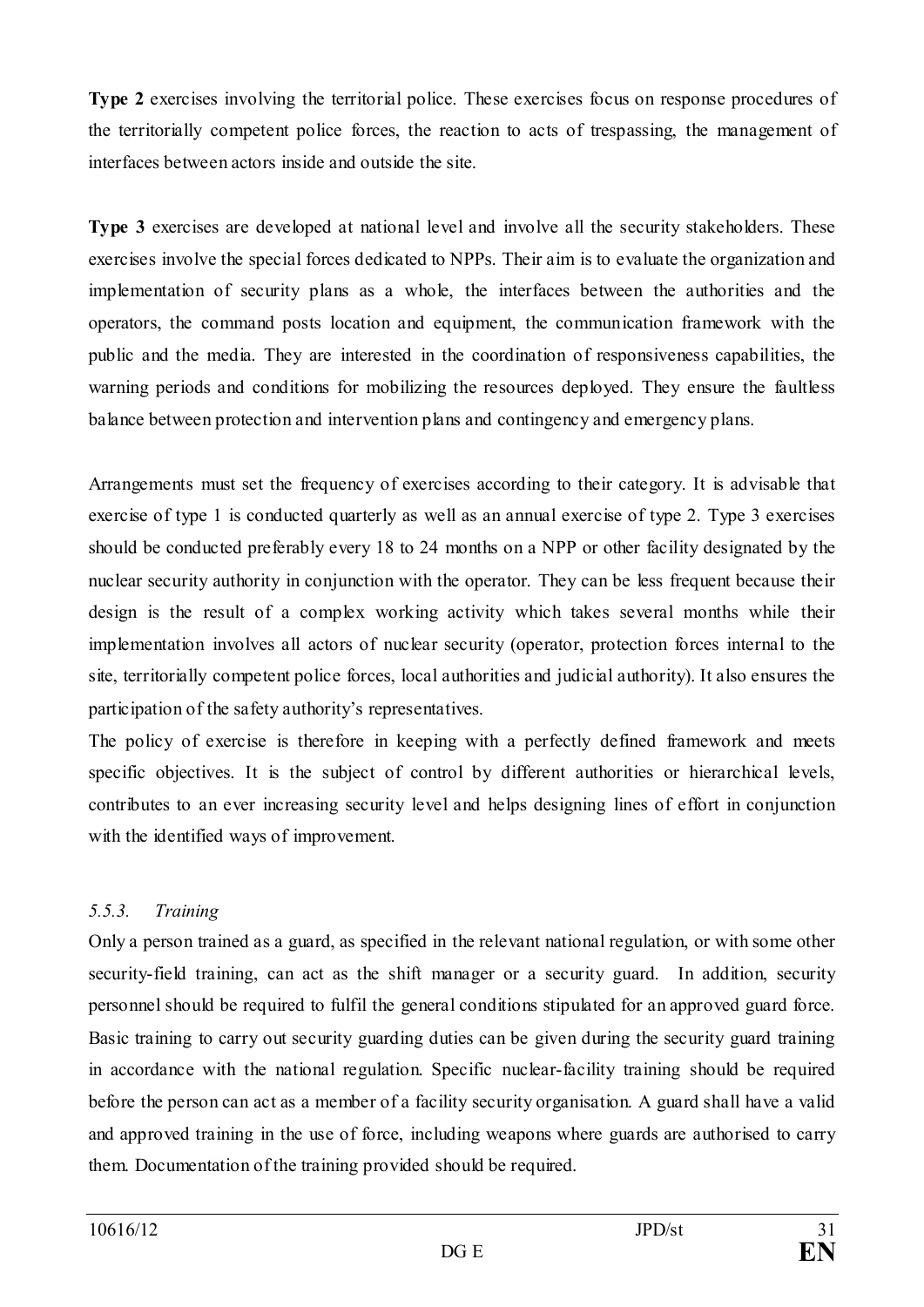**Type 2** exercises involving the territorial police. These exercises focus on response procedures of the territorially competent police forces, the reaction to acts of trespassing, the management of interfaces between actors inside and outside the site.

**Type 3** exercises are developed at national level and involve all the security stakeholders. These exercises involve the special forces dedicated to NPPs. Their aim is to evaluate the organization and implementation of security plans as a whole, the interfaces between the authorities and the operators, the command posts location and equipment, the communication framework with the public and the media. They are interested in the coordination of responsiveness capabilities, the warning periods and conditions for mobilizing the resources deployed. They ensure the faultless balance between protection and intervention plans and contingency and emergency plans.

Arrangements must set the frequency of exercises according to their category. It is advisable that exercise of type 1 is conducted quarterly as well as an annual exercise of type 2. Type 3 exercises should be conducted preferably every 18 to 24 months on a NPP or other facility designated by the nuclear security authority in conjunction with the operator. They can be less frequent because their design is the result of a complex working activity which takes several months while their implementation involves all actors of nuclear security (operator, protection forces internal to the site, territorially competent police forces, local authorities and judicial authority). It also ensures the participation of the safety authority's representatives.

The policy of exercise is therefore in keeping with a perfectly defined framework and meets specific objectives. It is the subject of control by different authorities or hierarchical levels, contributes to an ever increasing security level and helps designing lines of effort in conjunction with the identified ways of improvement.

# <span id="page-30-0"></span>*5.5.3. Training*

Only a person trained as a guard, as specified in the relevant national regulation, or with some other security-field training, can act as the shift manager or a security guard. In addition, security personnel should be required to fulfil the general conditions stipulated for an approved guard force. Basic training to carry out security guarding duties can be given during the security guard training in accordance with the national regulation. Specific nuclear-facility training should be required before the person can act as a member of a facility security organisation. A guard shall have a valid and approved training in the use of force, including weapons where guards are authorised to carry them. Documentation of the training provided should be required.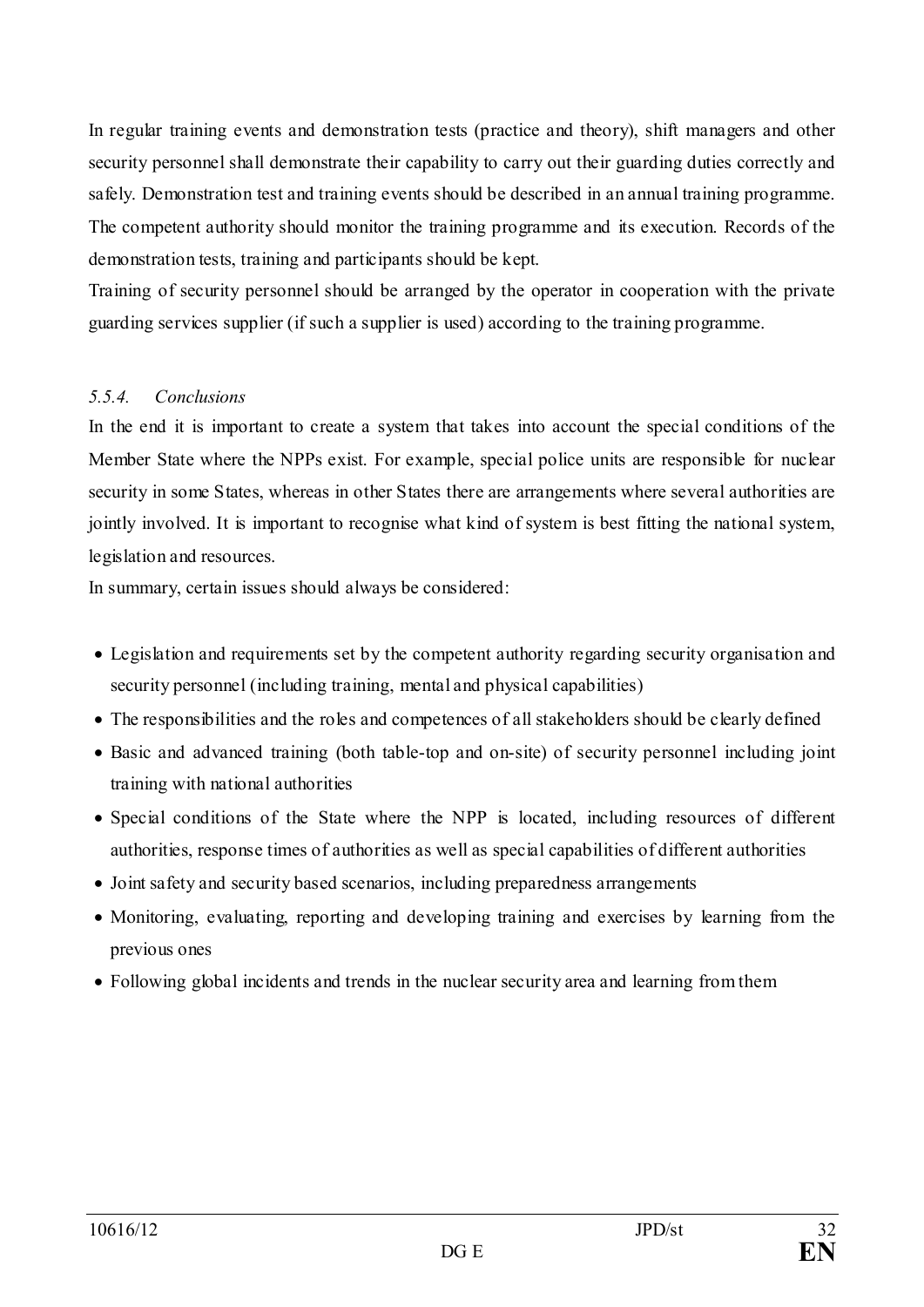In regular training events and demonstration tests (practice and theory), shift managers and other security personnel shall demonstrate their capability to carry out their guarding duties correctly and safely. Demonstration test and training events should be described in an annual training programme. The competent authority should monitor the training programme and its execution. Records of the demonstration tests, training and participants should be kept.

Training of security personnel should be arranged by the operator in cooperation with the private guarding services supplier (if such a supplier is used) according to the training programme.

#### <span id="page-31-0"></span>*5.5.4. Conclusions*

In the end it is important to create a system that takes into account the special conditions of the Member State where the NPPs exist. For example, special police units are responsible for nuclear security in some States, whereas in other States there are arrangements where several authorities are jointly involved. It is important to recognise what kind of system is best fitting the national system, legislation and resources.

In summary, certain issues should always be considered:

- Legislation and requirements set by the competent authority regarding security organisation and security personnel (including training, mental and physical capabilities)
- The responsibilities and the roles and competences of all stakeholders should be clearly defined
- Basic and advanced training (both table-top and on-site) of security personnel including joint training with national authorities
- Special conditions of the State where the NPP is located, including resources of different authorities, response times of authorities as well as special capabilities of different authorities
- Joint safety and security based scenarios, including preparedness arrangements
- Monitoring, evaluating, reporting and developing training and exercises by learning from the previous ones
- Following global incidents and trends in the nuclear security area and learning from them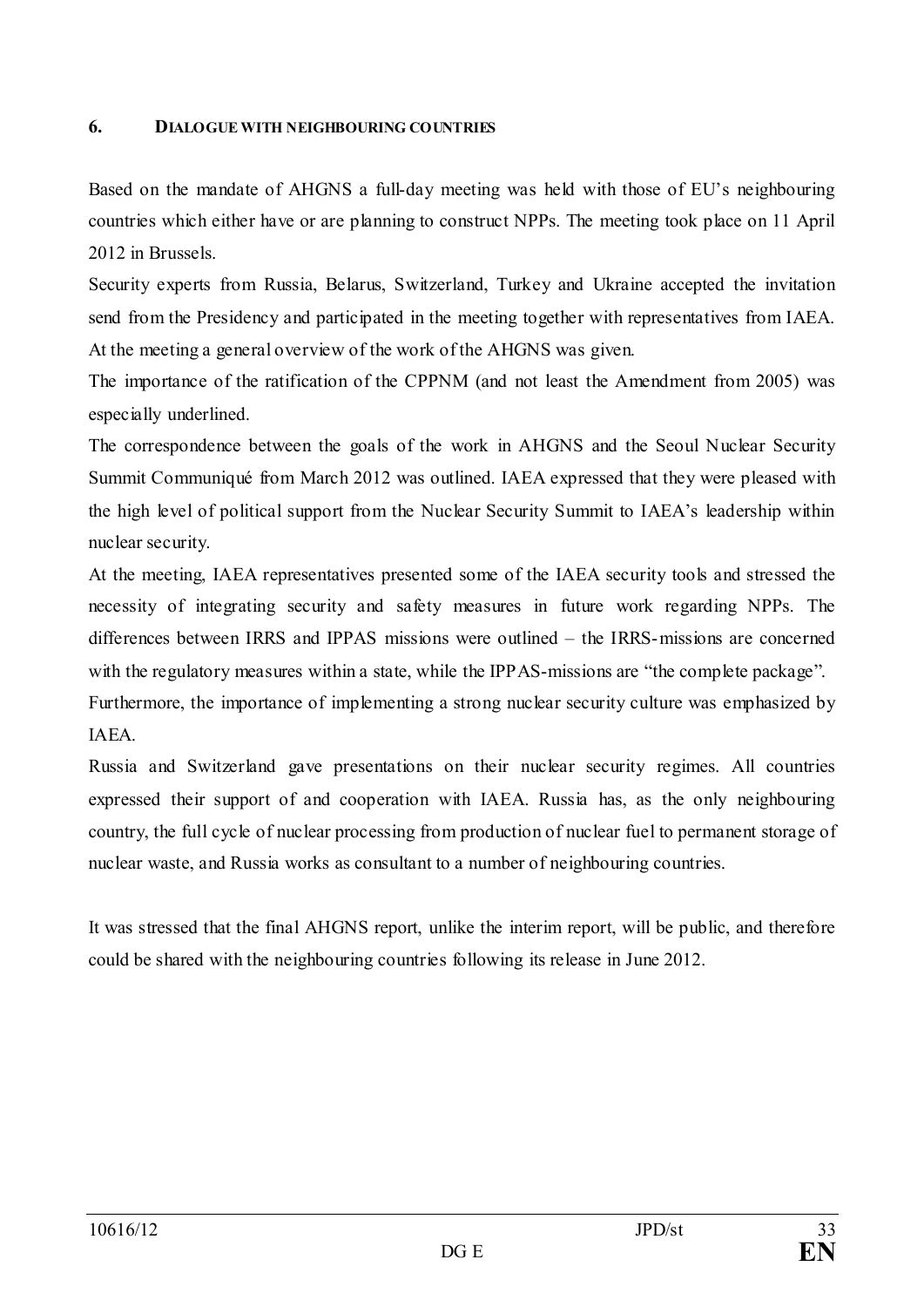#### <span id="page-32-0"></span>**6. DIALOGUE WITH NEIGHBOURING COUNTRIES**

Based on the mandate of AHGNS a full-day meeting was held with those of EU's neighbouring countries which either have or are planning to construct NPPs. The meeting took place on 11 April 2012 in Brussels.

Security experts from Russia, Belarus, Switzerland, Turkey and Ukraine accepted the invitation send from the Presidency and participated in the meeting together with representatives from IAEA. At the meeting a general overview of the work of the AHGNS was given.

The importance of the ratification of the CPPNM (and not least the Amendment from 2005) was especially underlined.

The correspondence between the goals of the work in AHGNS and the Seoul Nuclear Security Summit Communiqué from March 2012 was outlined. IAEA expressed that they were pleased with the high level of political support from the Nuclear Security Summit to IAEA's leadership within nuclear security.

At the meeting, IAEA representatives presented some of the IAEA security tools and stressed the necessity of integrating security and safety measures in future work regarding NPPs. The differences between IRRS and IPPAS missions were outlined – the IRRS-missions are concerned with the regulatory measures within a state, while the IPPAS-missions are "the complete package".

Furthermore, the importance of implementing a strong nuclear security culture was emphasized by IAEA.

Russia and Switzerland gave presentations on their nuclear security regimes. All countries expressed their support of and cooperation with IAEA. Russia has, as the only neighbouring country, the full cycle of nuclear processing from production of nuclear fuel to permanent storage of nuclear waste, and Russia works as consultant to a number of neighbouring countries.

It was stressed that the final AHGNS report, unlike the interim report, will be public, and therefore could be shared with the neighbouring countries following its release in June 2012.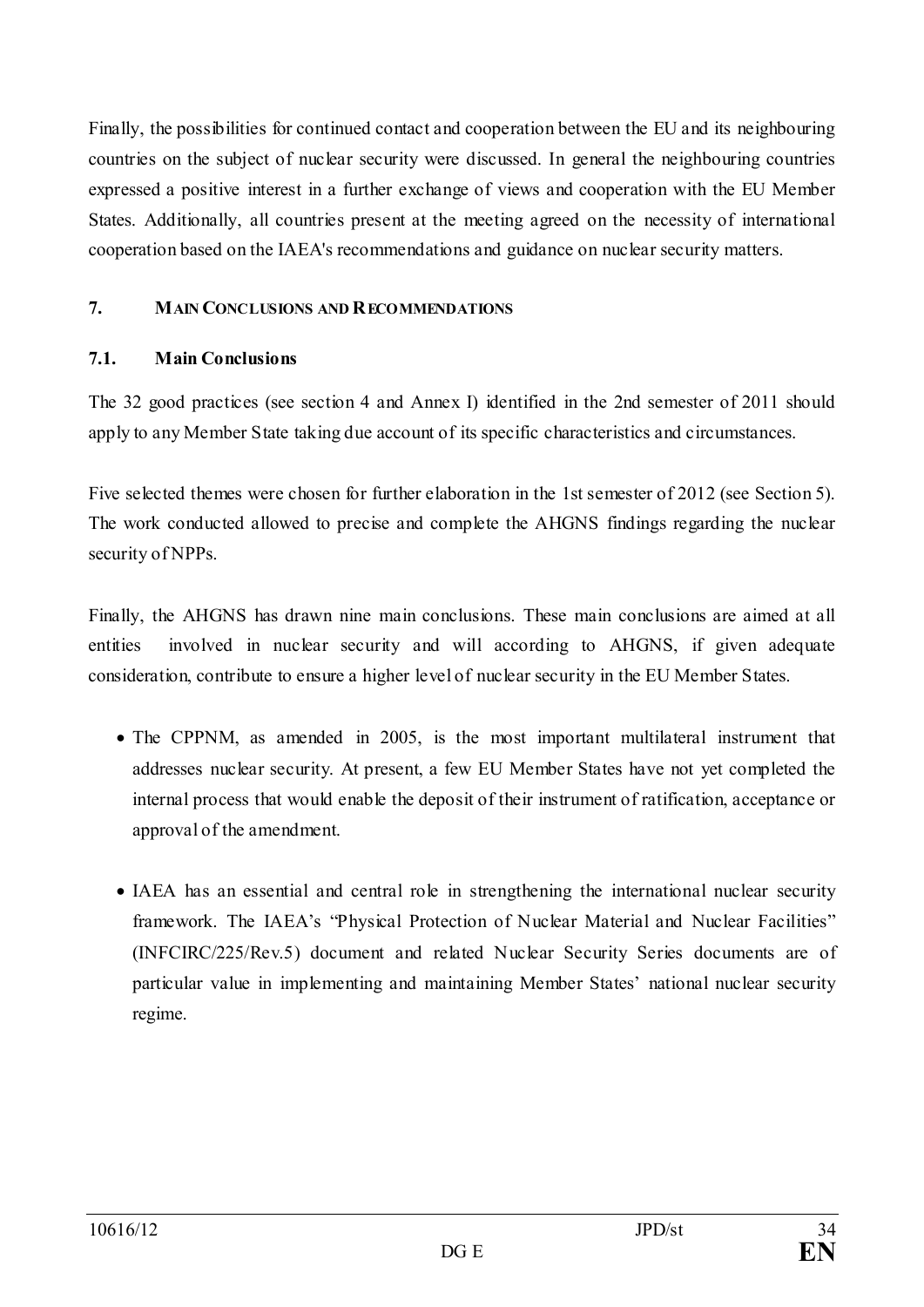Finally, the possibilities for continued contact and cooperation between the EU and its neighbouring countries on the subject of nuclear security were discussed. In general the neighbouring countries expressed a positive interest in a further exchange of views and cooperation with the EU Member States. Additionally, all countries present at the meeting agreed on the necessity of international cooperation based on the IAEA's recommendations and guidance on nuclear security matters.

## <span id="page-33-0"></span>**7. MAIN CONCLUSIONS AND RECOMMENDATIONS**

## <span id="page-33-1"></span>**7.1. Main Conclusions**

The 32 good practices (see section 4 and Annex I) identified in the 2nd semester of 2011 should apply to any Member State taking due account of its specific characteristics and circumstances.

Five selected themes were chosen for further elaboration in the 1st semester of 2012 (see Section 5). The work conducted allowed to precise and complete the AHGNS findings regarding the nuclear security of NPPs.

Finally, the AHGNS has drawn nine main conclusions. These main conclusions are aimed at all entities involved in nuclear security and will according to AHGNS, if given adequate consideration, contribute to ensure a higher level of nuclear security in the EU Member States.

- The CPPNM, as amended in 2005, is the most important multilateral instrument that addresses nuclear security. At present, a few EU Member States have not yet completed the internal process that would enable the deposit of their instrument of ratification, acceptance or approval of the amendment.
- IAEA has an essential and central role in strengthening the international nuclear security framework. The IAEA's "Physical Protection of Nuclear Material and Nuclear Facilities" (INFCIRC/225/Rev.5) document and related Nuclear Security Series documents are of particular value in implementing and maintaining Member States' national nuclear security regime.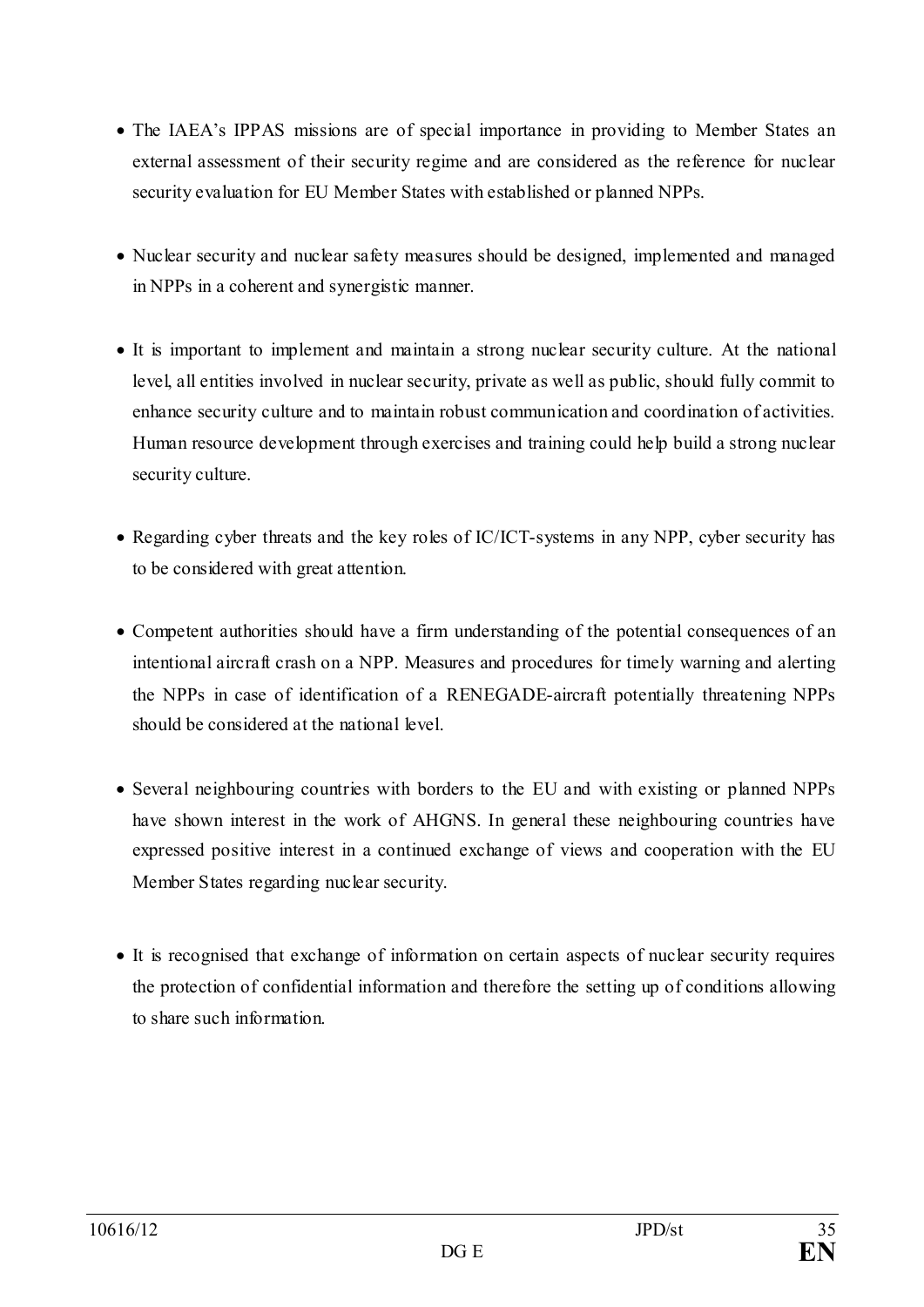- The IAEA's IPPAS missions are of special importance in providing to Member States an external assessment of their security regime and are considered as the reference for nuclear security evaluation for EU Member States with established or planned NPPs.
- Nuclear security and nuclear safety measures should be designed, implemented and managed in NPPs in a coherent and synergistic manner.
- It is important to implement and maintain a strong nuclear security culture. At the national level, all entities involved in nuclear security, private as well as public, should fully commit to enhance security culture and to maintain robust communication and coordination of activities. Human resource development through exercises and training could help build a strong nuclear security culture.
- Regarding cyber threats and the key roles of IC/ICT-systems in any NPP, cyber security has to be considered with great attention.
- Competent authorities should have a firm understanding of the potential consequences of an intentional aircraft crash on a NPP. Measures and procedures for timely warning and alerting the NPPs in case of identification of a RENEGADE-aircraft potentially threatening NPPs should be considered at the national level.
- Several neighbouring countries with borders to the EU and with existing or planned NPPs have shown interest in the work of AHGNS. In general these neighbouring countries have expressed positive interest in a continued exchange of views and cooperation with the EU Member States regarding nuclear security.
- It is recognised that exchange of information on certain aspects of nuclear security requires the protection of confidential information and therefore the setting up of conditions allowing to share such information.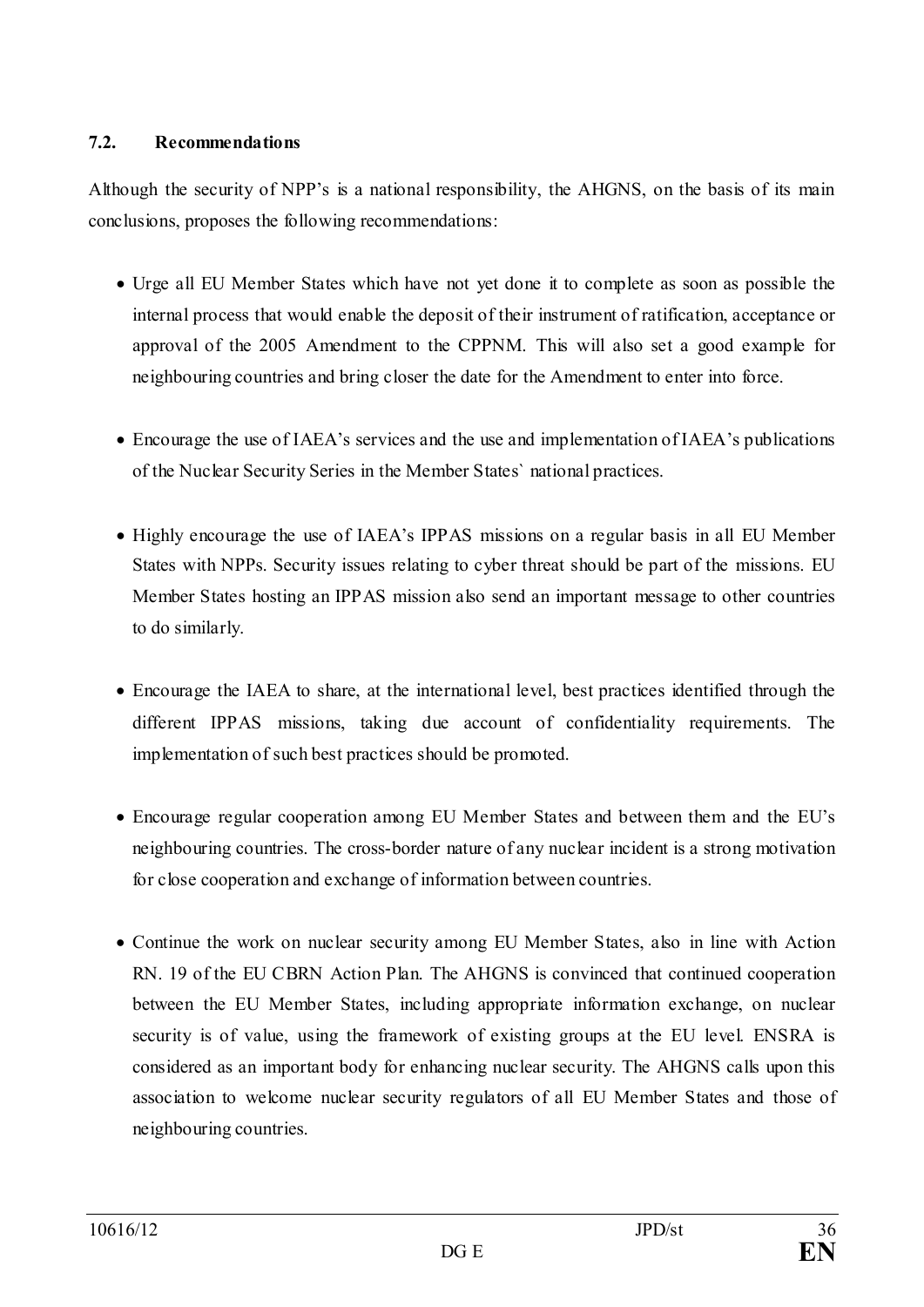#### <span id="page-35-0"></span>**7.2. Recommendations**

Although the security of NPP's is a national responsibility, the AHGNS, on the basis of its main conclusions, proposes the following recommendations:

- Urge all EU Member States which have not yet done it to complete as soon as possible the internal process that would enable the deposit of their instrument of ratification, acceptance or approval of the 2005 Amendment to the CPPNM. This will also set a good example for neighbouring countries and bring closer the date for the Amendment to enter into force.
- Encourage the use of IAEA's services and the use and implementation of IAEA's publications of the Nuclear Security Series in the Member States` national practices.
- Highly encourage the use of IAEA's IPPAS missions on a regular basis in all EU Member States with NPPs. Security issues relating to cyber threat should be part of the missions. EU Member States hosting an IPPAS mission also send an important message to other countries to do similarly.
- Encourage the IAEA to share, at the international level, best practices identified through the different IPPAS missions, taking due account of confidentiality requirements. The implementation of such best practices should be promoted.
- Encourage regular cooperation among EU Member States and between them and the EU's neighbouring countries. The cross-border nature of any nuclear incident is a strong motivation for close cooperation and exchange of information between countries.
- Continue the work on nuclear security among EU Member States, also in line with Action RN. 19 of the EU CBRN Action Plan. The AHGNS is convinced that continued cooperation between the EU Member States, including appropriate information exchange, on nuclear security is of value, using the framework of existing groups at the EU level. ENSRA is considered as an important body for enhancing nuclear security. The AHGNS calls upon this association to welcome nuclear security regulators of all EU Member States and those of neighbouring countries.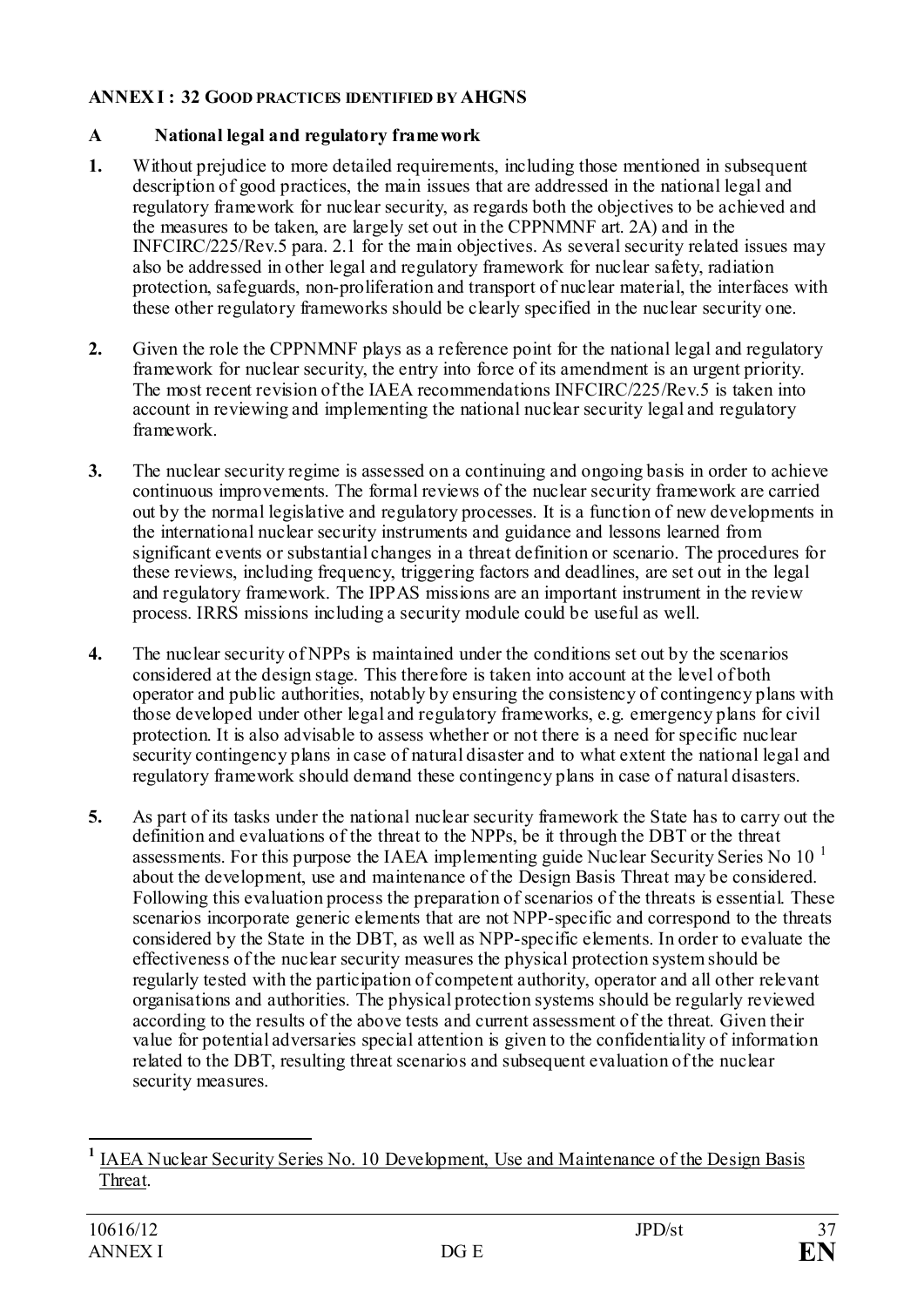## <span id="page-36-0"></span>**ANNEX I : 32 GOOD PRACTICES IDENTIFIED BY AHGNS**

# <span id="page-36-1"></span>**A National legal and regulatory framework**

- **1.** Without prejudice to more detailed requirements, including those mentioned in subsequent description of good practices, the main issues that are addressed in the national legal and regulatory framework for nuclear security, as regards both the objectives to be achieved and the measures to be taken, are largely set out in the CPPNMNF art. 2A) and in the INFCIRC/225/Rev.5 para. 2.1 for the main objectives. As several security related issues may also be addressed in other legal and regulatory framework for nuclear safety, radiation protection, safeguards, non-proliferation and transport of nuclear material, the interfaces with these other regulatory frameworks should be clearly specified in the nuclear security one.
- **2.** Given the role the CPPNMNF plays as a reference point for the national legal and regulatory framework for nuclear security, the entry into force of its amendment is an urgent priority. The most recent revision of the IAEA recommendations INFCIRC/225/Rev.5 is taken into account in reviewing and implementing the national nuclear security legal and regulatory framework.
- **3.** The nuclear security regime is assessed on a continuing and ongoing basis in order to achieve continuous improvements. The formal reviews of the nuclear security framework are carried out by the normal legislative and regulatory processes. It is a function of new developments in the international nuclear security instruments and guidance and lessons learned from significant events or substantial changes in a threat definition or scenario. The procedures for these reviews, including frequency, triggering factors and deadlines, are set out in the legal and regulatory framework. The IPPAS missions are an important instrument in the review process. IRRS missions including a security module could be useful as well.
- **4.** The nuclear security of NPPs is maintained under the conditions set out by the scenarios considered at the design stage. This therefore is taken into account at the level of both operator and public authorities, notably by ensuring the consistency of contingency plans with those developed under other legal and regulatory frameworks, e.g. emergency plans for civil protection. It is also advisable to assess whether or not there is a need for specific nuclear security contingency plans in case of natural disaster and to what extent the national legal and regulatory framework should demand these contingency plans in case of natural disasters.
- **5.** As part of its tasks under the national nuclear security framework the State has to carry out the definition and evaluations of the threat to the NPPs, be it through the DBT or the threat assessments. For this purpose the IAEA implementing guide Nuclear Security Series No  $10^{-1}$  $10^{-1}$ about the development, use and maintenance of the Design Basis Threat may be considered. Following this evaluation process the preparation of scenarios of the threats is essential. These scenarios incorporate generic elements that are not NPP-specific and correspond to the threats considered by the State in the DBT, as well as NPP-specific elements. In order to evaluate the effectiveness of the nuclear security measures the physical protection system should be regularly tested with the participation of competent authority, operator and all other relevant organisations and authorities. The physical protection systems should be regularly reviewed according to the results of the above tests and current assessment of the threat. Given their value for potential adversaries special attention is given to the confidentiality of information related to the DBT, resulting threat scenarios and subsequent evaluation of the nuclear security measures.

<span id="page-36-2"></span>**<sup>1</sup>** [IAEA Nuclear Security Series No. 10 Development, Use and Maintenance of the Design Basis](http://www-pub.iaea.org/MTCD/publications/PDF/Pub1386_web.pdf)  [Threat.](http://www-pub.iaea.org/MTCD/publications/PDF/Pub1386_web.pdf)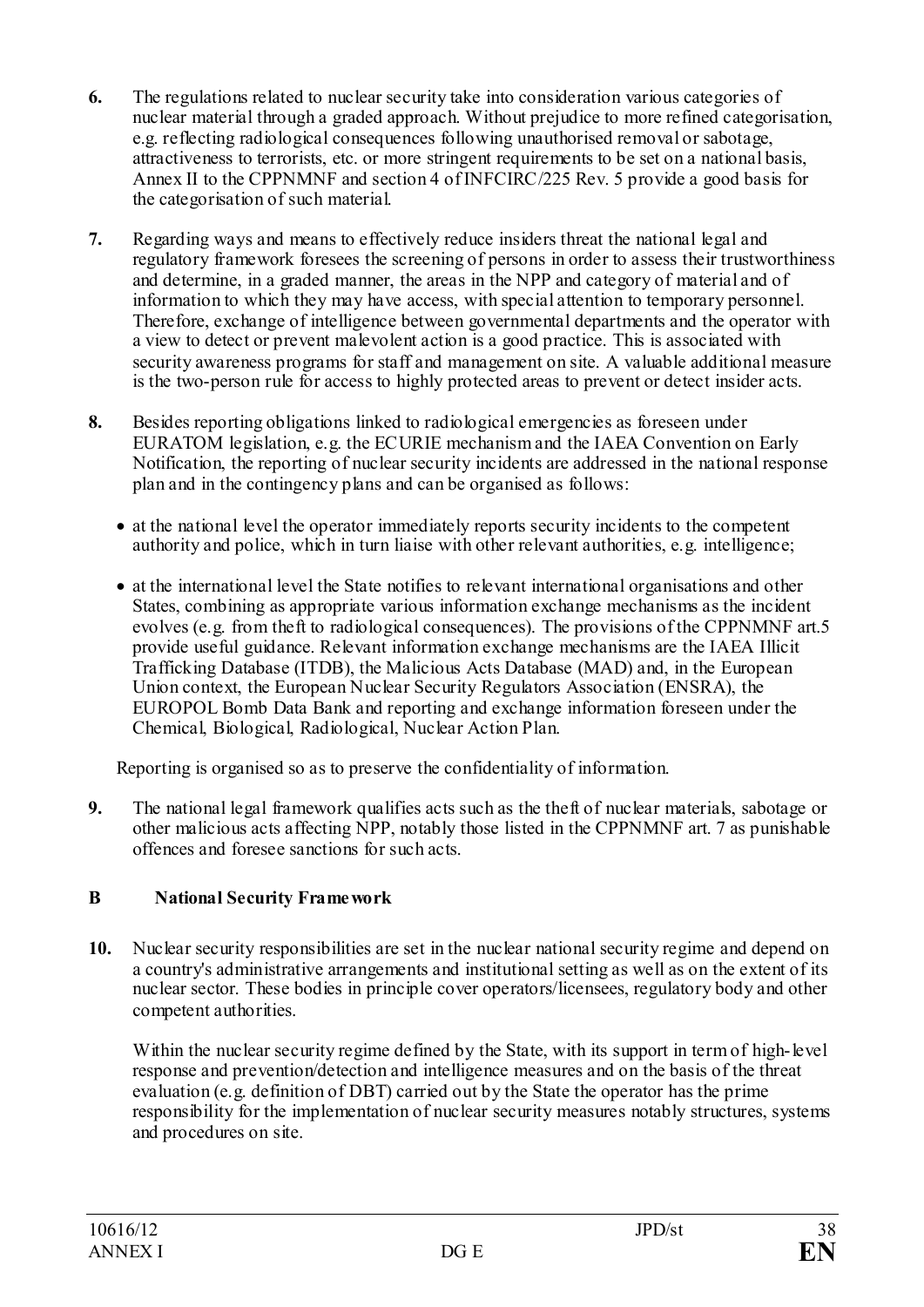- **6.** The regulations related to nuclear security take into consideration various categories of nuclear material through a graded approach. Without prejudice to more refined categorisation, e.g. reflecting radiological consequences following unauthorised removal or sabotage, attractiveness to terrorists, etc. or more stringent requirements to be set on a national basis, Annex II to the CPPNMNF and section 4 of INFCIRC/225 Rev. 5 provide a good basis for the categorisation of such material.
- **7.** Regarding ways and means to effectively reduce insiders threat the national legal and regulatory framework foresees the screening of persons in order to assess their trustworthiness and determine, in a graded manner, the areas in the NPP and category of material and of information to which they may have access, with special attention to temporary personnel. Therefore, exchange of intelligence between governmental departments and the operator with a view to detect or prevent malevolent action is a good practice. This is associated with security awareness programs for staff and management on site. A valuable additional measure is the two-person rule for access to highly protected areas to prevent or detect insider acts.
- **8.** Besides reporting obligations linked to radiological emergencies as foreseen under EURATOM legislation, e.g. the ECURIE mechanism and the IAEA Convention on Early Notification, the reporting of nuclear security incidents are addressed in the national response plan and in the contingency plans and can be organised as follows:
	- at the national level the operator immediately reports security incidents to the competent authority and police, which in turn liaise with other relevant authorities, e.g. intelligence;
	- at the international level the State notifies to relevant international organisations and other States, combining as appropriate various information exchange mechanisms as the incident evolves (e.g. from theft to radiological consequences). The provisions of the CPPNMNF art.5 provide useful guidance. Relevant information exchange mechanisms are the IAEA Illicit Trafficking Database (ITDB), the Malicious Acts Database (MAD) and, in the European Union context, the European Nuclear Security Regulators Association (ENSRA), the EUROPOL Bomb Data Bank and reporting and exchange information foreseen under the Chemical, Biological, Radiological, Nuclear Action Plan.

Reporting is organised so as to preserve the confidentiality of information.

**9.** The national legal framework qualifies acts such as the theft of nuclear materials, sabotage or other malicious acts affecting NPP, notably those listed in the CPPNMNF art. 7 as punishable offences and foresee sanctions for such acts.

# <span id="page-37-0"></span>**B National Security Framework**

**10.** Nuclear security responsibilities are set in the nuclear national security regime and depend on a country's administrative arrangements and institutional setting as well as on the extent of its nuclear sector. These bodies in principle cover operators/licensees, regulatory body and other competent authorities.

Within the nuclear security regime defined by the State, with its support in term of high-level response and prevention/detection and intelligence measures and on the basis of the threat evaluation (e.g. definition of DBT) carried out by the State the operator has the prime responsibility for the implementation of nuclear security measures notably structures, systems and procedures on site.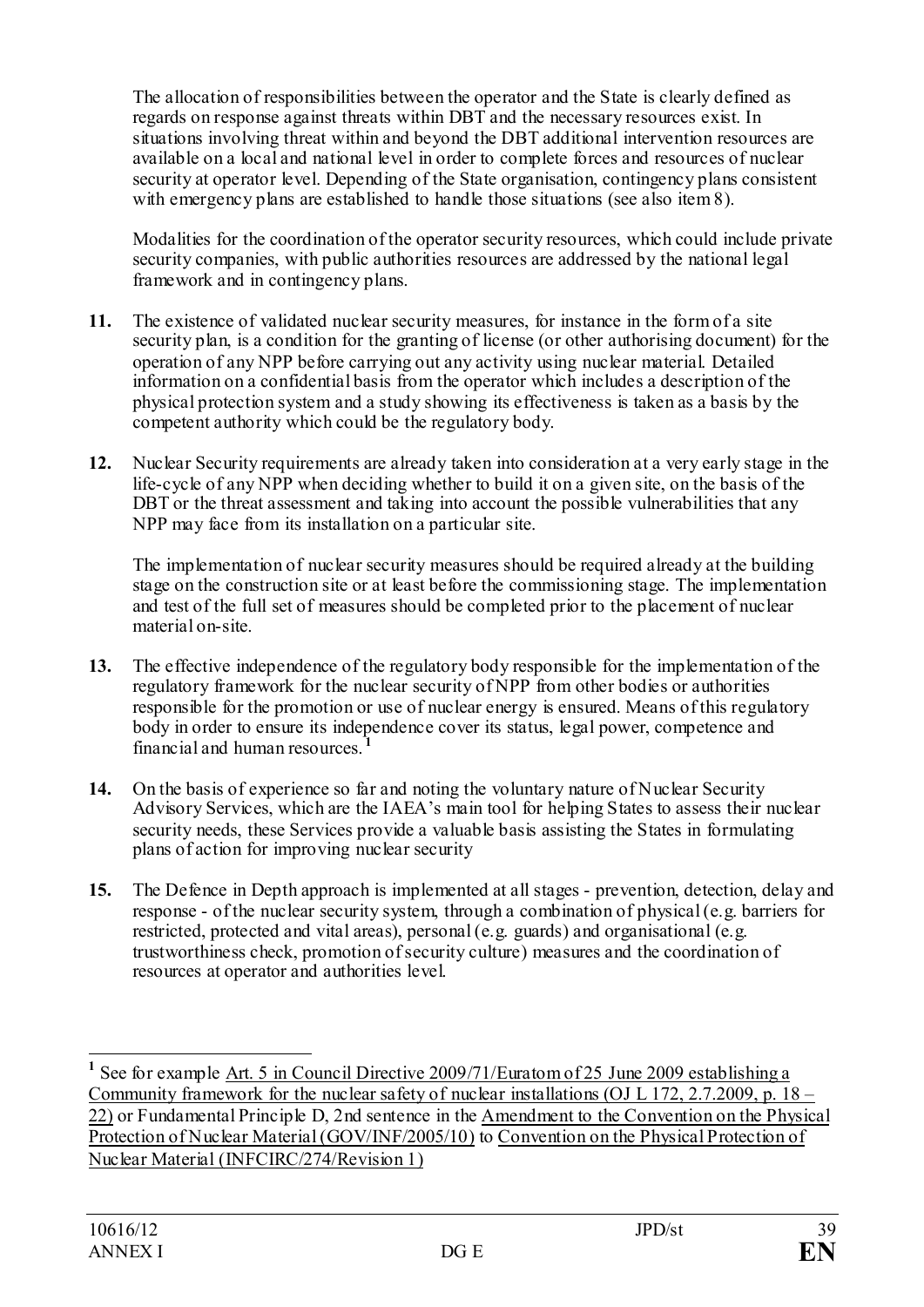The allocation of responsibilities between the operator and the State is clearly defined as regards on response against threats within DBT and the necessary resources exist. In situations involving threat within and beyond the DBT additional intervention resources are available on a local and national level in order to complete forces and resources of nuclear security at operator level. Depending of the State organisation, contingency plans consistent with emergency plans are established to handle those situations (see also item 8).

Modalities for the coordination of the operator security resources, which could include private security companies, with public authorities resources are addressed by the national legal framework and in contingency plans.

- **11.** The existence of validated nuclear security measures, for instance in the form of a site security plan, is a condition for the granting of license (or other authorising document) for the operation of any NPP before carrying out any activity using nuclear material. Detailed information on a confidential basis from the operator which includes a description of the physical protection system and a study showing its effectiveness is taken as a basis by the competent authority which could be the regulatory body.
- **12.** Nuclear Security requirements are already taken into consideration at a very early stage in the life-cycle of any NPP when deciding whether to build it on a given site, on the basis of the DBT or the threat assessment and taking into account the possible vulnerabilities that any NPP may face from its installation on a particular site.

The implementation of nuclear security measures should be required already at the building stage on the construction site or at least before the commissioning stage. The implementation and test of the full set of measures should be completed prior to the placement of nuclear material on-site.

- **13.** The effective independence of the regulatory body responsible for the implementation of the regulatory framework for the nuclear security of NPP from other bodies or authorities responsible for the promotion or use of nuclear energy is ensured. Means of this regulatory body in order to ensure its independence cover its status, legal power, competence and financial and human resources. **[1](#page-38-0)**
- **14.** On the basis of experience so far and noting the voluntary nature of Nuclear Security Advisory Services, which are the IAEA's main tool for helping States to assess their nuclear security needs, these Services provide a valuable basis assisting the States in formulating plans of action for improving nuclear security
- **15.** The Defence in Depth approach is implemented at all stages prevention, detection, delay and response - of the nuclear security system, through a combination of physical (e.g. barriers for restricted, protected and vital areas), personal (e.g. guards) and organisational (e.g. trustworthiness check, promotion of security culture) measures and the coordination of resources at operator and authorities level.

<span id="page-38-0"></span><sup>&</sup>lt;sup>1</sup> See for example <u>Art. 5 in Council Directive 2009/71/Euratom of 25 June 2009 establishing a</u> Community framework for the nuclear safety of nuclear installations (OJ L 172, 2.7.2009, p.  $18 -$ [22\)](http://eur-lex.europa.eu/LexUriServ/LexUriServ.do?uri=OJ:L:2009:172:0018:01:EN:HTML) or Fundamental Principle D, 2nd sentence in the [Amendment to the Convention on the Physical](http://www.iaea.org/About/Policy/GC/GC49/Documents/gc49inf-6.pdf)  [Protection of Nuclear Material \(GOV/INF/2005/10\)](http://www.iaea.org/About/Policy/GC/GC49/Documents/gc49inf-6.pdf) to [Convention on the Physical Protection of](http://www.iaea.org/Publications/Documents/Infcircs/Others/inf274r1.shtml)  [Nuclear Material \(INFCIRC/274/Revision 1\)](http://www.iaea.org/Publications/Documents/Infcircs/Others/inf274r1.shtml)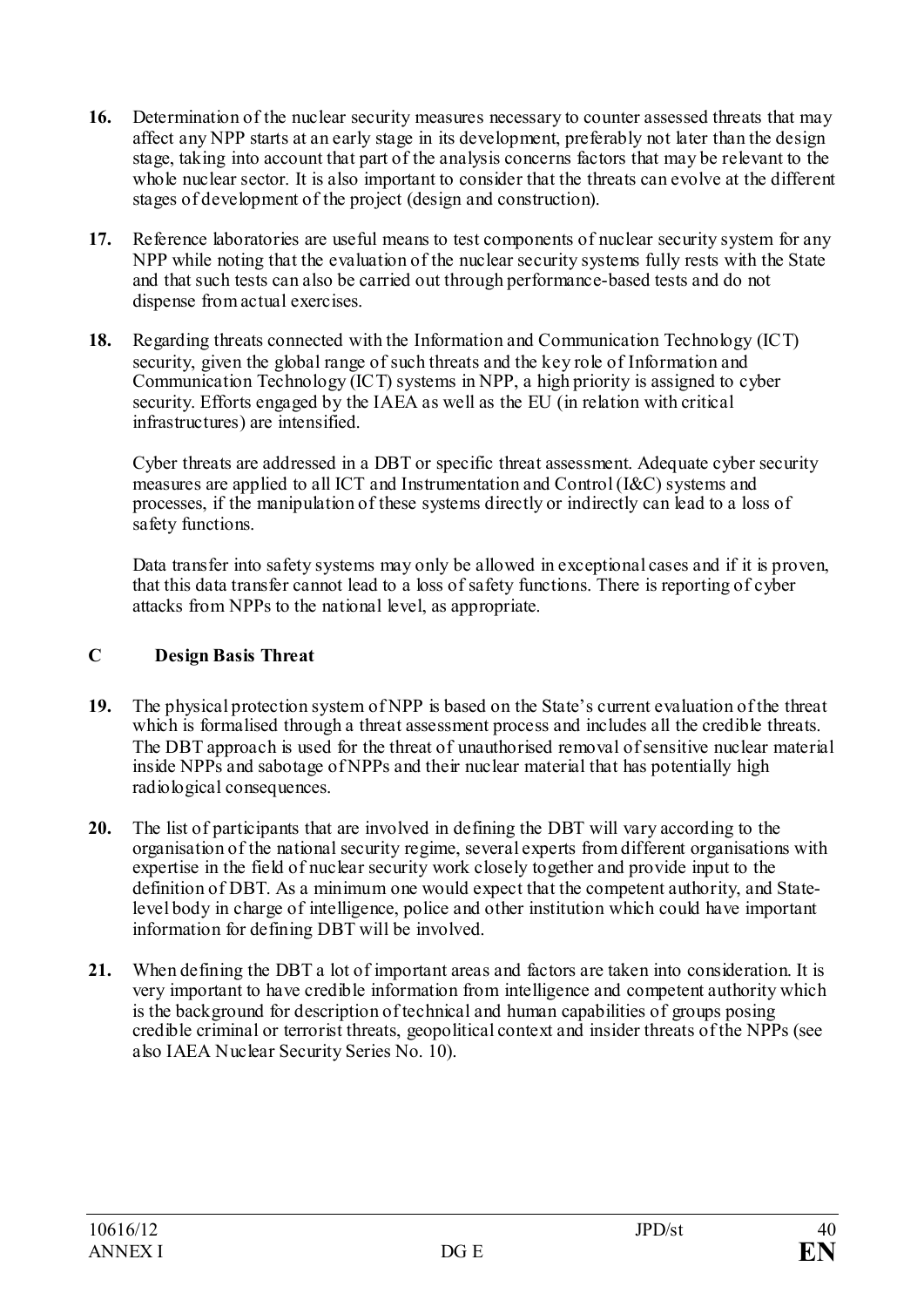- **16.** Determination of the nuclear security measures necessary to counter assessed threats that may affect any NPP starts at an early stage in its development, preferably not later than the design stage, taking into account that part of the analysis concerns factors that may be relevant to the whole nuclear sector. It is also important to consider that the threats can evolve at the different stages of development of the project (design and construction).
- **17.** Reference laboratories are useful means to test components of nuclear security system for any NPP while noting that the evaluation of the nuclear security systems fully rests with the State and that such tests can also be carried out through performance-based tests and do not dispense from actual exercises.
- **18.** Regarding threats connected with the Information and Communication Technology (ICT) security, given the global range of such threats and the key role of Information and Communication Technology (ICT) systems in NPP, a high priority is assigned to cyber security. Efforts engaged by the IAEA as well as the EU (in relation with critical infrastructures) are intensified.

Cyber threats are addressed in a DBT or specific threat assessment. Adequate cyber security measures are applied to all ICT and Instrumentation and Control (I&C) systems and processes, if the manipulation of these systems directly or indirectly can lead to a loss of safety functions.

Data transfer into safety systems may only be allowed in exceptional cases and if it is proven, that this data transfer cannot lead to a loss of safety functions. There is reporting of cyber attacks from NPPs to the national level, as appropriate.

### <span id="page-39-0"></span>**C Design Basis Threat**

- **19.** The physical protection system of NPP is based on the State's current evaluation of the threat which is formalised through a threat assessment process and includes all the credible threats. The DBT approach is used for the threat of unauthorised removal of sensitive nuclear material inside NPPs and sabotage of NPPs and their nuclear material that has potentially high radiological consequences.
- **20.** The list of participants that are involved in defining the DBT will vary according to the organisation of the national security regime, several experts from different organisations with expertise in the field of nuclear security work closely together and provide input to the definition of DBT. As a minimum one would expect that the competent authority, and Statelevel body in charge of intelligence, police and other institution which could have important information for defining DBT will be involved.
- **21.** When defining the DBT a lot of important areas and factors are taken into consideration. It is very important to have credible information from intelligence and competent authority which is the background for description of technical and human capabilities of groups posing credible criminal or terrorist threats, geopolitical context and insider threats of the NPPs (see also IAEA Nuclear Security Series No. 10).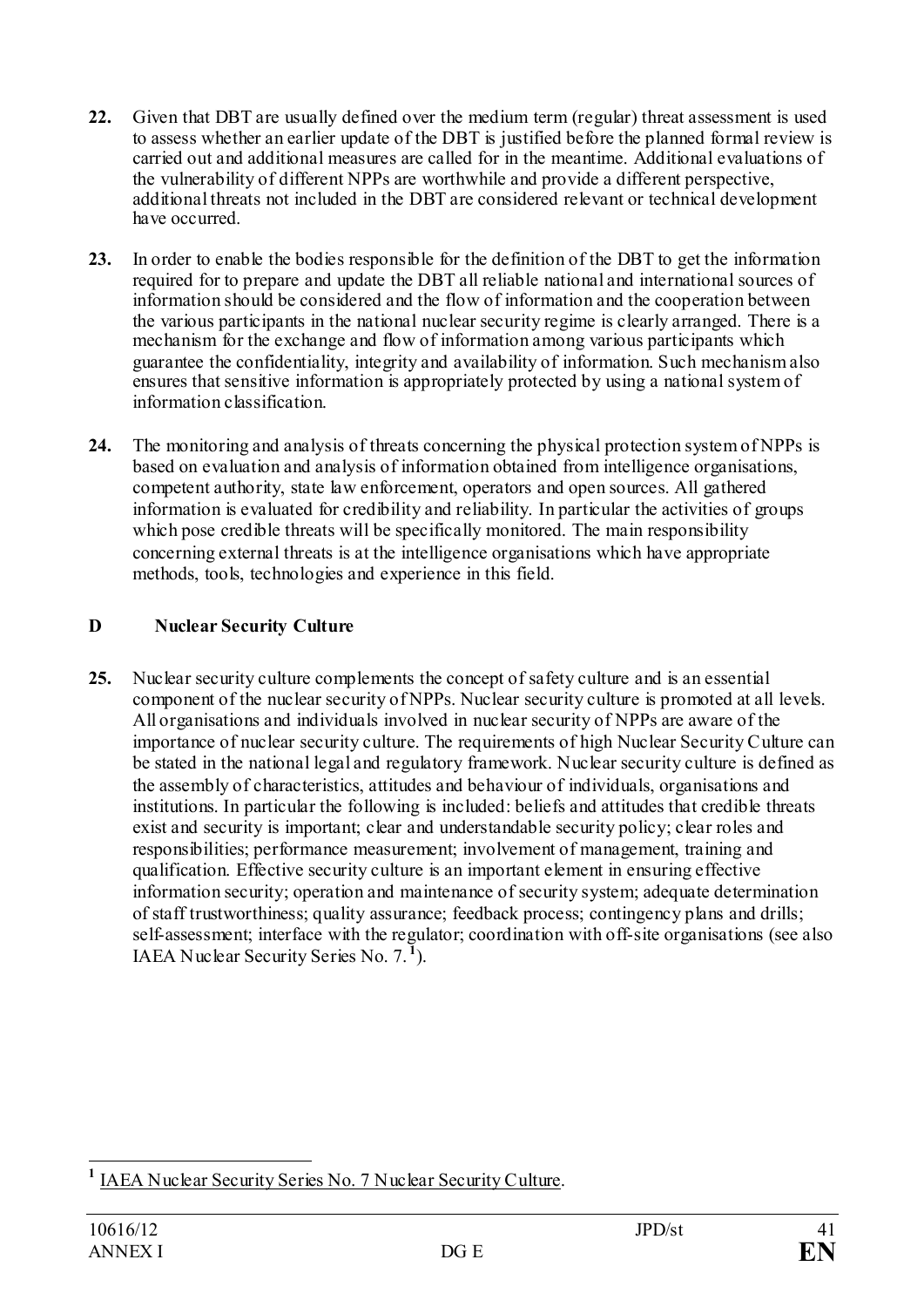- **22.** Given that DBT are usually defined over the medium term (regular) threat assessment is used to assess whether an earlier update of the DBT is justified before the planned formal review is carried out and additional measures are called for in the meantime. Additional evaluations of the vulnerability of different NPPs are worthwhile and provide a different perspective, additional threats not included in the DBT are considered relevant or technical development have occurred.
- **23.** In order to enable the bodies responsible for the definition of the DBT to get the information required for to prepare and update the DBT all reliable national and international sources of information should be considered and the flow of information and the cooperation between the various participants in the national nuclear security regime is clearly arranged. There is a mechanism for the exchange and flow of information among various participants which guarantee the confidentiality, integrity and availability of information. Such mechanism also ensures that sensitive information is appropriately protected by using a national system of information classification.
- **24.** The monitoring and analysis of threats concerning the physical protection system of NPPs is based on evaluation and analysis of information obtained from intelligence organisations, competent authority, state law enforcement, operators and open sources. All gathered information is evaluated for credibility and reliability. In particular the activities of groups which pose credible threats will be specifically monitored. The main responsibility concerning external threats is at the intelligence organisations which have appropriate methods, tools, technologies and experience in this field.

# <span id="page-40-0"></span>**D Nuclear Security Culture**

**25.** Nuclear security culture complements the concept of safety culture and is an essential component of the nuclear security of NPPs. Nuclear security culture is promoted at all levels. All organisations and individuals involved in nuclear security of NPPs are aware of the importance of nuclear security culture. The requirements of high Nuclear Security Culture can be stated in the national legal and regulatory framework. Nuclear security culture is defined as the assembly of characteristics, attitudes and behaviour of individuals, organisations and institutions. In particular the following is included: beliefs and attitudes that credible threats exist and security is important; clear and understandable security policy; clear roles and responsibilities; performance measurement; involvement of management, training and qualification. Effective security culture is an important element in ensuring effective information security; operation and maintenance of security system; adequate determination of staff trustworthiness; quality assurance; feedback process; contingency plans and drills; self-assessment; interface with the regulator; coordination with off-site organisations (see also IAEA Nuclear Security Series No. 7. **[1](#page-40-1)** ).

<span id="page-40-1"></span>**<sup>1</sup>** [IAEA Nuclear Security Series No. 7 Nuclear Security Culture.](http://www-pub.iaea.org/MTCD/publications/PDF/Pub1347_web.pdf)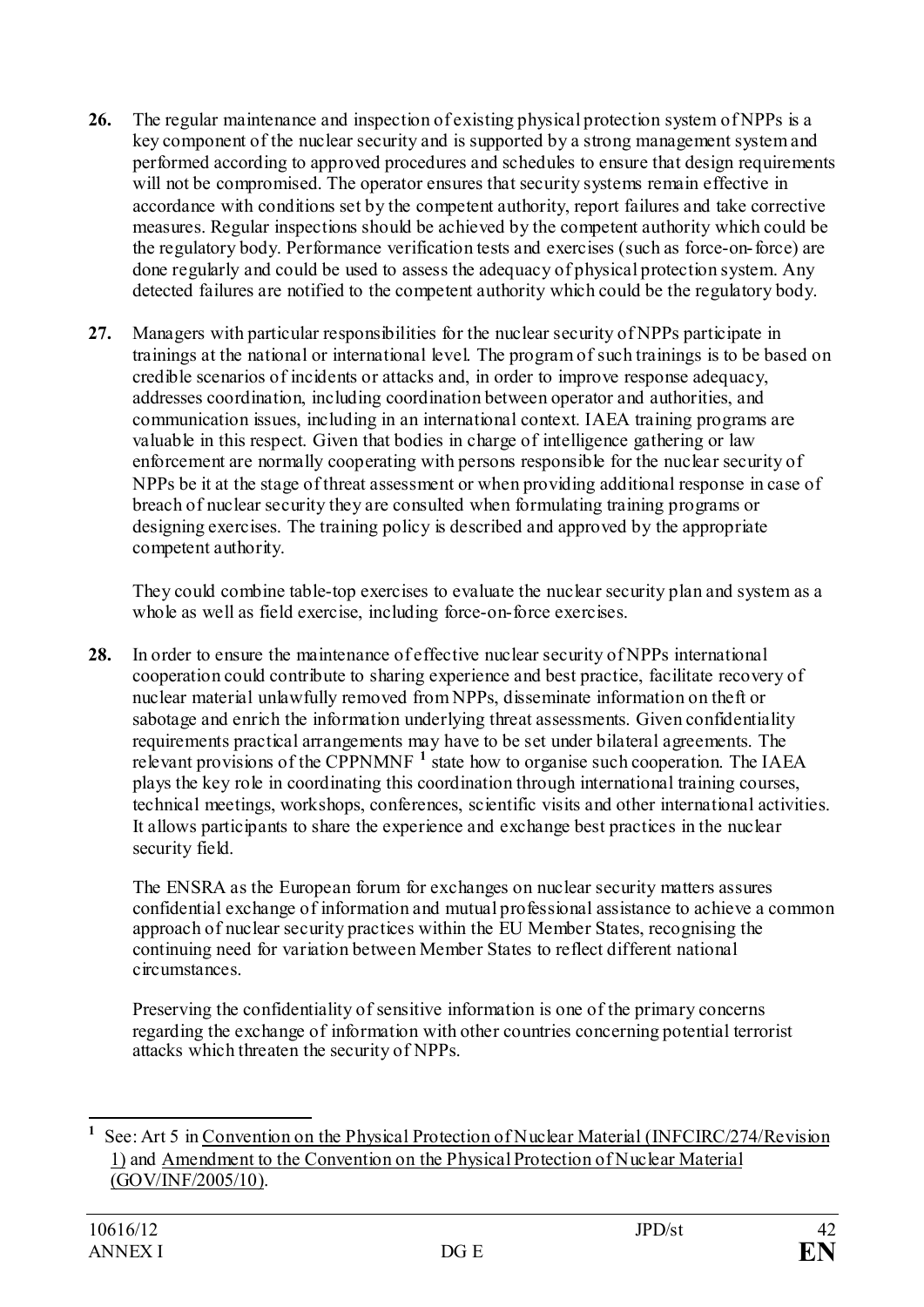- **26.** The regular maintenance and inspection of existing physical protection system of NPPs is a key component of the nuclear security and is supported by a strong management system and performed according to approved procedures and schedules to ensure that design requirements will not be compromised. The operator ensures that security systems remain effective in accordance with conditions set by the competent authority, report failures and take corrective measures. Regular inspections should be achieved by the competent authority which could be the regulatory body. Performance verification tests and exercises (such as force-on-force) are done regularly and could be used to assess the adequacy of physical protection system. Any detected failures are notified to the competent authority which could be the regulatory body.
- **27.** Managers with particular responsibilities for the nuclear security of NPPs participate in trainings at the national or international level. The program of such trainings is to be based on credible scenarios of incidents or attacks and, in order to improve response adequacy, addresses coordination, including coordination between operator and authorities, and communication issues, including in an international context. IAEA training programs are valuable in this respect. Given that bodies in charge of intelligence gathering or law enforcement are normally cooperating with persons responsible for the nuclear security of NPPs be it at the stage of threat assessment or when providing additional response in case of breach of nuclear security they are consulted when formulating training programs or designing exercises. The training policy is described and approved by the appropriate competent authority.

They could combine table-top exercises to evaluate the nuclear security plan and system as a whole as well as field exercise, including force-on-force exercises.

**28.** In order to ensure the maintenance of effective nuclear security of NPPs international cooperation could contribute to sharing experience and best practice, facilitate recovery of nuclear material unlawfully removed from NPPs, disseminate information on theft or sabotage and enrich the information underlying threat assessments. Given confidentiality requirements practical arrangements may have to be set under bilateral agreements. The relevant provisions of the CPPNMNF<sup>[1](#page-41-0)</sup> state how to organise such cooperation. The IAEA plays the key role in coordinating this coordination through international training courses, technical meetings, workshops, conferences, scientific visits and other international activities. It allows participants to share the experience and exchange best practices in the nuclear security field.

The ENSRA as the European forum for exchanges on nuclear security matters assures confidential exchange of information and mutual professional assistance to achieve a common approach of nuclear security practices within the EU Member States, recognising the continuing need for variation between Member States to reflect different national circumstances.

Preserving the confidentiality of sensitive information is one of the primary concerns regarding the exchange of information with other countries concerning potential terrorist attacks which threaten the security of NPPs.

<span id="page-41-0"></span>**1** See: Art 5 i[n Convention on the Physical Protection of Nuclear Material \(INFCIRC/274/Revision](http://www.iaea.org/Publications/Documents/Infcircs/Others/inf274r1.shtml)  [1\)](http://www.iaea.org/Publications/Documents/Infcircs/Others/inf274r1.shtml) and [Amendment to the Convention on the Physical Protection of Nuclear Material](http://www.iaea.org/About/Policy/GC/GC49/Documents/gc49inf-6.pdf)  [\(GOV/INF/2005/10\).](http://www.iaea.org/About/Policy/GC/GC49/Documents/gc49inf-6.pdf)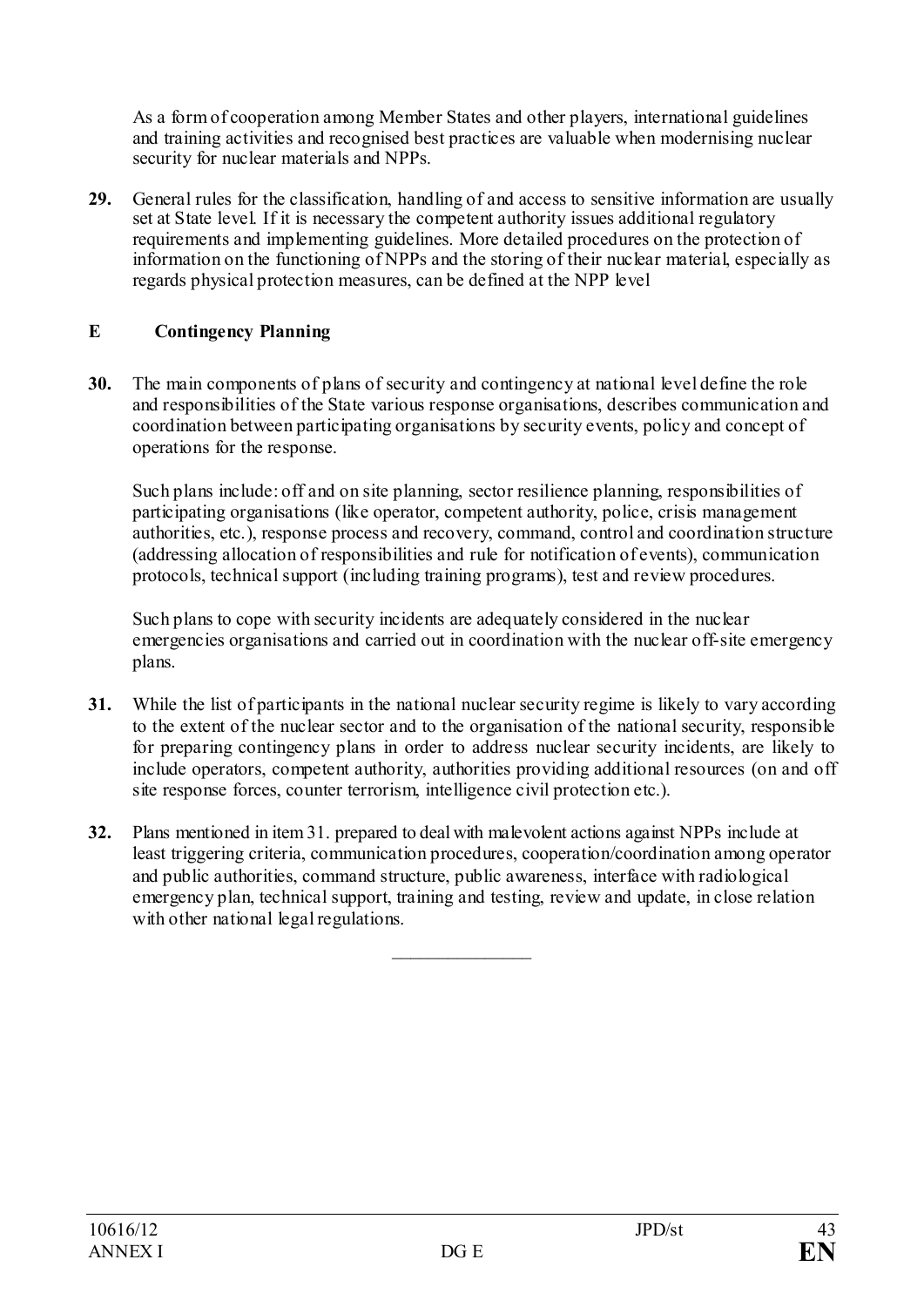As a form of cooperation among Member States and other players, international guidelines and training activities and recognised best practices are valuable when modernising nuclear security for nuclear materials and NPPs.

**29.** General rules for the classification, handling of and access to sensitive information are usually set at State level. If it is necessary the competent authority issues additional regulatory requirements and implementing guidelines. More detailed procedures on the protection of information on the functioning of NPPs and the storing of their nuclear material, especially as regards physical protection measures, can be defined at the NPP level

### <span id="page-42-0"></span>**E Contingency Planning**

**30.** The main components of plans of security and contingency at national level define the role and responsibilities of the State various response organisations, describes communication and coordination between participating organisations by security events, policy and concept of operations for the response.

Such plans include: off and on site planning, sector resilience planning, responsibilities of participating organisations (like operator, competent authority, police, crisis management authorities, etc.), response process and recovery, command, control and coordination structure (addressing allocation of responsibilities and rule for notification of events), communication protocols, technical support (including training programs), test and review procedures.

Such plans to cope with security incidents are adequately considered in the nuclear emergencies organisations and carried out in coordination with the nuclear off-site emergency plans.

- **31.** While the list of participants in the national nuclear security regime is likely to vary according to the extent of the nuclear sector and to the organisation of the national security, responsible for preparing contingency plans in order to address nuclear security incidents, are likely to include operators, competent authority, authorities providing additional resources (on and off site response forces, counter terrorism, intelligence civil protection etc.).
- **32.** Plans mentioned in item 31. prepared to deal with malevolent actions against NPPs include at least triggering criteria, communication procedures, cooperation/coordination among operator and public authorities, command structure, public awareness, interface with radiological emergency plan, technical support, training and testing, review and update, in close relation with other national legal regulations.

 $\mathcal{L}$  , we have the set of the set of the set of the set of the set of the set of the set of the set of the set of the set of the set of the set of the set of the set of the set of the set of the set of the set of the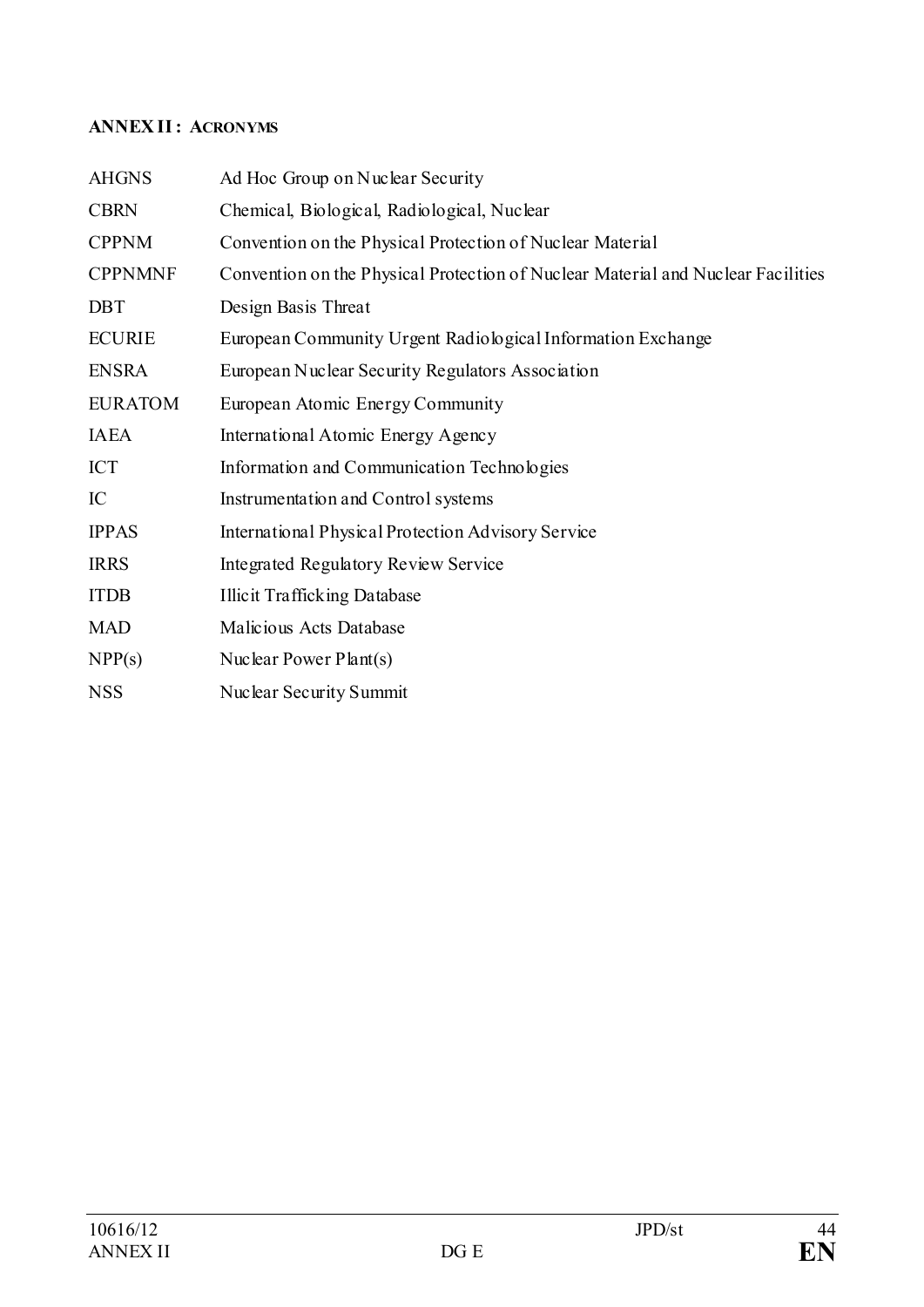# <span id="page-43-0"></span>**ANNEX II: ACRONYMS**

| <b>AHGNS</b>   | Ad Hoc Group on Nuclear Security                                                 |
|----------------|----------------------------------------------------------------------------------|
| <b>CBRN</b>    | Chemical, Biological, Radiological, Nuclear                                      |
| <b>CPPNM</b>   | Convention on the Physical Protection of Nuclear Material                        |
| <b>CPPNMNF</b> | Convention on the Physical Protection of Nuclear Material and Nuclear Facilities |
| <b>DBT</b>     | Design Basis Threat                                                              |
| <b>ECURIE</b>  | European Community Urgent Radiological Information Exchange                      |
| <b>ENSRA</b>   | European Nuclear Security Regulators Association                                 |
| <b>EURATOM</b> | European Atomic Energy Community                                                 |
| <b>IAEA</b>    | International Atomic Energy Agency                                               |
| <b>ICT</b>     | Information and Communication Technologies                                       |
| IC             | Instrumentation and Control systems                                              |
| <b>IPPAS</b>   | International Physical Protection Advisory Service                               |
| <b>IRRS</b>    | Integrated Regulatory Review Service                                             |
| <b>ITDB</b>    | <b>Illicit Trafficking Database</b>                                              |
| <b>MAD</b>     | Malicious Acts Database                                                          |
| NPP(s)         | Nuclear Power $Plant(s)$                                                         |
| <b>NSS</b>     | Nuclear Security Summit                                                          |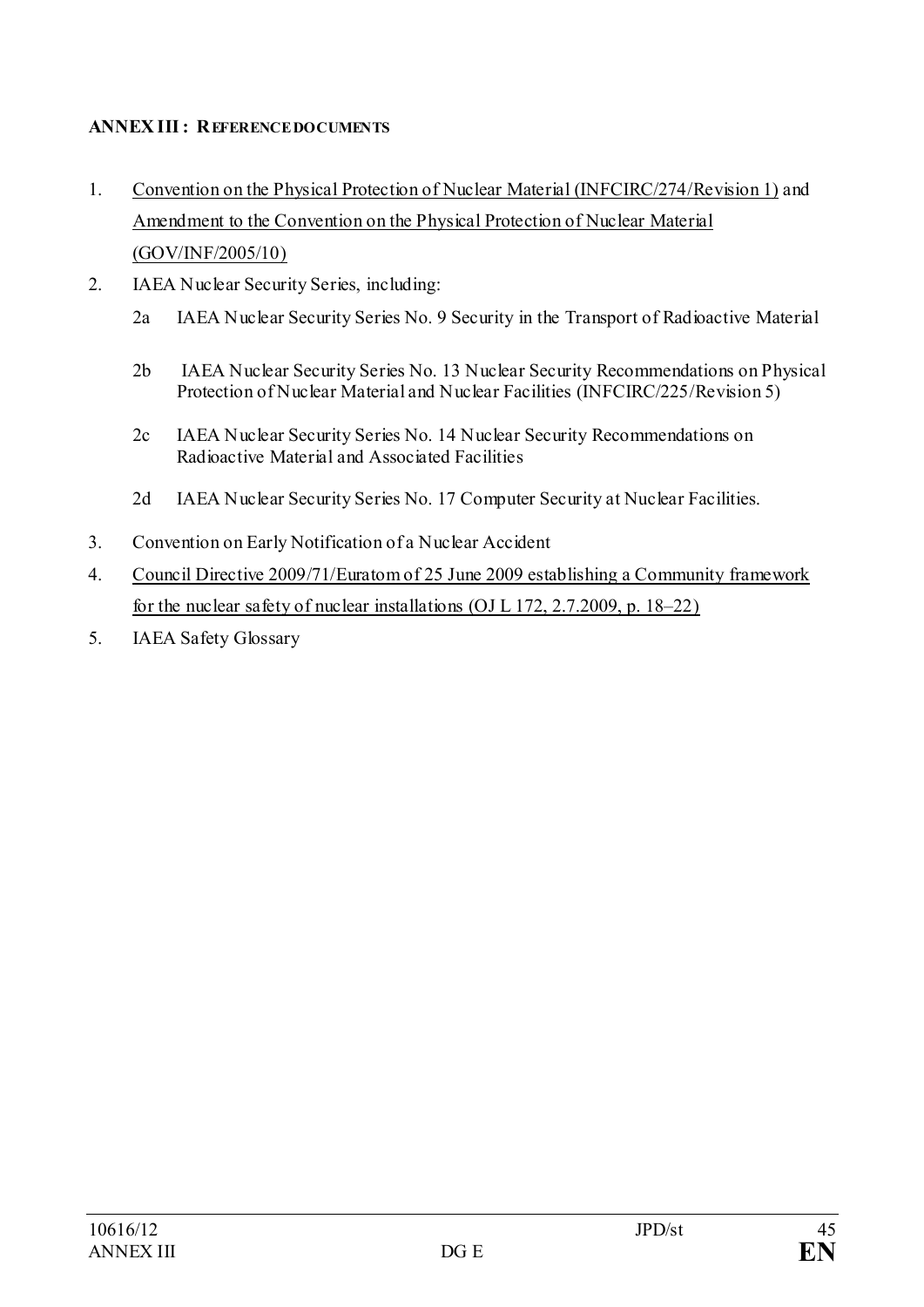# <span id="page-44-0"></span>**ANNEX III: REFERENCE DOCUMENTS**

- 1. [Convention on the Physical Protection of Nuclear Material \(INFCIRC/274/Revision 1\)](http://www.iaea.org/Publications/Documents/Infcircs/Others/inf274r1.shtml) and [Amendment to the Convention on the Physical Protection of Nuclear Material](http://www.iaea.org/About/Policy/GC/GC49/Documents/gc49inf-6.pdf)  [\(GOV/INF/2005/10\)](http://www.iaea.org/About/Policy/GC/GC49/Documents/gc49inf-6.pdf)
- 2. IAEA Nuclear Security Series, including:
	- 2a IAEA Nuclear Security Series No. 9 Security in the Transport of Radioactive Material
	- 2b IAEA Nuclear Security Series No. 13 Nuclear Security Recommendations on Physical Protection of Nuclear Material and Nuclear Facilities (INFCIRC/225/Revision 5)
	- 2c IAEA Nuclear Security Series No. 14 Nuclear Security Recommendations on Radioactive Material and Associated Facilities
	- 2d IAEA Nuclear Security Series No. 17 Computer Security at Nuclear Facilities.
- 3. [Convention on Early Notification of a Nuclear Accident](http://www.iaea.org/Publications/Documents/Infcircs/Others/infcirc335.shtml)
- 4. Council Directive 2009/71/Euratom of 25 [June 2009 establishing a Community framework](http://eur-lex.europa.eu/LexUriServ/LexUriServ.do?uri=OJ:L:2009:172:0018:01:EN:HTML)  [for the nuclear safety of nuclear installations \(OJ L 172, 2.7.2009, p. 18–22\)](http://eur-lex.europa.eu/LexUriServ/LexUriServ.do?uri=OJ:L:2009:172:0018:01:EN:HTML)
- 5. [IAEA Safety Glossary](http://www-pub.iaea.org/MTCD/publications/PDF/Pub1290_web.pdf)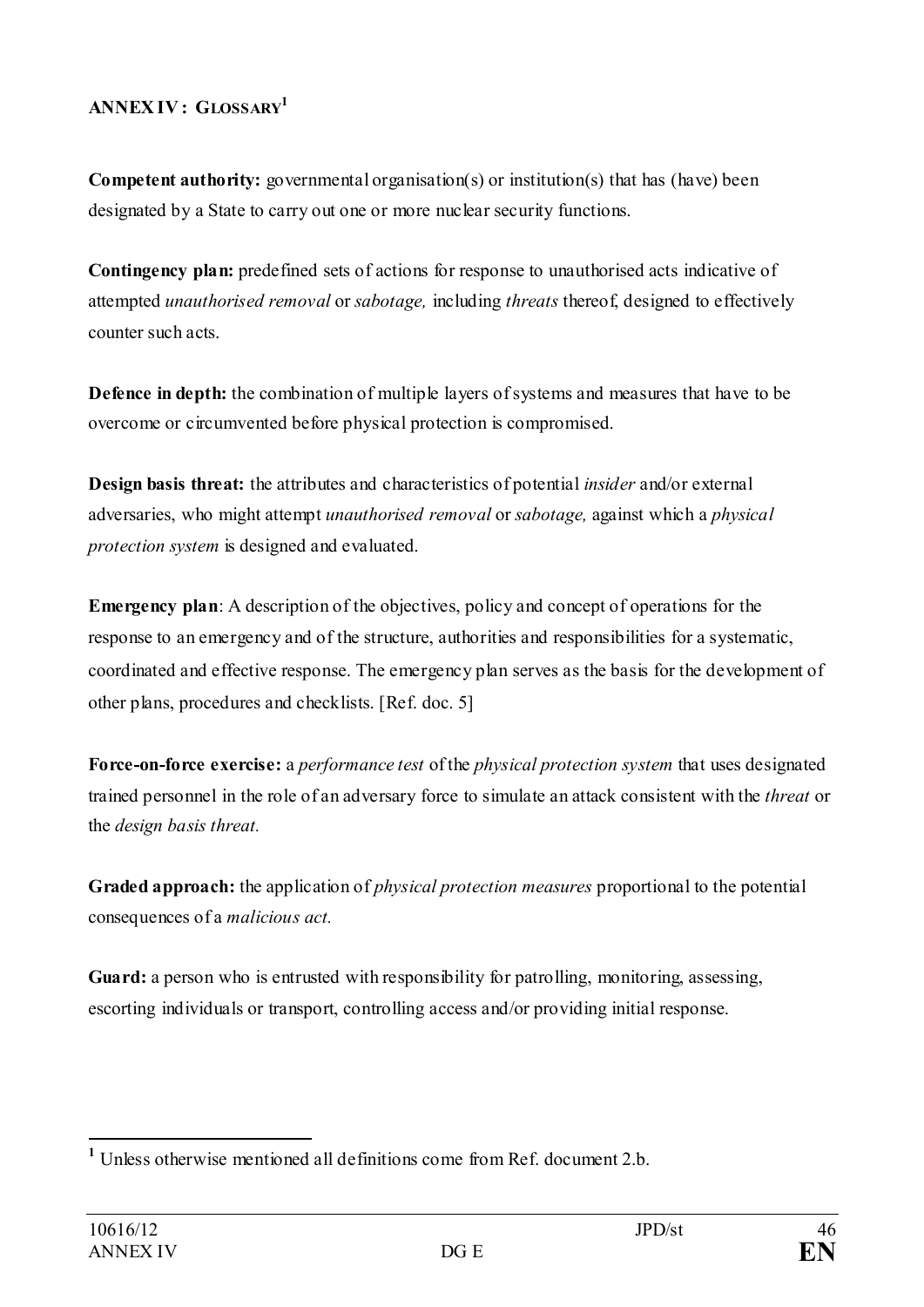# <span id="page-45-0"></span>**ANNEX IV : GLOSSARY[1](#page-45-1)**

**Competent authority:** governmental organisation(s) or institution(s) that has (have) been designated by a State to carry out one or more nuclear security functions.

**Contingency plan:** predefined sets of actions for response to unauthorised acts indicative of attempted *unauthorised removal* or *sabotage,* including *threats* thereof, designed to effectively counter such acts.

**Defence in depth:** the combination of multiple layers of systems and measures that have to be overcome or circumvented before physical protection is compromised.

**Design basis threat:** the attributes and characteristics of potential *insider* and/or external adversaries, who might attempt *unauthorised removal* or *sabotage,* against which a *physical protection system* is designed and evaluated.

**Emergency plan**: A description of the objectives, policy and concept of operations for the response to an emergency and of the structure, authorities and responsibilities for a systematic, coordinated and effective response. The emergency plan serves as the basis for the development of other plans, procedures and checklists. [Ref. doc. 5]

**Force-on-force [exercise:](http://exerci.se/)** a *performance test* of the *physical protection system* that uses designated trained personnel in the role of an adversary force to simulate an attack consistent with the *threat* or the *design basis threat.*

**Graded approach:** the application of *physical protection measures* proportional to the potential consequences of a *malicious act.*

Guard: a person who is entrusted with responsibility for patrolling, monitoring, assessing, escorting individuals or transport, controlling access and/or providing initial response.

<span id="page-45-1"></span>**<sup>1</sup>** Unless otherwise mentioned all definitions come from Ref. document 2.b.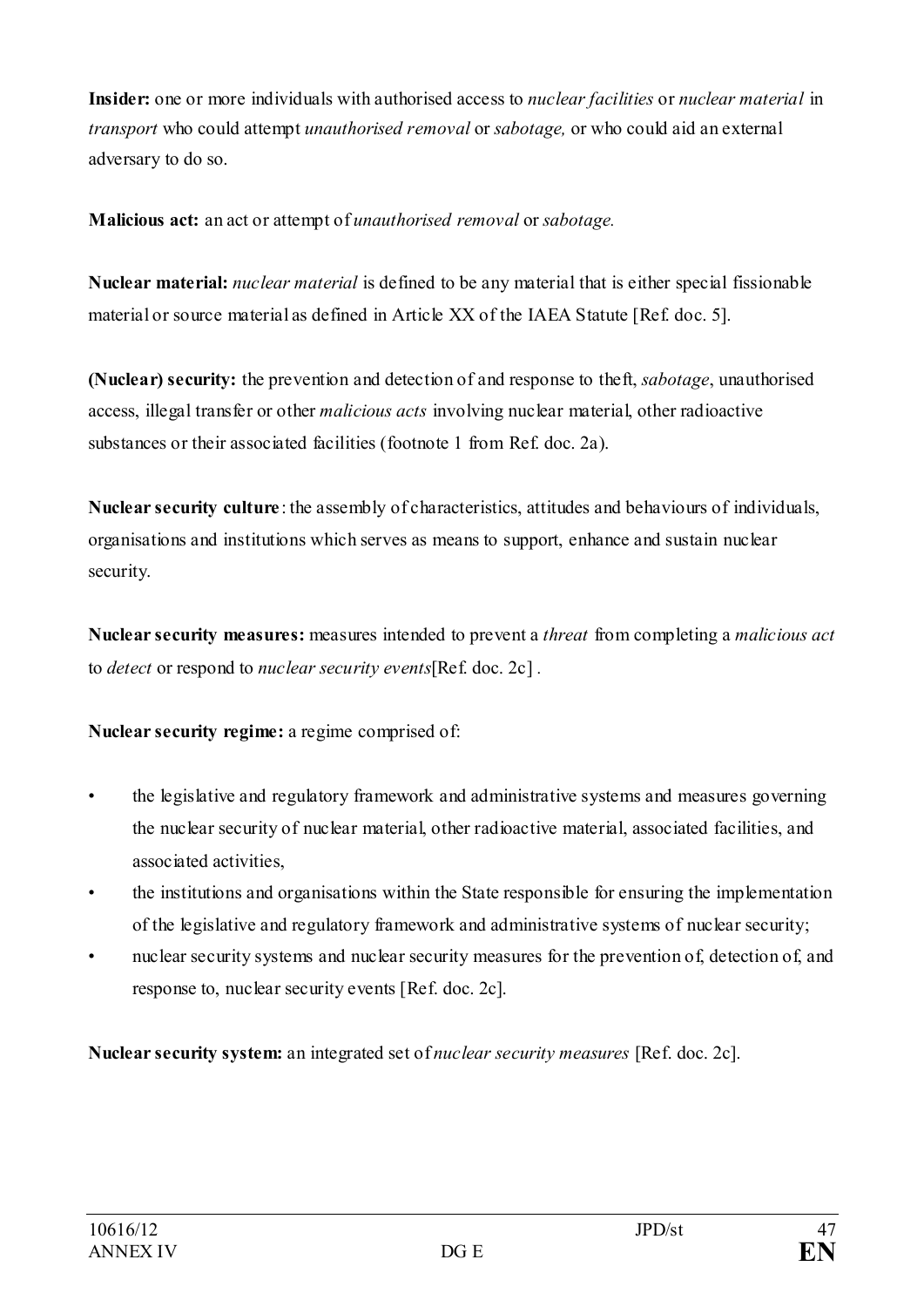**Insider:** one or more individuals with authorised access to *nuclear facilities* or *nuclear material* in *transport* who could attempt *unauthorised removal* or *sabotage,* or who could aid an external adversary to do so.

**Malicious act:** an act or attempt of *unauthorised removal* or *sabotage.*

**Nuclear material:** *nuclear material* is defined to be any material that is either special fissionable material or source material as defined in Article XX of the IAEA Statute [Ref. doc. 5].

**(Nuclear) security:** the prevention and detection of and response to theft, *sabotage*, unauthorised access, illegal transfer or other *malicious acts* involving nuclear material, other radioactive substances or their associated facilities (footnote 1 from Ref. doc. 2a).

**Nuclear security culture** : the assembly of characteristics, attitudes and behaviours of individuals, organisations and institutions which serves as means to support, enhance and sustain nuclear security.

**Nuclear security measures:** measures intended to prevent a *threat* from completing a *malicious act*  to *detect* or respond to *nuclear security events*[Ref. doc. 2c] *.*

**Nuclear security regime:** a regime comprised of:

- the legislative and regulatory framework and administrative systems and measures governing the nuclear security of nuclear material, other radioactive material, associated facilities, and associated activities,
- the institutions and organisations within the State responsible for ensuring the implementation of the legislative and regulatory framework and administrative systems of nuclear security;
- nuclear security systems and nuclear security measures for the prevention of, detection of, and response to, nuclear security events [Ref. doc. 2c].

**Nuclear security system:** an integrated set of *nuclear security measures* [Ref. doc. 2c].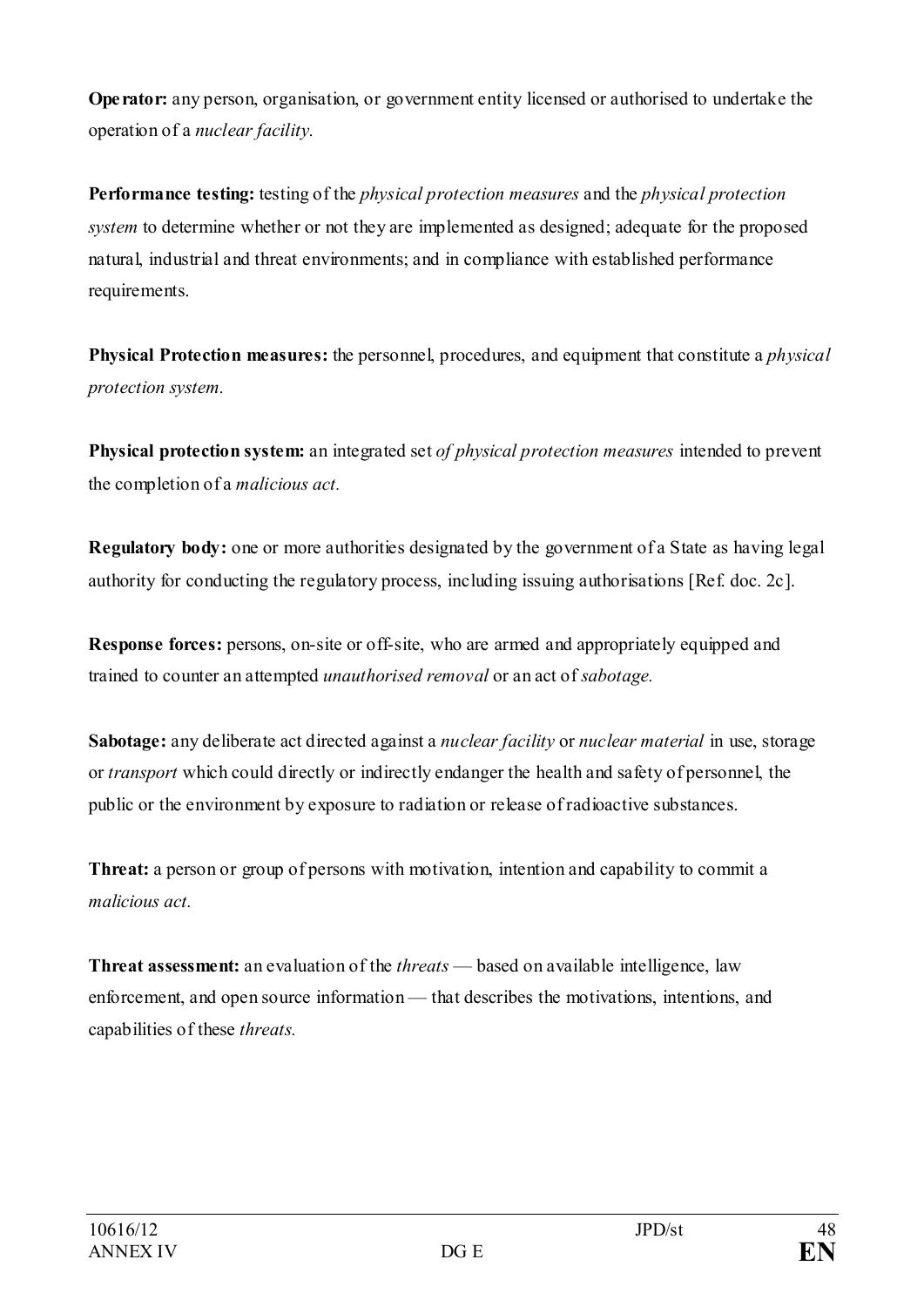**Operator:** any person, organisation, or government entity licensed or authorised to undertake the operation of a *nuclear facility.*

**Performance testing:** testing of the *physical protection measures* and the *physical protection system* to determine whether or not they are implemented as designed; adequate for the proposed natural, industrial and threat environments; and in compliance with established performance requirements.

**Physical Protection measures:** the personnel, procedures, and equipment that constitute a *physical protection system.*

**Physical protection system:** an integrated set *of physical protection measures* intended to prevent the completion of a *malicious act.*

**Regulatory body:** one or more authorities designated by the government of a State as having legal authority for conducting the regulatory process, including issuing authorisations [Ref. doc. 2c].

**Response forces:** persons, on-site or off-site, who are armed and appropriately equipped and trained to counter an attempted *unauthorised removal* or an act of *sabotage.*

**Sabotage:** any deliberate act directed against a *nuclear facility* or *nuclear material* in use, storage or *transport* which could directly or indirectly endanger the health and safety of personnel, the public or the environment by exposure to radiation or release of radioactive substances.

**Threat:** a person or group of persons with motivation, intention and capability to commit a *malicious act.*

**Threat assessment:** an evaluation of the *threats* — based on available intelligence, law enforcement, and open source information — that describes the motivations, intentions, and capabilities of these *threats.*